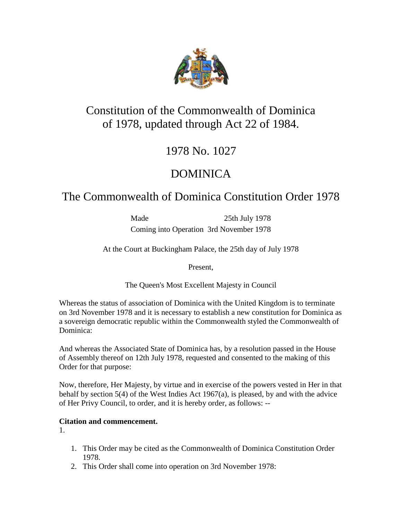

# Constitution of the Commonwealth of Dominica of 1978, updated through Act 22 of 1984.

# 1978 No. 1027

# DOMINICA

# The Commonwealth of Dominica Constitution Order 1978

Made 25th July 1978 Coming into Operation 3rd November 1978

At the Court at Buckingham Palace, the 25th day of July 1978

Present,

The Queen's Most Excellent Majesty in Council

Whereas the status of association of Dominica with the United Kingdom is to terminate on 3rd November 1978 and it is necessary to establish a new constitution for Dominica as a sovereign democratic republic within the Commonwealth styled the Commonwealth of Dominica:

And whereas the Associated State of Dominica has, by a resolution passed in the House of Assembly thereof on 12th July 1978, requested and consented to the making of this Order for that purpose:

Now, therefore, Her Majesty, by virtue and in exercise of the powers vested in Her in that behalf by section 5(4) of the West Indies Act 1967(a), is pleased, by and with the advice of Her Privy Council, to order, and it is hereby order, as follows: --

## **Citation and commencement.**

1.

- 1. This Order may be cited as the Commonwealth of Dominica Constitution Order 1978.
- 2. This Order shall come into operation on 3rd November 1978: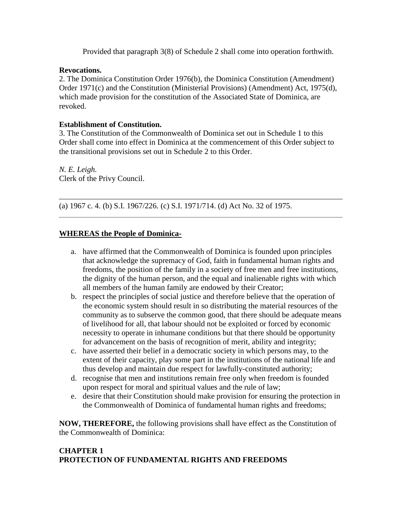Provided that paragraph 3(8) of Schedule 2 shall come into operation forthwith.

#### **Revocations.**

2. The Dominica Constitution Order 1976(b), the Dominica Constitution (Amendment) Order 1971(c) and the Constitution (Ministerial Provisions) (Amendment) Act, 1975(d), which made provision for the constitution of the Associated State of Dominica, are revoked.

## **Establishment of Constitution.**

3. The Constitution of the Commonwealth of Dominica set out in Schedule 1 to this Order shall come into effect in Dominica at the commencement of this Order subject to the transitional provisions set out in Schedule 2 to this Order.

*N. E. Leigh.* Clerk of the Privy Council.

(a) 1967 c. 4. (b) S.I. 1967/226. (c) S.I. 1971/714. (d) Act No. 32 of 1975.

## **[WHEREAS the People of Dominica-](http://dominicacompanies.com/dominica/constitution/contents.html)**

- a. have affirmed that the Commonwealth of Dominica is founded upon principles that acknowledge the supremacy of God, faith in fundamental human rights and freedoms, the position of the family in a society of free men and free institutions, the dignity of the human person, and the equal and inalienable rights with which all members of the human family are endowed by their Creator;
- b. respect the principles of social justice and therefore believe that the operation of the economic system should result in so distributing the material resources of the community as to subserve the common good, that there should be adequate means of livelihood for all, that labour should not be exploited or forced by economic necessity to operate in inhumane conditions but that there should be opportunity for advancement on the basis of recognition of merit, ability and integrity;
- c. have asserted their belief in a democratic society in which persons may, to the extent of their capacity, play some part in the institutions of the national life and thus develop and maintain due respect for lawfully-constituted authority;
- d. recognise that men and institutions remain free only when freedom is founded upon respect for moral and spiritual values and the rule of law;
- e. desire that their Constitution should make provision for ensuring the protection in the Commonwealth of Dominica of fundamental human rights and freedoms;

**NOW, THEREFORE,** the following provisions shall have effect as the Constitution of the Commonwealth of Dominica:

## **CHAPTER 1 PROTECTION OF FUNDAMENTAL RIGHTS AND FREEDOMS**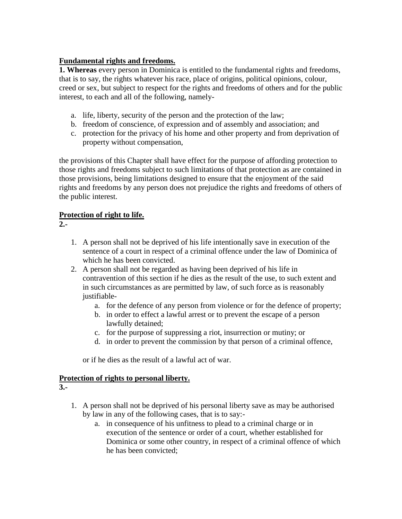## **[Fundamental rights and freedoms.](http://dominicacompanies.com/dominica/constitution/contents.html)**

**1. Whereas** every person in Dominica is entitled to the fundamental rights and freedoms, that is to say, the rights whatever his race, place of origins, political opinions, colour, creed or sex, but subject to respect for the rights and freedoms of others and for the public interest, to each and all of the following, namely-

- a. life, liberty, security of the person and the protection of the law;
- b. freedom of conscience, of expression and of assembly and association; and
- c. protection for the privacy of his home and other property and from deprivation of property without compensation,

the provisions of this Chapter shall have effect for the purpose of affording protection to those rights and freedoms subject to such limitations of that protection as are contained in those provisions, being limitations designed to ensure that the enjoyment of the said rights and freedoms by any person does not prejudice the rights and freedoms of others of the public interest.

## **[Protection of right to life.](http://dominicacompanies.com/dominica/constitution/contents.html)**

- **2.-**
- 1. A person shall not be deprived of his life intentionally save in execution of the sentence of a court in respect of a criminal offence under the law of Dominica of which he has been convicted.
- 2. A person shall not be regarded as having been deprived of his life in contravention of this section if he dies as the result of the use, to such extent and in such circumstances as are permitted by law, of such force as is reasonably justifiable
	- a. for the defence of any person from violence or for the defence of property;
	- b. in order to effect a lawful arrest or to prevent the escape of a person lawfully detained;
	- c. for the purpose of suppressing a riot, insurrection or mutiny; or
	- d. in order to prevent the commission by that person of a criminal offence,

or if he dies as the result of a lawful act of war.

## **[Protection of rights to personal liberty.](http://dominicacompanies.com/dominica/constitution/contents.html)**

- 1. A person shall not be deprived of his personal liberty save as may be authorised by law in any of the following cases, that is to say:
	- a. in consequence of his unfitness to plead to a criminal charge or in execution of the sentence or order of a court, whether established for Dominica or some other country, in respect of a criminal offence of which he has been convicted;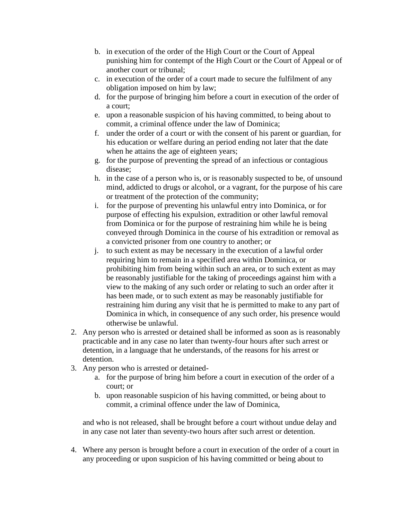- b. in execution of the order of the High Court or the Court of Appeal punishing him for contempt of the High Court or the Court of Appeal or of another court or tribunal;
- c. in execution of the order of a court made to secure the fulfilment of any obligation imposed on him by law;
- d. for the purpose of bringing him before a court in execution of the order of a court;
- e. upon a reasonable suspicion of his having committed, to being about to commit, a criminal offence under the law of Dominica;
- f. under the order of a court or with the consent of his parent or guardian, for his education or welfare during an period ending not later that the date when he attains the age of eighteen years;
- g. for the purpose of preventing the spread of an infectious or contagious disease;
- h. in the case of a person who is, or is reasonably suspected to be, of unsound mind, addicted to drugs or alcohol, or a vagrant, for the purpose of his care or treatment of the protection of the community;
- i. for the purpose of preventing his unlawful entry into Dominica, or for purpose of effecting his expulsion, extradition or other lawful removal from Dominica or for the purpose of restraining him while he is being conveyed through Dominica in the course of his extradition or removal as a convicted prisoner from one country to another; or
- j. to such extent as may be necessary in the execution of a lawful order requiring him to remain in a specified area within Dominica, or prohibiting him from being within such an area, or to such extent as may be reasonably justifiable for the taking of proceedings against him with a view to the making of any such order or relating to such an order after it has been made, or to such extent as may be reasonably justifiable for restraining him during any visit that he is permitted to make to any part of Dominica in which, in consequence of any such order, his presence would otherwise be unlawful.
- 2. Any person who is arrested or detained shall be informed as soon as is reasonably practicable and in any case no later than twenty-four hours after such arrest or detention, in a language that he understands, of the reasons for his arrest or detention.
- 3. Any person who is arrested or detained
	- a. for the purpose of bring him before a court in execution of the order of a court; or
	- b. upon reasonable suspicion of his having committed, or being about to commit, a criminal offence under the law of Dominica,

and who is not released, shall be brought before a court without undue delay and in any case not later than seventy-two hours after such arrest or detention.

4. Where any person is brought before a court in execution of the order of a court in any proceeding or upon suspicion of his having committed or being about to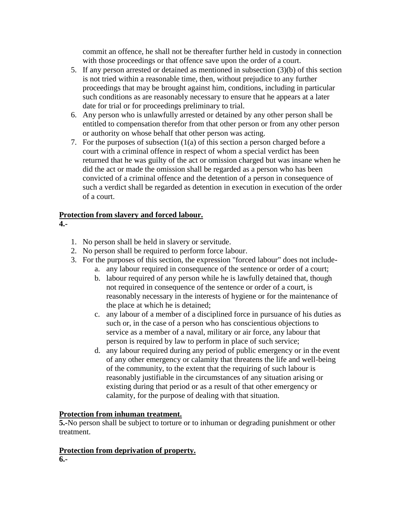commit an offence, he shall not be thereafter further held in custody in connection with those proceedings or that offence save upon the order of a court.

- 5. If any person arrested or detained as mentioned in subsection (3)(b) of this section is not tried within a reasonable time, then, without prejudice to any further proceedings that may be brought against him, conditions, including in particular such conditions as are reasonably necessary to ensure that he appears at a later date for trial or for proceedings preliminary to trial.
- 6. Any person who is unlawfully arrested or detained by any other person shall be entitled to compensation therefor from that other person or from any other person or authority on whose behalf that other person was acting.
- 7. For the purposes of subsection (1(a) of this section a person charged before a court with a criminal offence in respect of whom a special verdict has been returned that he was guilty of the act or omission charged but was insane when he did the act or made the omission shall be regarded as a person who has been convicted of a criminal offence and the detention of a person in consequence of such a verdict shall be regarded as detention in execution in execution of the order of a court.

## **[Protection from slavery and forced labour.](http://dominicacompanies.com/dominica/constitution/contents.html)**

- **4.-**
- 1. No person shall be held in slavery or servitude.
- 2. No person shall be required to perform force labour.
- 3. For the purposes of this section, the expression "forced labour" does not include
	- a. any labour required in consequence of the sentence or order of a court;
	- b. labour required of any person while he is lawfully detained that, though not required in consequence of the sentence or order of a court, is reasonably necessary in the interests of hygiene or for the maintenance of the place at which he is detained;
	- c. any labour of a member of a disciplined force in pursuance of his duties as such or, in the case of a person who has conscientious objections to service as a member of a naval, military or air force, any labour that person is required by law to perform in place of such service;
	- d. any labour required during any period of public emergency or in the event of any other emergency or calamity that threatens the life and well-being of the community, to the extent that the requiring of such labour is reasonably justifiable in the circumstances of any situation arising or existing during that period or as a result of that other emergency or calamity, for the purpose of dealing with that situation.

## **[Protection from inhuman treatment.](http://dominicacompanies.com/dominica/constitution/contents.html)**

**5.**-No person shall be subject to torture or to inhuman or degrading punishment or other treatment.

#### **[Protection from deprivation of property.](http://dominicacompanies.com/dominica/constitution/contents.html) 6.-**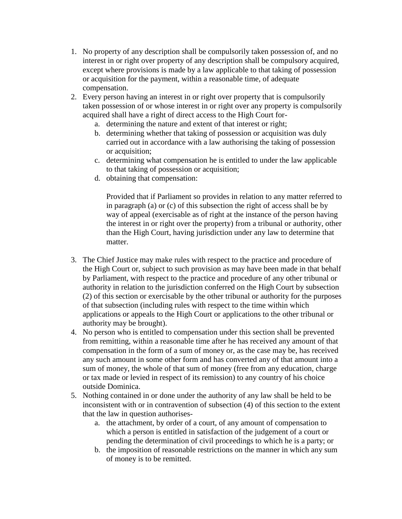- 1. No property of any description shall be compulsorily taken possession of, and no interest in or right over property of any description shall be compulsory acquired, except where provisions is made by a law applicable to that taking of possession or acquisition for the payment, within a reasonable time, of adequate compensation.
- 2. Every person having an interest in or right over property that is compulsorily taken possession of or whose interest in or right over any property is compulsorily acquired shall have a right of direct access to the High Court for
	- a. determining the nature and extent of that interest or right;
	- b. determining whether that taking of possession or acquisition was duly carried out in accordance with a law authorising the taking of possession or acquisition;
	- c. determining what compensation he is entitled to under the law applicable to that taking of possession or acquisition;
	- d. obtaining that compensation:

Provided that if Parliament so provides in relation to any matter referred to in paragraph (a) or (c) of this subsection the right of access shall be by way of appeal (exercisable as of right at the instance of the person having the interest in or right over the property) from a tribunal or authority, other than the High Court, having jurisdiction under any law to determine that matter.

- 3. The Chief Justice may make rules with respect to the practice and procedure of the High Court or, subject to such provision as may have been made in that behalf by Parliament, with respect to the practice and procedure of any other tribunal or authority in relation to the jurisdiction conferred on the High Court by subsection (2) of this section or exercisable by the other tribunal or authority for the purposes of that subsection (including rules with respect to the time within which applications or appeals to the High Court or applications to the other tribunal or authority may be brought).
- 4. No person who is entitled to compensation under this section shall be prevented from remitting, within a reasonable time after he has received any amount of that compensation in the form of a sum of money or, as the case may be, has received any such amount in some other form and has converted any of that amount into a sum of money, the whole of that sum of money (free from any education, charge or tax made or levied in respect of its remission) to any country of his choice outside Dominica.
- 5. Nothing contained in or done under the authority of any law shall be held to be inconsistent with or in contravention of subsection (4) of this section to the extent that the law in question authorises
	- a. the attachment, by order of a court, of any amount of compensation to which a person is entitled in satisfaction of the judgement of a court or pending the determination of civil proceedings to which he is a party; or
	- b. the imposition of reasonable restrictions on the manner in which any sum of money is to be remitted.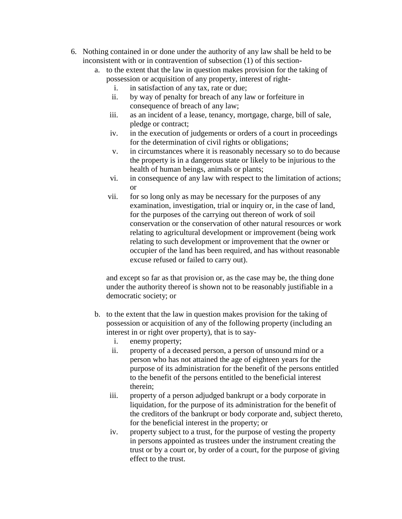- 6. Nothing contained in or done under the authority of any law shall be held to be inconsistent with or in contravention of subsection (1) of this section
	- a. to the extent that the law in question makes provision for the taking of possession or acquisition of any property, interest of right
		- i. in satisfaction of any tax, rate or due;
		- ii. by way of penalty for breach of any law or forfeiture in consequence of breach of any law;
		- iii. as an incident of a lease, tenancy, mortgage, charge, bill of sale, pledge or contract;
		- iv. in the execution of judgements or orders of a court in proceedings for the determination of civil rights or obligations;
		- v. in circumstances where it is reasonably necessary so to do because the property is in a dangerous state or likely to be injurious to the health of human beings, animals or plants;
		- vi. in consequence of any law with respect to the limitation of actions; or
		- vii. for so long only as may be necessary for the purposes of any examination, investigation, trial or inquiry or, in the case of land, for the purposes of the carrying out thereon of work of soil conservation or the conservation of other natural resources or work relating to agricultural development or improvement (being work relating to such development or improvement that the owner or occupier of the land has been required, and has without reasonable excuse refused or failed to carry out).

and except so far as that provision or, as the case may be, the thing done under the authority thereof is shown not to be reasonably justifiable in a democratic society; or

- b. to the extent that the law in question makes provision for the taking of possession or acquisition of any of the following property (including an interest in or right over property), that is to say
	- i. enemy property;
	- ii. property of a deceased person, a person of unsound mind or a person who has not attained the age of eighteen years for the purpose of its administration for the benefit of the persons entitled to the benefit of the persons entitled to the beneficial interest therein;
	- iii. property of a person adjudged bankrupt or a body corporate in liquidation, for the purpose of its administration for the benefit of the creditors of the bankrupt or body corporate and, subject thereto, for the beneficial interest in the property; or
	- iv. property subject to a trust, for the purpose of vesting the property in persons appointed as trustees under the instrument creating the trust or by a court or, by order of a court, for the purpose of giving effect to the trust.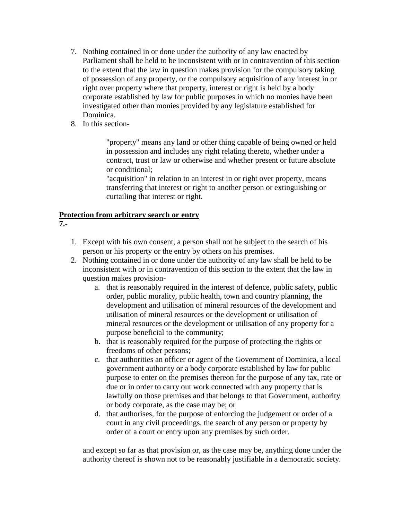- 7. Nothing contained in or done under the authority of any law enacted by Parliament shall be held to be inconsistent with or in contravention of this section to the extent that the law in question makes provision for the compulsory taking of possession of any property, or the compulsory acquisition of any interest in or right over property where that property, interest or right is held by a body corporate established by law for public purposes in which no monies have been investigated other than monies provided by any legislature established for Dominica.
- 8. In this section-

"property" means any land or other thing capable of being owned or held in possession and includes any right relating thereto, whether under a contract, trust or law or otherwise and whether present or future absolute or conditional;

"acquisition" in relation to an interest in or right over property, means transferring that interest or right to another person or extinguishing or curtailing that interest or right.

## **[Protection from arbitrary search or entry](http://dominicacompanies.com/dominica/constitution/contents.html)**

- **7.-**
- 1. Except with his own consent, a person shall not be subject to the search of his person or his property or the entry by others on his premises.
- 2. Nothing contained in or done under the authority of any law shall be held to be inconsistent with or in contravention of this section to the extent that the law in question makes provision
	- a. that is reasonably required in the interest of defence, public safety, public order, public morality, public health, town and country planning, the development and utilisation of mineral resources of the development and utilisation of mineral resources or the development or utilisation of mineral resources or the development or utilisation of any property for a purpose beneficial to the community;
	- b. that is reasonably required for the purpose of protecting the rights or freedoms of other persons;
	- c. that authorities an officer or agent of the Government of Dominica, a local government authority or a body corporate established by law for public purpose to enter on the premises thereon for the purpose of any tax, rate or due or in order to carry out work connected with any property that is lawfully on those premises and that belongs to that Government, authority or body corporate, as the case may be; or
	- d. that authorises, for the purpose of enforcing the judgement or order of a court in any civil proceedings, the search of any person or property by order of a court or entry upon any premises by such order.

and except so far as that provision or, as the case may be, anything done under the authority thereof is shown not to be reasonably justifiable in a democratic society.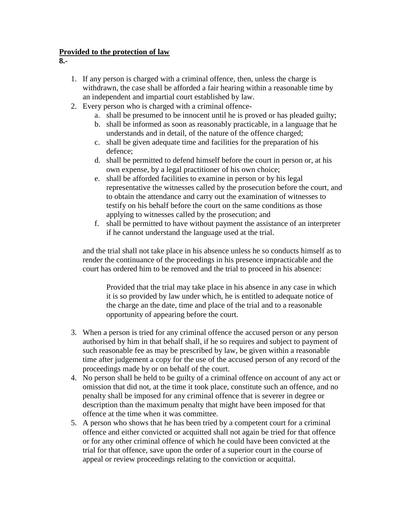#### **[Provided to the protection of law](http://dominicacompanies.com/dominica/constitution/contents.html)**

- **8.-**
- 1. If any person is charged with a criminal offence, then, unless the charge is withdrawn, the case shall be afforded a fair hearing within a reasonable time by an independent and impartial court established by law.
- 2. Every person who is charged with a criminal offence
	- a. shall be presumed to be innocent until he is proved or has pleaded guilty;
	- b. shall be informed as soon as reasonably practicable, in a language that he understands and in detail, of the nature of the offence charged;
	- c. shall be given adequate time and facilities for the preparation of his defence;
	- d. shall be permitted to defend himself before the court in person or, at his own expense, by a legal practitioner of his own choice;
	- e. shall be afforded facilities to examine in person or by his legal representative the witnesses called by the prosecution before the court, and to obtain the attendance and carry out the examination of witnesses to testify on his behalf before the court on the same conditions as those applying to witnesses called by the prosecution; and
	- f. shall be permitted to have without payment the assistance of an interpreter if he cannot understand the language used at the trial.

and the trial shall not take place in his absence unless he so conducts himself as to render the continuance of the proceedings in his presence impracticable and the court has ordered him to be removed and the trial to proceed in his absence:

Provided that the trial may take place in his absence in any case in which it is so provided by law under which, he is entitled to adequate notice of the charge an the date, time and place of the trial and to a reasonable opportunity of appearing before the court.

- 3. When a person is tried for any criminal offence the accused person or any person authorised by him in that behalf shall, if he so requires and subject to payment of such reasonable fee as may be prescribed by law, be given within a reasonable time after judgement a copy for the use of the accused person of any record of the proceedings made by or on behalf of the court.
- 4. No person shall be held to be guilty of a criminal offence on account of any act or omission that did not, at the time it took place, constitute such an offence, and no penalty shall be imposed for any criminal offence that is severer in degree or description than the maximum penalty that might have been imposed for that offence at the time when it was committee.
- 5. A person who shows that he has been tried by a competent court for a criminal offence and either convicted or acquitted shall not again be tried for that offence or for any other criminal offence of which he could have been convicted at the trial for that offence, save upon the order of a superior court in the course of appeal or review proceedings relating to the conviction or acquittal.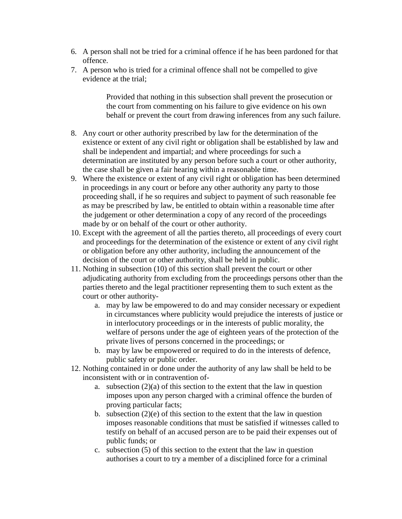- 6. A person shall not be tried for a criminal offence if he has been pardoned for that offence.
- 7. A person who is tried for a criminal offence shall not be compelled to give evidence at the trial;

Provided that nothing in this subsection shall prevent the prosecution or the court from commenting on his failure to give evidence on his own behalf or prevent the court from drawing inferences from any such failure.

- 8. Any court or other authority prescribed by law for the determination of the existence or extent of any civil right or obligation shall be established by law and shall be independent and impartial; and where proceedings for such a determination are instituted by any person before such a court or other authority, the case shall be given a fair hearing within a reasonable time.
- 9. Where the existence or extent of any civil right or obligation has been determined in proceedings in any court or before any other authority any party to those proceeding shall, if he so requires and subject to payment of such reasonable fee as may be prescribed by law, be entitled to obtain within a reasonable time after the judgement or other determination a copy of any record of the proceedings made by or on behalf of the court or other authority.
- 10. Except with the agreement of all the parties thereto, all proceedings of every court and proceedings for the determination of the existence or extent of any civil right or obligation before any other authority, including the announcement of the decision of the court or other authority, shall be held in public.
- 11. Nothing in subsection (10) of this section shall prevent the court or other adjudicating authority from excluding from the proceedings persons other than the parties thereto and the legal practitioner representing them to such extent as the court or other authority
	- a. may by law be empowered to do and may consider necessary or expedient in circumstances where publicity would prejudice the interests of justice or in interlocutory proceedings or in the interests of public morality, the welfare of persons under the age of eighteen years of the protection of the private lives of persons concerned in the proceedings; or
	- b. may by law be empowered or required to do in the interests of defence, public safety or public order.
- 12. Nothing contained in or done under the authority of any law shall be held to be inconsistent with or in contravention of
	- a. subsection  $(2)(a)$  of this section to the extent that the law in question imposes upon any person charged with a criminal offence the burden of proving particular facts;
	- b. subsection  $(2)(e)$  of this section to the extent that the law in question imposes reasonable conditions that must be satisfied if witnesses called to testify on behalf of an accused person are to be paid their expenses out of public funds; or
	- c. subsection (5) of this section to the extent that the law in question authorises a court to try a member of a disciplined force for a criminal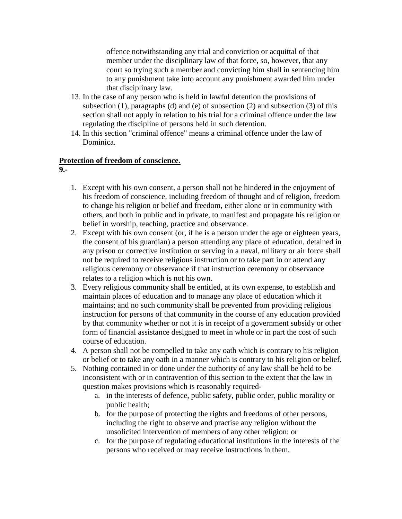offence notwithstanding any trial and conviction or acquittal of that member under the disciplinary law of that force, so, however, that any court so trying such a member and convicting him shall in sentencing him to any punishment take into account any punishment awarded him under that disciplinary law.

- 13. In the case of any person who is held in lawful detention the provisions of subsection (1), paragraphs (d) and (e) of subsection (2) and subsection (3) of this section shall not apply in relation to his trial for a criminal offence under the law regulating the discipline of persons held in such detention.
- 14. In this section "criminal offence" means a criminal offence under the law of Dominica.

#### **[Protection of freedom of conscience.](http://dominicacompanies.com/dominica/constitution/contents.html)**

- **9.-**
- 1. Except with his own consent, a person shall not be hindered in the enjoyment of his freedom of conscience, including freedom of thought and of religion, freedom to change his religion or belief and freedom, either alone or in community with others, and both in public and in private, to manifest and propagate his religion or belief in worship, teaching, practice and observance.
- 2. Except with his own consent (or, if he is a person under the age or eighteen years, the consent of his guardian) a person attending any place of education, detained in any prison or corrective institution or serving in a naval, military or air force shall not be required to receive religious instruction or to take part in or attend any religious ceremony or observance if that instruction ceremony or observance relates to a religion which is not his own.
- 3. Every religious community shall be entitled, at its own expense, to establish and maintain places of education and to manage any place of education which it maintains; and no such community shall be prevented from providing religious instruction for persons of that community in the course of any education provided by that community whether or not it is in receipt of a government subsidy or other form of financial assistance designed to meet in whole or in part the cost of such course of education.
- 4. A person shall not be compelled to take any oath which is contrary to his religion or belief or to take any oath in a manner which is contrary to his religion or belief.
- 5. Nothing contained in or done under the authority of any law shall be held to be inconsistent with or in contravention of this section to the extent that the law in question makes provisions which is reasonably required
	- a. in the interests of defence, public safety, public order, public morality or public health;
	- b. for the purpose of protecting the rights and freedoms of other persons, including the right to observe and practise any religion without the unsolicited intervention of members of any other religion; or
	- c. for the purpose of regulating educational institutions in the interests of the persons who received or may receive instructions in them,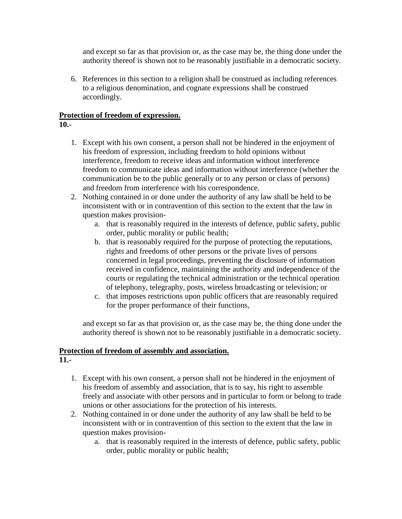and except so far as that provision or, as the case may be, the thing done under the authority thereof is shown not to be reasonably justifiable in a democratic society.

6. References in this section to a religion shall be construed as including references to a religious denomination, and cognate expressions shall be construed accordingly.

## **[Protection of freedom of expression.](http://dominicacompanies.com/dominica/constitution/contents.html)**

### **10.-**

- 1. Except with his own consent, a person shall not be hindered in the enjoyment of his freedom of expression, including freedom to hold opinions without interference, freedom to receive ideas and information without interference freedom to communicate ideas and information without interference (whether the communication be to the public generally or to any person or class of persons) and freedom from interference with his correspondence.
- 2. Nothing contained in or done under the authority of any law shall be held to be inconsistent with or in contravention of this section to the extent that the law in question makes provision
	- a. that is reasonably required in the interests of defence, public safety, public order, public morality or public health;
	- b. that is reasonably required for the purpose of protecting the reputations, rights and freedoms of other persons or the private lives of persons concerned in legal proceedings, preventing the disclosure of information received in confidence, maintaining the authority and independence of the courts or regulating the technical administration or the technical operation of telephony, telegraphy, posts, wireless broadcasting or television; or
	- c. that imposes restrictions upon public officers that are reasonably required for the proper performance of their functions,

and except so far as that provision or, as the case may be, the thing done under the authority thereof is shown not to be reasonably justifiable in a democratic society.

## **[Protection of freedom of assembly and association.](http://dominicacompanies.com/dominica/constitution/contents.html)**

- 1. Except with his own consent, a person shall not be hindered in the enjoyment of his freedom of assembly and association, that is to say, his right to assemble freely and associate with other persons and in particular to form or belong to trade unions or other associations for the protection of his interests.
- 2. Nothing contained in or done under the authority of any law shall be held to be inconsistent with or in contravention of this section to the extent that the law in question makes provision
	- a. that is reasonably required in the interests of defence, public safety, public order, public morality or public health;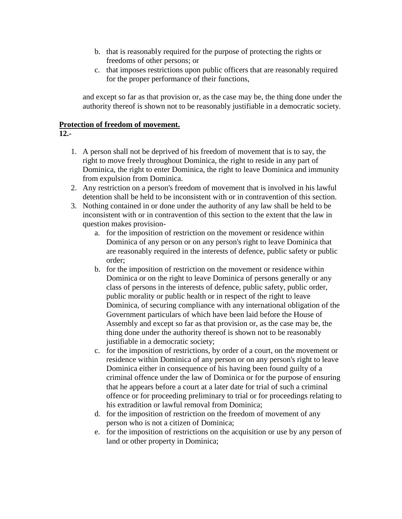- b. that is reasonably required for the purpose of protecting the rights or freedoms of other persons; or
- c. that imposes restrictions upon public officers that are reasonably required for the proper performance of their functions,

and except so far as that provision or, as the case may be, the thing done under the authority thereof is shown not to be reasonably justifiable in a democratic society.

### **[Protection of freedom of movement.](http://dominicacompanies.com/dominica/constitution/contents.html)**

- 1. A person shall not be deprived of his freedom of movement that is to say, the right to move freely throughout Dominica, the right to reside in any part of Dominica, the right to enter Dominica, the right to leave Dominica and immunity from expulsion from Dominica.
- 2. Any restriction on a person's freedom of movement that is involved in his lawful detention shall be held to be inconsistent with or in contravention of this section.
- 3. Nothing contained in or done under the authority of any law shall be held to be inconsistent with or in contravention of this section to the extent that the law in question makes provision
	- a. for the imposition of restriction on the movement or residence within Dominica of any person or on any person's right to leave Dominica that are reasonably required in the interests of defence, public safety or public order;
	- b. for the imposition of restriction on the movement or residence within Dominica or on the right to leave Dominica of persons generally or any class of persons in the interests of defence, public safety, public order, public morality or public health or in respect of the right to leave Dominica, of securing compliance with any international obligation of the Government particulars of which have been laid before the House of Assembly and except so far as that provision or, as the case may be, the thing done under the authority thereof is shown not to be reasonably justifiable in a democratic society;
	- c. for the imposition of restrictions, by order of a court, on the movement or residence within Dominica of any person or on any person's right to leave Dominica either in consequence of his having been found guilty of a criminal offence under the law of Dominica or for the purpose of ensuring that he appears before a court at a later date for trial of such a criminal offence or for proceeding preliminary to trial or for proceedings relating to his extradition or lawful removal from Dominica;
	- d. for the imposition of restriction on the freedom of movement of any person who is not a citizen of Dominica;
	- e. for the imposition of restrictions on the acquisition or use by any person of land or other property in Dominica;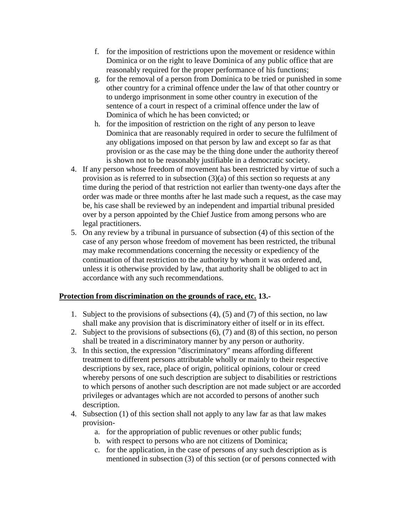- f. for the imposition of restrictions upon the movement or residence within Dominica or on the right to leave Dominica of any public office that are reasonably required for the proper performance of his functions;
- g. for the removal of a person from Dominica to be tried or punished in some other country for a criminal offence under the law of that other country or to undergo imprisonment in some other country in execution of the sentence of a court in respect of a criminal offence under the law of Dominica of which he has been convicted; or
- h. for the imposition of restriction on the right of any person to leave Dominica that are reasonably required in order to secure the fulfilment of any obligations imposed on that person by law and except so far as that provision or as the case may be the thing done under the authority thereof is shown not to be reasonably justifiable in a democratic society.
- 4. If any person whose freedom of movement has been restricted by virtue of such a provision as is referred to in subsection  $(3)(a)$  of this section so requests at any time during the period of that restriction not earlier than twenty-one days after the order was made or three months after he last made such a request, as the case may be, his case shall be reviewed by an independent and impartial tribunal presided over by a person appointed by the Chief Justice from among persons who are legal practitioners.
- 5. On any review by a tribunal in pursuance of subsection (4) of this section of the case of any person whose freedom of movement has been restricted, the tribunal may make recommendations concerning the necessity or expediency of the continuation of that restriction to the authority by whom it was ordered and, unless it is otherwise provided by law, that authority shall be obliged to act in accordance with any such recommendations.

## **[Protection from discrimination on the grounds of race, etc.](http://dominicacompanies.com/dominica/constitution/contents.html) 13.-**

- 1. Subject to the provisions of subsections (4), (5) and (7) of this section, no law shall make any provision that is discriminatory either of itself or in its effect.
- 2. Subject to the provisions of subsections (6), (7) and (8) of this section, no person shall be treated in a discriminatory manner by any person or authority.
- 3. In this section, the expression "discriminatory" means affording different treatment to different persons attributable wholly or mainly to their respective descriptions by sex, race, place of origin, political opinions, colour or creed whereby persons of one such description are subject to disabilities or restrictions to which persons of another such description are not made subject or are accorded privileges or advantages which are not accorded to persons of another such description.
- 4. Subsection (1) of this section shall not apply to any law far as that law makes provision
	- a. for the appropriation of public revenues or other public funds;
	- b. with respect to persons who are not citizens of Dominica;
	- c. for the application, in the case of persons of any such description as is mentioned in subsection (3) of this section (or of persons connected with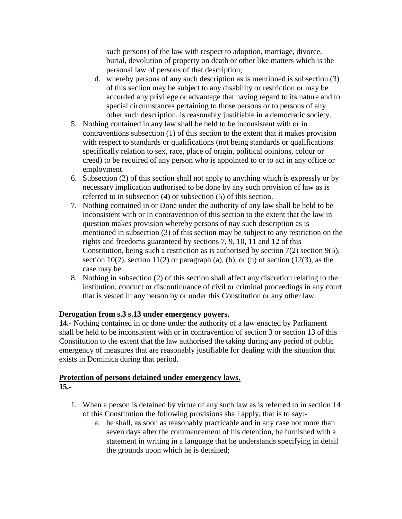such persons) of the law with respect to adoption, marriage, divorce, burial, devolution of property on death or other like matters which is the personal law of persons of that description;

- d. whereby persons of any such description as is mentioned is subsection (3) of this section may be subject to any disability or restriction or may be accorded any privilege or advantage that having regard to its nature and to special circumstances pertaining to those persons or to persons of any other such description, is reasonably justifiable in a democratic society.
- 5. Nothing contained in any law shall be held to be inconsistent with or in contraventions subsection (1) of this section to the extent that it makes provision with respect to standards or qualifications (not being standards or qualifications specifically relation to sex, race, place of origin, political opinions, colour or creed) to be required of any person who is appointed to or to act in any office or employment.
- 6. Subsection (2) of this section shall not apply to anything which is expressly or by necessary implication authorised to be done by any such provision of law as is referred to in subsection (4) or subsection (5) of this section.
- 7. Nothing contained in or Done under the authority of any law shall be held to be inconsistent with or in contravention of this section to the extent that the law in question makes provision whereby persons of nay such description as is mentioned in subsection (3) of this section may be subject to any restriction on the rights and freedoms guaranteed by sections 7, 9, 10, 11 and 12 of this Constitution, being such a restriction as is authorised by section 7(2) section 9(5), section 10(2), section 11(2) or paragraph (a), (b), or (h) of section (12(3), as the case may be.
- 8. Nothing in subsection (2) of this section shall affect any discretion relating to the institution, conduct or discontinuance of civil or criminal proceedings in any court that is vested in any person by or under this Constitution or any other law.

## **[Derogation from s.3 s.13 under emergency powers.](http://dominicacompanies.com/dominica/constitution/contents.html)**

**14.-** Nothing contained in or done under the authority of a law enacted by Parliament shall be held to be inconsistent with or in contravention of section 3 or section 13 of this Constitution to the extent that the law authorised the taking during any period of public emergency of measures that are reasonably justifiable for dealing with the situation that exists in Dominica during that period.

## **[Protection of persons detained under emergency laws.](http://dominicacompanies.com/dominica/constitution/contents.html) 15.-**

- 1. When a person is detained by virtue of any such law as is referred to in section 14 of this Constitution the following provisions shall apply, that is to say:
	- a. he shall, as soon as reasonably practicable and in any case not more than seven days after the commencement of his detention, be furnished with a statement in writing in a language that he understands specifying in detail the grounds upon which he is detained;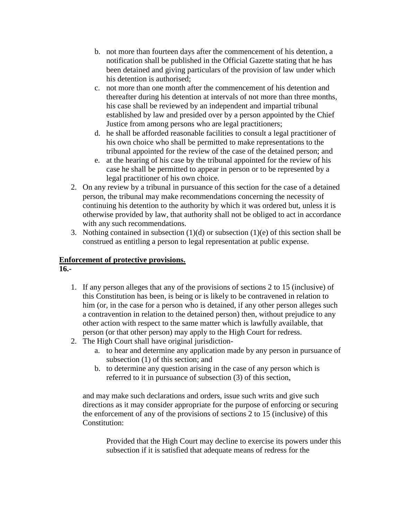- b. not more than fourteen days after the commencement of his detention, a notification shall be published in the Official Gazette stating that he has been detained and giving particulars of the provision of law under which his detention is authorised;
- c. not more than one month after the commencement of his detention and thereafter during his detention at intervals of not more than three months, his case shall be reviewed by an independent and impartial tribunal established by law and presided over by a person appointed by the Chief Justice from among persons who are legal practitioners;
- d. he shall be afforded reasonable facilities to consult a legal practitioner of his own choice who shall be permitted to make representations to the tribunal appointed for the review of the case of the detained person; and
- e. at the hearing of his case by the tribunal appointed for the review of his case he shall be permitted to appear in person or to be represented by a legal practitioner of his own choice.
- 2. On any review by a tribunal in pursuance of this section for the case of a detained person, the tribunal may make recommendations concerning the necessity of continuing his detention to the authority by which it was ordered but, unless it is otherwise provided by law, that authority shall not be obliged to act in accordance with any such recommendations.
- 3. Nothing contained in subsection  $(1)(d)$  or subsection  $(1)(e)$  of this section shall be construed as entitling a person to legal representation at public expense.

## **[Enforcement of protective provisions.](http://dominicacompanies.com/dominica/constitution/contents.html)**

## **16.-**

- 1. If any person alleges that any of the provisions of sections 2 to 15 (inclusive) of this Constitution has been, is being or is likely to be contravened in relation to him (or, in the case for a person who is detained, if any other person alleges such a contravention in relation to the detained person) then, without prejudice to any other action with respect to the same matter which is lawfully available, that person (or that other person) may apply to the High Court for redress.
- 2. The High Court shall have original jurisdiction
	- a. to hear and determine any application made by any person in pursuance of subsection (1) of this section; and
	- b. to determine any question arising in the case of any person which is referred to it in pursuance of subsection (3) of this section,

and may make such declarations and orders, issue such writs and give such directions as it may consider appropriate for the purpose of enforcing or securing the enforcement of any of the provisions of sections 2 to 15 (inclusive) of this Constitution:

Provided that the High Court may decline to exercise its powers under this subsection if it is satisfied that adequate means of redress for the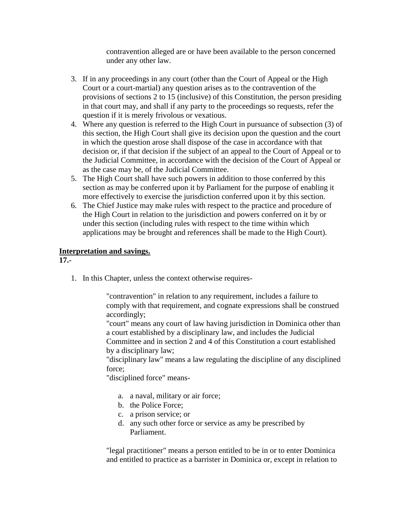contravention alleged are or have been available to the person concerned under any other law.

- 3. If in any proceedings in any court (other than the Court of Appeal or the High Court or a court-martial) any question arises as to the contravention of the provisions of sections 2 to 15 (inclusive) of this Constitution, the person presiding in that court may, and shall if any party to the proceedings so requests, refer the question if it is merely frivolous or vexatious.
- 4. Where any question is referred to the High Court in pursuance of subsection (3) of this section, the High Court shall give its decision upon the question and the court in which the question arose shall dispose of the case in accordance with that decision or, if that decision if the subject of an appeal to the Court of Appeal or to the Judicial Committee, in accordance with the decision of the Court of Appeal or as the case may be, of the Judicial Committee.
- 5. The High Court shall have such powers in addition to those conferred by this section as may be conferred upon it by Parliament for the purpose of enabling it more effectively to exercise the jurisdiction conferred upon it by this section.
- 6. The Chief Justice may make rules with respect to the practice and procedure of the High Court in relation to the jurisdiction and powers conferred on it by or under this section (including rules with respect to the time within which applications may be brought and references shall be made to the High Court).

## **[Interpretation and savings.](http://dominicacompanies.com/dominica/constitution/contents.html)**

**17.-**

1. In this Chapter, unless the context otherwise requires-

"contravention" in relation to any requirement, includes a failure to comply with that requirement, and cognate expressions shall be construed accordingly;

"court" means any court of law having jurisdiction in Dominica other than a court established by a disciplinary law, and includes the Judicial Committee and in section 2 and 4 of this Constitution a court established by a disciplinary law;

"disciplinary law" means a law regulating the discipline of any disciplined force;

"disciplined force" means-

- a. a naval, military or air force;
- b. the Police Force;
- c. a prison service; or
- d. any such other force or service as amy be prescribed by Parliament.

"legal practitioner" means a person entitled to be in or to enter Dominica and entitled to practice as a barrister in Dominica or, except in relation to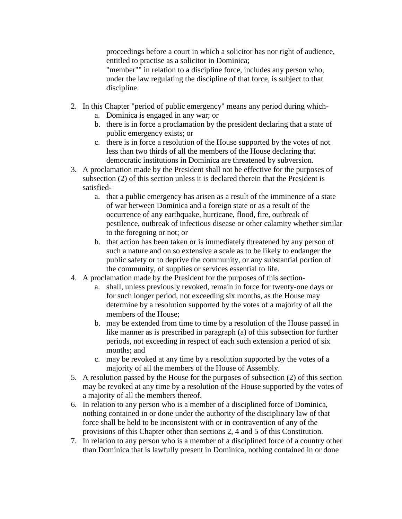proceedings before a court in which a solicitor has nor right of audience, entitled to practise as a solicitor in Dominica;

"member"" in relation to a discipline force, includes any person who, under the law regulating the discipline of that force, is subject to that discipline.

- 2. In this Chapter "period of public emergency" means any period during which
	- a. Dominica is engaged in any war; or
	- b. there is in force a proclamation by the president declaring that a state of public emergency exists; or
	- c. there is in force a resolution of the House supported by the votes of not less than two thirds of all the members of the House declaring that democratic institutions in Dominica are threatened by subversion.
- 3. A proclamation made by the President shall not be effective for the purposes of subsection (2) of this section unless it is declared therein that the President is satisfied
	- a. that a public emergency has arisen as a result of the imminence of a state of war between Dominica and a foreign state or as a result of the occurrence of any earthquake, hurricane, flood, fire, outbreak of pestilence, outbreak of infectious disease or other calamity whether similar to the foregoing or not; or
	- b. that action has been taken or is immediately threatened by any person of such a nature and on so extensive a scale as to be likely to endanger the public safety or to deprive the community, or any substantial portion of the community, of supplies or services essential to life.
- 4. A proclamation made by the President for the purposes of this section
	- a. shall, unless previously revoked, remain in force for twenty-one days or for such longer period, not exceeding six months, as the House may determine by a resolution supported by the votes of a majority of all the members of the House;
	- b. may be extended from time to time by a resolution of the House passed in like manner as is prescribed in paragraph (a) of this subsection for further periods, not exceeding in respect of each such extension a period of six months; and
	- c. may be revoked at any time by a resolution supported by the votes of a majority of all the members of the House of Assembly.
- 5. A resolution passed by the House for the purposes of subsection (2) of this section may be revoked at any time by a resolution of the House supported by the votes of a majority of all the members thereof.
- 6. In relation to any person who is a member of a disciplined force of Dominica, nothing contained in or done under the authority of the disciplinary law of that force shall be held to be inconsistent with or in contravention of any of the provisions of this Chapter other than sections 2, 4 and 5 of this Constitution.
- 7. In relation to any person who is a member of a disciplined force of a country other than Dominica that is lawfully present in Dominica, nothing contained in or done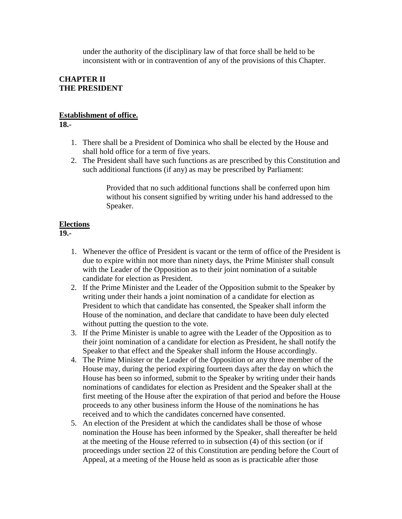under the authority of the disciplinary law of that force shall be held to be inconsistent with or in contravention of any of the provisions of this Chapter.

## **CHAPTER II THE PRESIDENT**

### **[Establishment of office.](http://dominicacompanies.com/dominica/constitution/contents.html)**

**18.-**

- 1. There shall be a President of Dominica who shall be elected by the House and shall hold office for a term of five years.
- 2. The President shall have such functions as are prescribed by this Constitution and such additional functions (if any) as may be prescribed by Parliament:

Provided that no such additional functions shall be conferred upon him without his consent signified by writing under his hand addressed to the Speaker.

#### **[Elections](http://dominicacompanies.com/dominica/constitution/contents.html)**

- 1. Whenever the office of President is vacant or the term of office of the President is due to expire within not more than ninety days, the Prime Minister shall consult with the Leader of the Opposition as to their joint nomination of a suitable candidate for election as President.
- 2. If the Prime Minister and the Leader of the Opposition submit to the Speaker by writing under their hands a joint nomination of a candidate for election as President to which that candidate has consented, the Speaker shall inform the House of the nomination, and declare that candidate to have been duly elected without putting the question to the vote.
- 3. If the Prime Minister is unable to agree with the Leader of the Opposition as to their joint nomination of a candidate for election as President, he shall notify the Speaker to that effect and the Speaker shall inform the House accordingly.
- 4. The Prime Minister or the Leader of the Opposition or any three member of the House may, during the period expiring fourteen days after the day on which the House has been so informed, submit to the Speaker by writing under their hands nominations of candidates for election as President and the Speaker shall at the first meeting of the House after the expiration of that period and before the House proceeds to any other business inform the House of the nominations he has received and to which the candidates concerned have consented.
- 5. An election of the President at which the candidates shall be those of whose nomination the House has been informed by the Speaker, shall thereafter be held at the meeting of the House referred to in subsection (4) of this section (or if proceedings under section 22 of this Constitution are pending before the Court of Appeal, at a meeting of the House held as soon as is practicable after those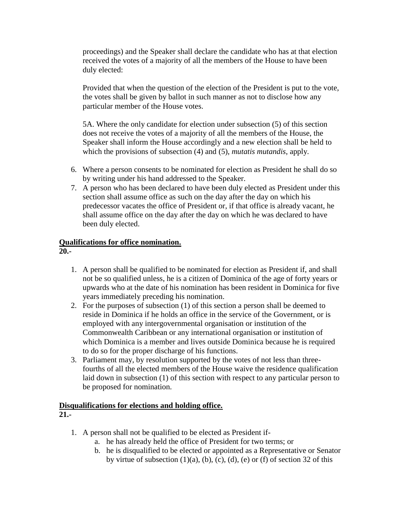proceedings) and the Speaker shall declare the candidate who has at that election received the votes of a majority of all the members of the House to have been duly elected:

Provided that when the question of the election of the President is put to the vote, the votes shall be given by ballot in such manner as not to disclose how any particular member of the House votes.

5A. Where the only candidate for election under subsection (5) of this section does not receive the votes of a majority of all the members of the House, the Speaker shall inform the House accordingly and a new election shall be held to which the provisions of subsection (4) and (5), *mutatis mutandis*, apply.

- 6. Where a person consents to be nominated for election as President he shall do so by writing under his hand addressed to the Speaker.
- 7. A person who has been declared to have been duly elected as President under this section shall assume office as such on the day after the day on which his predecessor vacates the office of President or, if that office is already vacant, he shall assume office on the day after the day on which he was declared to have been duly elected.

## **[Qualifications for office nomination.](http://dominicacompanies.com/dominica/constitution/contents.html)**

**20.-**

- 1. A person shall be qualified to be nominated for election as President if, and shall not be so qualified unless, he is a citizen of Dominica of the age of forty years or upwards who at the date of his nomination has been resident in Dominica for five years immediately preceding his nomination.
- 2. For the purposes of subsection (1) of this section a person shall be deemed to reside in Dominica if he holds an office in the service of the Government, or is employed with any intergovernmental organisation or institution of the Commonwealth Caribbean or any international organisation or institution of which Dominica is a member and lives outside Dominica because he is required to do so for the proper discharge of his functions.
- 3. Parliament may, by resolution supported by the votes of not less than threefourths of all the elected members of the House waive the residence qualification laid down in subsection (1) of this section with respect to any particular person to be proposed for nomination.

## **[Disqualifications for elections and holding office.](http://dominicacompanies.com/dominica/constitution/contents.html) 21.-**

- 1. A person shall not be qualified to be elected as President if
	- a. he has already held the office of President for two terms; or
	- b. he is disqualified to be elected or appointed as a Representative or Senator by virtue of subsection  $(1)(a)$ ,  $(b)$ ,  $(c)$ ,  $(d)$ ,  $(e)$  or  $(f)$  of section 32 of this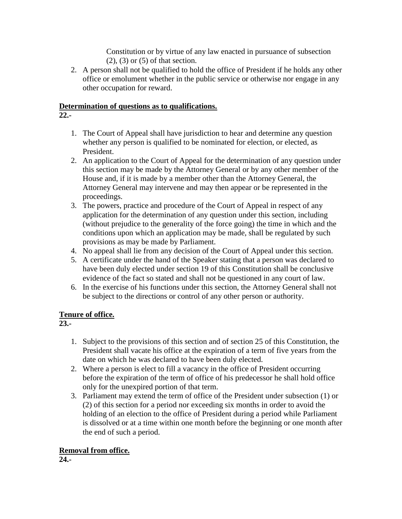Constitution or by virtue of any law enacted in pursuance of subsection  $(2)$ ,  $(3)$  or  $(5)$  of that section.

2. A person shall not be qualified to hold the office of President if he holds any other office or emolument whether in the public service or otherwise nor engage in any other occupation for reward.

## **[Determination of questions as to qualifications.](http://dominicacompanies.com/dominica/constitution/contents.html)**

**22.-**

- 1. The Court of Appeal shall have jurisdiction to hear and determine any question whether any person is qualified to be nominated for election, or elected, as President.
- 2. An application to the Court of Appeal for the determination of any question under this section may be made by the Attorney General or by any other member of the House and, if it is made by a member other than the Attorney General, the Attorney General may intervene and may then appear or be represented in the proceedings.
- 3. The powers, practice and procedure of the Court of Appeal in respect of any application for the determination of any question under this section, including (without prejudice to the generality of the force going) the time in which and the conditions upon which an application may be made, shall be regulated by such provisions as may be made by Parliament.
- 4. No appeal shall lie from any decision of the Court of Appeal under this section.
- 5. A certificate under the hand of the Speaker stating that a person was declared to have been duly elected under section 19 of this Constitution shall be conclusive evidence of the fact so stated and shall not be questioned in any court of law.
- 6. In the exercise of his functions under this section, the Attorney General shall not be subject to the directions or control of any other person or authority.

## **[Tenure of office.](http://dominicacompanies.com/dominica/constitution/contents.html)**

**23.-**

- 1. Subject to the provisions of this section and of section 25 of this Constitution, the President shall vacate his office at the expiration of a term of five years from the date on which he was declared to have been duly elected.
- 2. Where a person is elect to fill a vacancy in the office of President occurring before the expiration of the term of office of his predecessor he shall hold office only for the unexpired portion of that term.
- 3. Parliament may extend the term of office of the President under subsection (1) or (2) of this section for a period nor exceeding six months in order to avoid the holding of an election to the office of President during a period while Parliament is dissolved or at a time within one month before the beginning or one month after the end of such a period.

## **[Removal from office.](http://dominicacompanies.com/dominica/constitution/contents.html)**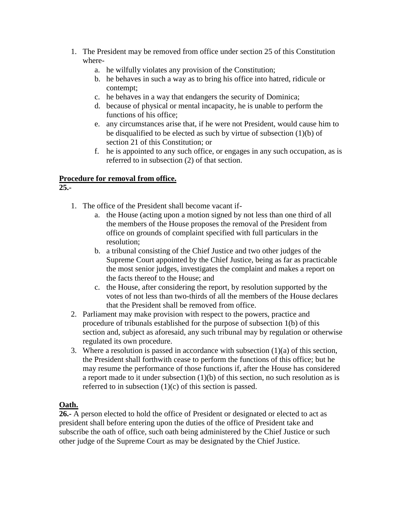- 1. The President may be removed from office under section 25 of this Constitution where
	- a. he wilfully violates any provision of the Constitution;
	- b. he behaves in such a way as to bring his office into hatred, ridicule or contempt;
	- c. he behaves in a way that endangers the security of Dominica;
	- d. because of physical or mental incapacity, he is unable to perform the functions of his office;
	- e. any circumstances arise that, if he were not President, would cause him to be disqualified to be elected as such by virtue of subsection (1)(b) of section 21 of this Constitution; or
	- f. he is appointed to any such office, or engages in any such occupation, as is referred to in subsection (2) of that section.

## **[Procedure for removal from office.](http://dominicacompanies.com/dominica/constitution/contents.html)**

**25.-**

- 1. The office of the President shall become vacant if
	- a. the House (acting upon a motion signed by not less than one third of all the members of the House proposes the removal of the President from office on grounds of complaint specified with full particulars in the resolution;
	- b. a tribunal consisting of the Chief Justice and two other judges of the Supreme Court appointed by the Chief Justice, being as far as practicable the most senior judges, investigates the complaint and makes a report on the facts thereof to the House; and
	- c. the House, after considering the report, by resolution supported by the votes of not less than two-thirds of all the members of the House declares that the President shall be removed from office.
- 2. Parliament may make provision with respect to the powers, practice and procedure of tribunals established for the purpose of subsection 1(b) of this section and, subject as aforesaid, any such tribunal may by regulation or otherwise regulated its own procedure.
- 3. Where a resolution is passed in accordance with subsection (1)(a) of this section, the President shall forthwith cease to perform the functions of this office; but he may resume the performance of those functions if, after the House has considered a report made to it under subsection (1)(b) of this section, no such resolution as is referred to in subsection (1)(c) of this section is passed.

## **[Oath.](http://dominicacompanies.com/dominica/constitution/contents.html)**

**26.-** A person elected to hold the office of President or designated or elected to act as president shall before entering upon the duties of the office of President take and subscribe the oath of office, such oath being administered by the Chief Justice or such other judge of the Supreme Court as may be designated by the Chief Justice.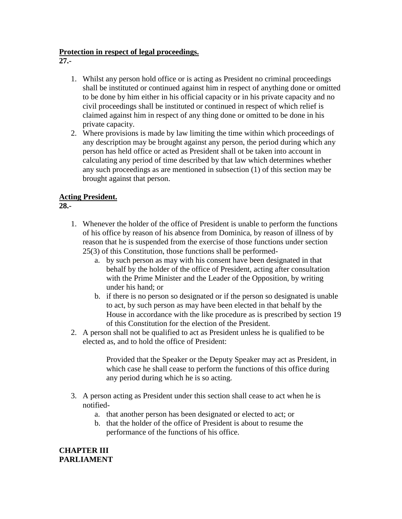#### **[Protection in respect of legal proceedings.](http://dominicacompanies.com/dominica/constitution/contents.html)**

**27.-**

- 1. Whilst any person hold office or is acting as President no criminal proceedings shall be instituted or continued against him in respect of anything done or omitted to be done by him either in his official capacity or in his private capacity and no civil proceedings shall be instituted or continued in respect of which relief is claimed against him in respect of any thing done or omitted to be done in his private capacity.
- 2. Where provisions is made by law limiting the time within which proceedings of any description may be brought against any person, the period during which any person has held office or acted as President shall ot be taken into account in calculating any period of time described by that law which determines whether any such proceedings as are mentioned in subsection (1) of this section may be brought against that person.

## **[Acting President.](http://dominicacompanies.com/dominica/constitution/contents.html)**

## **28.-**

- 1. Whenever the holder of the office of President is unable to perform the functions of his office by reason of his absence from Dominica, by reason of illness of by reason that he is suspended from the exercise of those functions under section 25(3) of this Constitution, those functions shall be performed
	- a. by such person as may with his consent have been designated in that behalf by the holder of the office of President, acting after consultation with the Prime Minister and the Leader of the Opposition, by writing under his hand; or
	- b. if there is no person so designated or if the person so designated is unable to act, by such person as may have been elected in that behalf by the House in accordance with the like procedure as is prescribed by section 19 of this Constitution for the election of the President.
- 2. A person shall not be qualified to act as President unless he is qualified to be elected as, and to hold the office of President:

Provided that the Speaker or the Deputy Speaker may act as President, in which case he shall cease to perform the functions of this office during any period during which he is so acting.

- 3. A person acting as President under this section shall cease to act when he is notified
	- a. that another person has been designated or elected to act; or
	- b. that the holder of the office of President is about to resume the performance of the functions of his office.

## **CHAPTER III PARLIAMENT**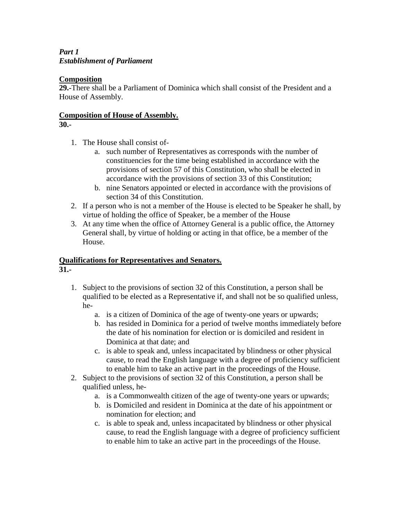## *Part 1 Establishment of Parliament*

## **[Composition](http://dominicacompanies.com/dominica/constitution/contents.html)**

**29.-**There shall be a Parliament of Dominica which shall consist of the President and a House of Assembly.

#### **[Composition of House of Assembly.](http://dominicacompanies.com/dominica/constitution/contents.html) 30.-**

- 1. The House shall consist of
	- a. such number of Representatives as corresponds with the number of constituencies for the time being established in accordance with the provisions of section 57 of this Constitution, who shall be elected in accordance with the provisions of section 33 of this Constitution;
	- b. nine Senators appointed or elected in accordance with the provisions of section 34 of this Constitution.
- 2. If a person who is not a member of the House is elected to be Speaker he shall, by virtue of holding the office of Speaker, be a member of the House
- 3. At any time when the office of Attorney General is a public office, the Attorney General shall, by virtue of holding or acting in that office, be a member of the House.

#### **[Qualifications for Representatives and Senators.](http://dominicacompanies.com/dominica/constitution/contents.html) 31.-**

- 1. Subject to the provisions of section 32 of this Constitution, a person shall be qualified to be elected as a Representative if, and shall not be so qualified unless, he
	- a. is a citizen of Dominica of the age of twenty-one years or upwards;
	- b. has resided in Dominica for a period of twelve months immediately before the date of his nomination for election or is domiciled and resident in Dominica at that date; and
	- c. is able to speak and, unless incapacitated by blindness or other physical cause, to read the English language with a degree of proficiency sufficient to enable him to take an active part in the proceedings of the House.
- 2. Subject to the provisions of section 32 of this Constitution, a person shall be qualified unless, he
	- a. is a Commonwealth citizen of the age of twenty-one years or upwards;
	- b. is Domiciled and resident in Dominica at the date of his appointment or nomination for election; and
	- c. is able to speak and, unless incapacitated by blindness or other physical cause, to read the English language with a degree of proficiency sufficient to enable him to take an active part in the proceedings of the House.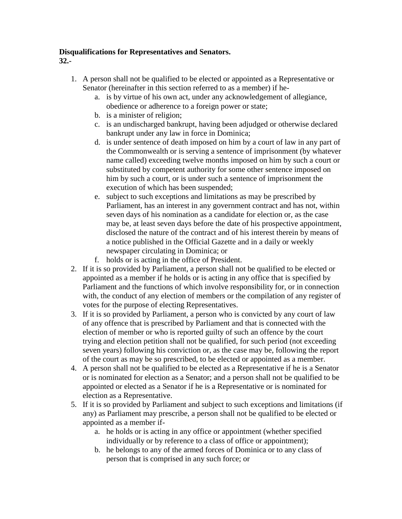## **Disqualifications for Representatives and Senators.**

- 1. A person shall not be qualified to be elected or appointed as a Representative or Senator (hereinafter in this section referred to as a member) if he
	- a. is by virtue of his own act, under any acknowledgement of allegiance, obedience or adherence to a foreign power or state;
	- b. is a minister of religion;
	- c. is an undischarged bankrupt, having been adjudged or otherwise declared bankrupt under any law in force in Dominica;
	- d. is under sentence of death imposed on him by a court of law in any part of the Commonwealth or is serving a sentence of imprisonment (by whatever name called) exceeding twelve months imposed on him by such a court or substituted by competent authority for some other sentence imposed on him by such a court, or is under such a sentence of imprisonment the execution of which has been suspended;
	- e. subject to such exceptions and limitations as may be prescribed by Parliament, has an interest in any government contract and has not, within seven days of his nomination as a candidate for election or, as the case may be, at least seven days before the date of his prospective appointment, disclosed the nature of the contract and of his interest therein by means of a notice published in the Official Gazette and in a daily or weekly newspaper circulating in Dominica; or
	- f. holds or is acting in the office of President.
- 2. If it is so provided by Parliament, a person shall not be qualified to be elected or appointed as a member if he holds or is acting in any office that is specified by Parliament and the functions of which involve responsibility for, or in connection with, the conduct of any election of members or the compilation of any register of votes for the purpose of electing Representatives.
- 3. If it is so provided by Parliament, a person who is convicted by any court of law of any offence that is prescribed by Parliament and that is connected with the election of member or who is reported guilty of such an offence by the court trying and election petition shall not be qualified, for such period (not exceeding seven years) following his conviction or, as the case may be, following the report of the court as may be so prescribed, to be elected or appointed as a member.
- 4. A person shall not be qualified to be elected as a Representative if he is a Senator or is nominated for election as a Senator; and a person shall not be qualified to be appointed or elected as a Senator if he is a Representative or is nominated for election as a Representative.
- 5. If it is so provided by Parliament and subject to such exceptions and limitations (if any) as Parliament may prescribe, a person shall not be qualified to be elected or appointed as a member if
	- a. he holds or is acting in any office or appointment (whether specified individually or by reference to a class of office or appointment);
	- b. he belongs to any of the armed forces of Dominica or to any class of person that is comprised in any such force; or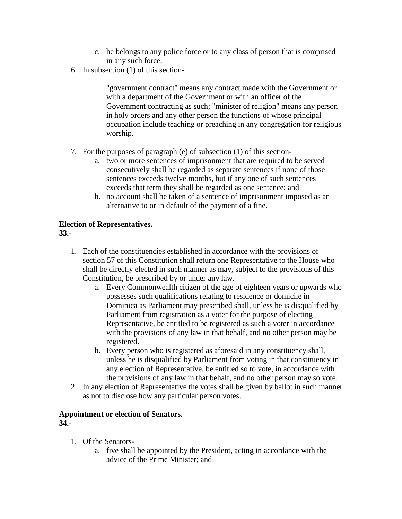- c. he belongs to any police force or to any class of person that is comprised in any such force.
- 6. In subsection (1) of this section-

"government contract" means any contract made with the Government or with a department of the Government or with an officer of the Government contracting as such; "minister of religion" means any person in holy orders and any other person the functions of whose principal occupation include teaching or preaching in any congregation for religious worship.

- 7. For the purposes of paragraph (e) of subsection (1) of this section
	- a. two or more sentences of imprisonment that are required to be served consecutively shall be regarded as separate sentences if none of those sentences exceeds twelve months, but if any one of such sentences exceeds that term they shall be regarded as one sentence; and
	- b. no account shall be taken of a sentence of imprisonment imposed as an alternative to or in default of the payment of a fine.

#### **Election of Representatives.**

#### **33.-**

- 1. Each of the constituencies established in accordance with the provisions of section 57 of this Constitution shall return one Representative to the House who shall be directly elected in such manner as may, subject to the provisions of this Constitution, be prescribed by or under any law.
	- a. Every Commonwealth citizen of the age of eighteen years or upwards who possesses such qualifications relating to residence or domicile in Dominica as Parliament may prescribed shall, unless he is disqualified by Parliament from registration as a voter for the purpose of electing Representative, be entitled to be registered as such a voter in accordance with the provisions of any law in that behalf, and no other person may be registered.
	- b. Every person who is registered as aforesaid in any constituency shall, unless he is disqualified by Parliament from voting in that constituency in any election of Representative, be entitled so to vote, in accordance with the provisions of any law in that behalf, and no other person may so vote.
- 2. In any election of Representative the votes shall be given by ballot in such manner as not to disclose how any particular person votes.

#### **Appointment or election of Senators.**

- 1. Of the Senators
	- a. five shall be appointed by the President, acting in accordance with the advice of the Prime Minister; and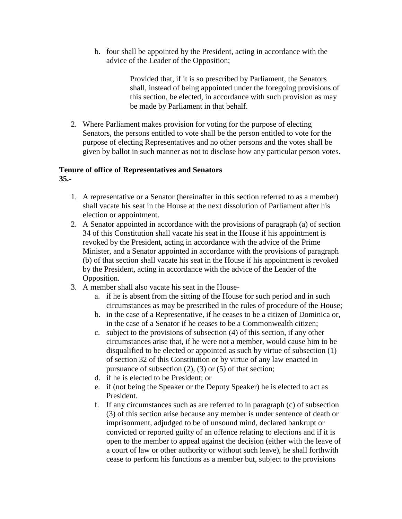b. four shall be appointed by the President, acting in accordance with the advice of the Leader of the Opposition;

> Provided that, if it is so prescribed by Parliament, the Senators shall, instead of being appointed under the foregoing provisions of this section, be elected, in accordance with such provision as may be made by Parliament in that behalf.

2. Where Parliament makes provision for voting for the purpose of electing Senators, the persons entitled to vote shall be the person entitled to vote for the purpose of electing Representatives and no other persons and the votes shall be given by ballot in such manner as not to disclose how any particular person votes.

#### **Tenure of office of Representatives and Senators 35.-**

- 1. A representative or a Senator (hereinafter in this section referred to as a member) shall vacate his seat in the House at the next dissolution of Parliament after his election or appointment.
- 2. A Senator appointed in accordance with the provisions of paragraph (a) of section 34 of this Constitution shall vacate his seat in the House if his appointment is revoked by the President, acting in accordance with the advice of the Prime Minister, and a Senator appointed in accordance with the provisions of paragraph (b) of that section shall vacate his seat in the House if his appointment is revoked by the President, acting in accordance with the advice of the Leader of the Opposition.
- 3. A member shall also vacate his seat in the House
	- a. if he is absent from the sitting of the House for such period and in such circumstances as may be prescribed in the rules of procedure of the House;
	- b. in the case of a Representative, if he ceases to be a citizen of Dominica or, in the case of a Senator if he ceases to be a Commonwealth citizen;
	- c. subject to the provisions of subsection (4) of this section, if any other circumstances arise that, if he were not a member, would cause him to be disqualified to be elected or appointed as such by virtue of subsection (1) of section 32 of this Constitution or by virtue of any law enacted in pursuance of subsection  $(2)$ ,  $(3)$  or  $(5)$  of that section;
	- d. if he is elected to be President; or
	- e. if (not being the Speaker or the Deputy Speaker) he is elected to act as President.
	- f. If any circumstances such as are referred to in paragraph (c) of subsection (3) of this section arise because any member is under sentence of death or imprisonment, adjudged to be of unsound mind, declared bankrupt or convicted or reported guilty of an offence relating to elections and if it is open to the member to appeal against the decision (either with the leave of a court of law or other authority or without such leave), he shall forthwith cease to perform his functions as a member but, subject to the provisions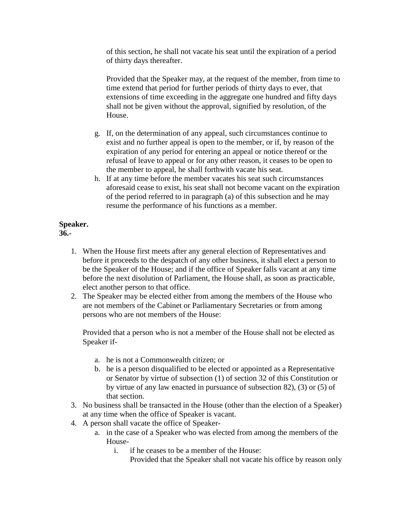of this section, he shall not vacate his seat until the expiration of a period of thirty days thereafter.

Provided that the Speaker may, at the request of the member, from time to time extend that period for further periods of thirty days to ever, that extensions of time exceeding in the aggregate one hundred and fifty days shall not be given without the approval, signified by resolution, of the House.

- g. If, on the determination of any appeal, such circumstances continue to exist and no further appeal is open to the member, or if, by reason of the expiration of any period for entering an appeal or notice thereof or the refusal of leave to appeal or for any other reason, it ceases to be open to the member to appeal, he shall forthwith vacate his seat.
- h. If at any time before the member vacates his seat such circumstances aforesaid cease to exist, his seat shall not become vacant on the expiration of the period referred to in paragraph (a) of this subsection and he may resume the performance of his functions as a member.

## **Speaker.**

- **36.-**
	- 1. When the House first meets after any general election of Representatives and before it proceeds to the despatch of any other business, it shall elect a person to be the Speaker of the House; and if the office of Speaker falls vacant at any time before the next disolution of Parliament, the House shall, as soon as practicable, elect another person to that office.
	- 2. The Speaker may be elected either from among the members of the House who are not members of the Cabinet or Parliamentary Secretaries or from among persons who are not members of the House:

Provided that a person who is not a member of the House shall not be elected as Speaker if-

- a. he is not a Commonwealth citizen; or
- b. he is a person disqualified to be elected or appointed as a Representative or Senator by virtue of subsection (1) of section 32 of this Constitution or by virtue of any law enacted in pursuance of subsection 82), (3) or (5) of that section.
- 3. No business shall be transacted in the House (other than the election of a Speaker) at any time when the office of Speaker is vacant.
- 4. A person shall vacate the office of Speaker
	- a. in the case of a Speaker who was elected from among the members of the House
		- i. if he ceases to be a member of the House:
			- Provided that the Speaker shall not vacate his office by reason only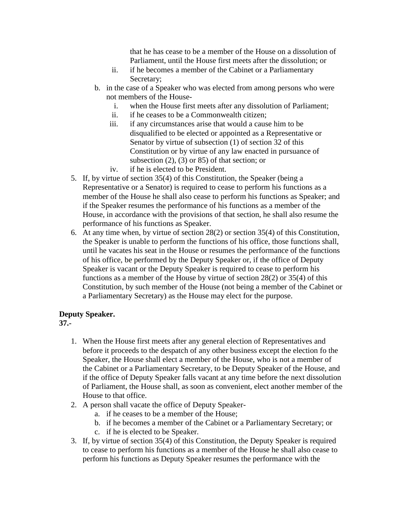that he has cease to be a member of the House on a dissolution of Parliament, until the House first meets after the dissolution; or

- ii. if he becomes a member of the Cabinet or a Parliamentary Secretary;
- b. in the case of a Speaker who was elected from among persons who were not members of the House
	- i. when the House first meets after any dissolution of Parliament;
	- ii. if he ceases to be a Commonwealth citizen;
	- iii. if any circumstances arise that would a cause him to be disqualified to be elected or appointed as a Representative or Senator by virtue of subsection (1) of section 32 of this Constitution or by virtue of any law enacted in pursuance of subsection  $(2)$ ,  $(3)$  or 85) of that section; or
	- iv. if he is elected to be President.
- 5. If, by virtue of section 35(4) of this Constitution, the Speaker (being a Representative or a Senator) is required to cease to perform his functions as a member of the House he shall also cease to perform his functions as Speaker; and if the Speaker resumes the performance of his functions as a member of the House, in accordance with the provisions of that section, he shall also resume the performance of his functions as Speaker.
- 6. At any time when, by virtue of section 28(2) or section 35(4) of this Constitution, the Speaker is unable to perform the functions of his office, those functions shall, until he vacates his seat in the House or resumes the performance of the functions of his office, be performed by the Deputy Speaker or, if the office of Deputy Speaker is vacant or the Deputy Speaker is required to cease to perform his functions as a member of the House by virtue of section 28(2) or 35(4) of this Constitution, by such member of the House (not being a member of the Cabinet or a Parliamentary Secretary) as the House may elect for the purpose.

## **Deputy Speaker.**

- 1. When the House first meets after any general election of Representatives and before it proceeds to the despatch of any other business except the election fo the Speaker, the House shall elect a member of the House, who is not a member of the Cabinet or a Parliamentary Secretary, to be Deputy Speaker of the House, and if the office of Deputy Speaker falls vacant at any time before the next dissolution of Parliament, the House shall, as soon as convenient, elect another member of the House to that office.
- 2. A person shall vacate the office of Deputy Speaker
	- a. if he ceases to be a member of the House;
	- b. if he becomes a member of the Cabinet or a Parliamentary Secretary; or
	- c. if he is elected to be Speaker.
- 3. If, by virtue of section 35(4) of this Constitution, the Deputy Speaker is required to cease to perform his functions as a member of the House he shall also cease to perform his functions as Deputy Speaker resumes the performance with the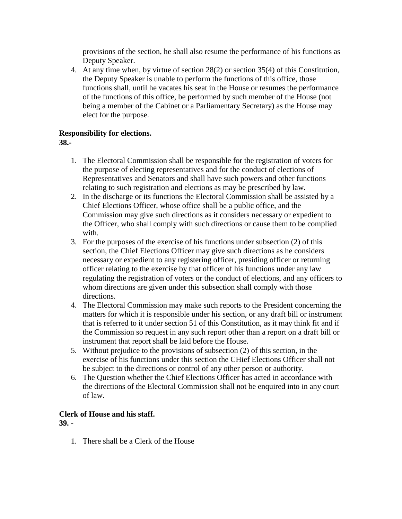provisions of the section, he shall also resume the performance of his functions as Deputy Speaker.

4. At any time when, by virtue of section 28(2) or section 35(4) of this Constitution, the Deputy Speaker is unable to perform the functions of this office, those functions shall, until he vacates his seat in the House or resumes the performance of the functions of this office, be performed by such member of the House (not being a member of the Cabinet or a Parliamentary Secretary) as the House may elect for the purpose.

## **Responsibility for elections.**

**38.-**

- 1. The Electoral Commission shall be responsible for the registration of voters for the purpose of electing representatives and for the conduct of elections of Representatives and Senators and shall have such powers and other functions relating to such registration and elections as may be prescribed by law.
- 2. In the discharge or its functions the Electoral Commission shall be assisted by a Chief Elections Officer, whose office shall be a public office, and the Commission may give such directions as it considers necessary or expedient to the Officer, who shall comply with such directions or cause them to be complied with.
- 3. For the purposes of the exercise of his functions under subsection (2) of this section, the Chief Elections Officer may give such directions as he considers necessary or expedient to any registering officer, presiding officer or returning officer relating to the exercise by that officer of his functions under any law regulating the registration of voters or the conduct of elections, and any officers to whom directions are given under this subsection shall comply with those directions.
- 4. The Electoral Commission may make such reports to the President concerning the matters for which it is responsible under his section, or any draft bill or instrument that is referred to it under section 51 of this Constitution, as it may think fit and if the Commission so request in any such report other than a report on a draft bill or instrument that report shall be laid before the House.
- 5. Without prejudice to the provisions of subsection (2) of this section, in the exercise of his functions under this section the CHief Elections Officer shall not be subject to the directions or control of any other person or authority.
- 6. The Question whether the Chief Elections Officer has acted in accordance with the directions of the Electoral Commission shall not be enquired into in any court of law.

**Clerk of House and his staff.**

**39. -**

1. There shall be a Clerk of the House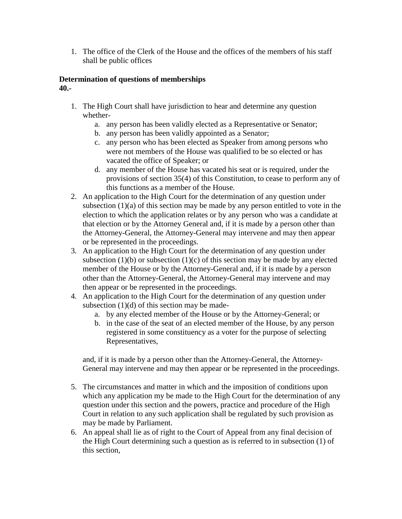1. The office of the Clerk of the House and the offices of the members of his staff shall be public offices

## **Determination of questions of memberships 40.-**

- 1. The High Court shall have jurisdiction to hear and determine any question whether
	- a. any person has been validly elected as a Representative or Senator;
	- b. any person has been validly appointed as a Senator;
	- c. any person who has been elected as Speaker from among persons who were not members of the House was qualified to be so elected or has vacated the office of Speaker; or
	- d. any member of the House has vacated his seat or is required, under the provisions of section 35(4) of this Constitution, to cease to perform any of this functions as a member of the House.
- 2. An application to the High Court for the determination of any question under subsection  $(1)(a)$  of this section may be made by any person entitled to vote in the election to which the application relates or by any person who was a candidate at that election or by the Attorney General and, if it is made by a person other than the Attorney-General, the Attorney-General may intervene and may then appear or be represented in the proceedings.
- 3. An application to the High Court for the determination of any question under subsection  $(1)(b)$  or subsection  $(1)(c)$  of this section may be made by any elected member of the House or by the Attorney-General and, if it is made by a person other than the Attorney-General, the Attorney-General may intervene and may then appear or be represented in the proceedings.
- 4. An application to the High Court for the determination of any question under subsection  $(1)(d)$  of this section may be made
	- a. by any elected member of the House or by the Attorney-General; or
	- b. in the case of the seat of an elected member of the House, by any person registered in some constituency as a voter for the purpose of selecting Representatives,

and, if it is made by a person other than the Attorney-General, the Attorney-General may intervene and may then appear or be represented in the proceedings.

- 5. The circumstances and matter in which and the imposition of conditions upon which any application my be made to the High Court for the determination of any question under this section and the powers, practice and procedure of the High Court in relation to any such application shall be regulated by such provision as may be made by Parliament.
- 6. An appeal shall lie as of right to the Court of Appeal from any final decision of the High Court determining such a question as is referred to in subsection (1) of this section,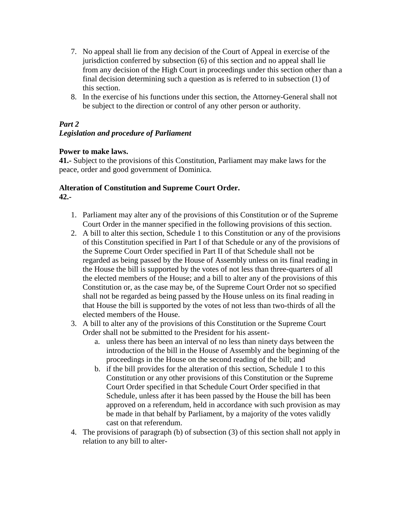- 7. No appeal shall lie from any decision of the Court of Appeal in exercise of the jurisdiction conferred by subsection (6) of this section and no appeal shall lie from any decision of the High Court in proceedings under this section other than a final decision determining such a question as is referred to in subsection (1) of this section.
- 8. In the exercise of his functions under this section, the Attorney-General shall not be subject to the direction or control of any other person or authority.

## *Part 2*

## *Legislation and procedure of Parliament*

## **Power to make laws.**

**41.-** Subject to the provisions of this Constitution, Parliament may make laws for the peace, order and good government of Dominica.

#### **Alteration of Constitution and Supreme Court Order. 42.-**

- 1. Parliament may alter any of the provisions of this Constitution or of the Supreme Court Order in the manner specified in the following provisions of this section.
- 2. A bill to alter this section, Schedule 1 to this Constitution or any of the provisions of this Constitution specified in Part I of that Schedule or any of the provisions of the Supreme Court Order specified in Part II of that Schedule shall not be regarded as being passed by the House of Assembly unless on its final reading in the House the bill is supported by the votes of not less than three-quarters of all the elected members of the House; and a bill to alter any of the provisions of this Constitution or, as the case may be, of the Supreme Court Order not so specified shall not be regarded as being passed by the House unless on its final reading in that House the bill is supported by the votes of not less than two-thirds of all the elected members of the House.
- 3. A bill to alter any of the provisions of this Constitution or the Supreme Court Order shall not be submitted to the President for his assent
	- a. unless there has been an interval of no less than ninety days between the introduction of the bill in the House of Assembly and the beginning of the proceedings in the House on the second reading of the bill; and
	- b. if the bill provides for the alteration of this section, Schedule 1 to this Constitution or any other provisions of this Constitution or the Supreme Court Order specified in that Schedule Court Order specified in that Schedule, unless after it has been passed by the House the bill has been approved on a referendum, held in accordance with such provision as may be made in that behalf by Parliament, by a majority of the votes validly cast on that referendum.
- 4. The provisions of paragraph (b) of subsection (3) of this section shall not apply in relation to any bill to alter-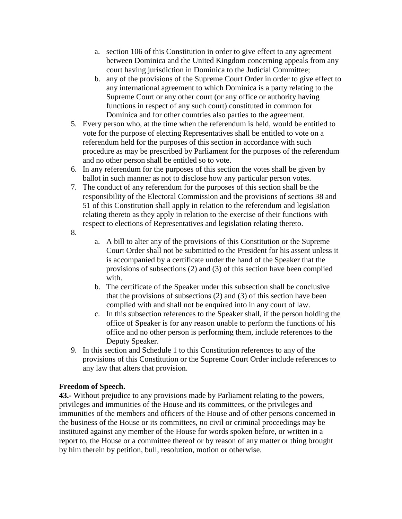- a. section 106 of this Constitution in order to give effect to any agreement between Dominica and the United Kingdom concerning appeals from any court having jurisdiction in Dominica to the Judicial Committee;
- b. any of the provisions of the Supreme Court Order in order to give effect to any international agreement to which Dominica is a party relating to the Supreme Court or any other court (or any office or authority having functions in respect of any such court) constituted in common for Dominica and for other countries also parties to the agreement.
- 5. Every person who, at the time when the referendum is held, would be entitled to vote for the purpose of electing Representatives shall be entitled to vote on a referendum held for the purposes of this section in accordance with such procedure as may be prescribed by Parliament for the purposes of the referendum and no other person shall be entitled so to vote.
- 6. In any referendum for the purposes of this section the votes shall be given by ballot in such manner as not to disclose how any particular person votes.
- 7. The conduct of any referendum for the purposes of this section shall be the responsibility of the Electoral Commission and the provisions of sections 38 and 51 of this Constitution shall apply in relation to the referendum and legislation relating thereto as they apply in relation to the exercise of their functions with respect to elections of Representatives and legislation relating thereto.
- 8.
- a. A bill to alter any of the provisions of this Constitution or the Supreme Court Order shall not be submitted to the President for his assent unless it is accompanied by a certificate under the hand of the Speaker that the provisions of subsections (2) and (3) of this section have been complied with.
- b. The certificate of the Speaker under this subsection shall be conclusive that the provisions of subsections (2) and (3) of this section have been complied with and shall not be enquired into in any court of law.
- c. In this subsection references to the Speaker shall, if the person holding the office of Speaker is for any reason unable to perform the functions of his office and no other person is performing them, include references to the Deputy Speaker.
- 9. In this section and Schedule 1 to this Constitution references to any of the provisions of this Constitution or the Supreme Court Order include references to any law that alters that provision.

## **Freedom of Speech.**

**43.-** Without prejudice to any provisions made by Parliament relating to the powers, privileges and immunities of the House and its committees, or the privileges and immunities of the members and officers of the House and of other persons concerned in the business of the House or its committees, no civil or criminal proceedings may be instituted against any member of the House for words spoken before, or written in a report to, the House or a committee thereof or by reason of any matter or thing brought by him therein by petition, bull, resolution, motion or otherwise.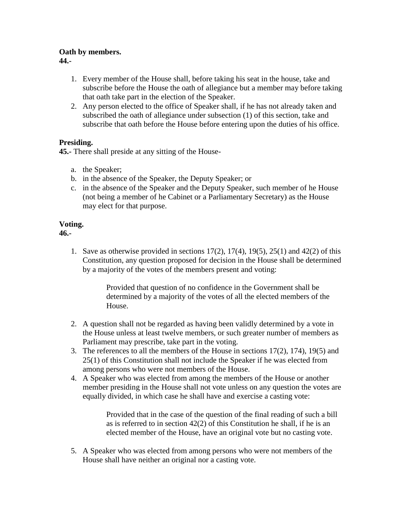## **Oath by members.**

**44.-**

- 1. Every member of the House shall, before taking his seat in the house, take and subscribe before the House the oath of allegiance but a member may before taking that oath take part in the election of the Speaker.
- 2. Any person elected to the office of Speaker shall, if he has not already taken and subscribed the oath of allegiance under subsection (1) of this section, take and subscribe that oath before the House before entering upon the duties of his office.

## **Presiding.**

**45.-** There shall preside at any sitting of the House-

- a. the Speaker;
- b. in the absence of the Speaker, the Deputy Speaker; or
- c. in the absence of the Speaker and the Deputy Speaker, such member of he House (not being a member of he Cabinet or a Parliamentary Secretary) as the House may elect for that purpose.

#### **Voting.**

**46.-**

1. Save as otherwise provided in sections 17(2), 17(4), 19(5), 25(1) and 42(2) of this Constitution, any question proposed for decision in the House shall be determined by a majority of the votes of the members present and voting:

> Provided that question of no confidence in the Government shall be determined by a majority of the votes of all the elected members of the House.

- 2. A question shall not be regarded as having been validly determined by a vote in the House unless at least twelve members, or such greater number of members as Parliament may prescribe, take part in the voting.
- 3. The references to all the members of the House in sections 17(2), 174), 19(5) and 25(1) of this Constitution shall not include the Speaker if he was elected from among persons who were not members of the House.
- 4. A Speaker who was elected from among the members of the House or another member presiding in the House shall not vote unless on any question the votes are equally divided, in which case he shall have and exercise a casting vote:

Provided that in the case of the question of the final reading of such a bill as is referred to in section 42(2) of this Constitution he shall, if he is an elected member of the House, have an original vote but no casting vote.

5. A Speaker who was elected from among persons who were not members of the House shall have neither an original nor a casting vote.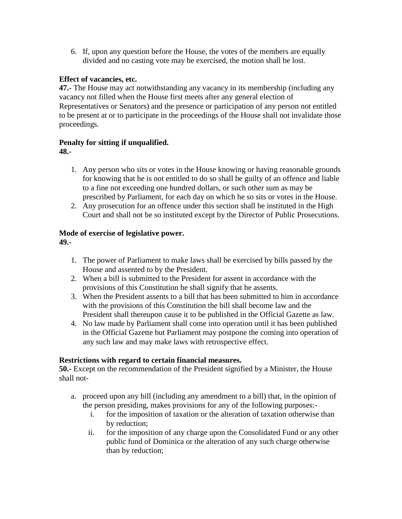6. If, upon any question before the House, the votes of the members are equally divided and no casting vote may be exercised, the motion shall be lost.

## **Effect of vacancies, etc.**

**47.-** The House may act notwithstanding any vacancy in its membership (including any vacancy not filled when the House first meets after any general election of Representatives or Senators) and the presence or participation of any person not entitled to be present at or to participate in the proceedings of the House shall not invalidate those proceedings.

# **Penalty for sitting if unqualified.**

## **48.-**

- 1. Any person who sits or votes in the House knowing or having reasonable grounds for knowing that he is not entitled to do so shall be guilty of an offence and liable to a fine not exceeding one hundred dollars, or such other sum as may be prescribed by Parliament, for each day on which he so sits or votes in the House.
- 2. Any prosecution for an offence under this section shall be instituted in the High Court and shall not be so instituted except by the Director of Public Prosecutions.

## **Mode of exercise of legislative power.**

- **49.-**
	- 1. The power of Parliament to make laws shall be exercised by bills passed by the House and assented to by the President.
	- 2. When a bill is submitted to the President for assent in accordance with the provisions of this Constitution he shall signify that he assents.
	- 3. When the President assents to a bill that has been submitted to him in accordance with the provisions of this Constitution the bill shall become law and the President shall thereupon cause it to be published in the Official Gazette as law.
	- 4. No law made by Parliament shall come into operation until it has been published in the Official Gazette but Parliament may postpone the coming into operation of any such law and may make laws with retrospective effect.

## **Restrictions with regard to certain financial measures.**

**50.-** Except on the recommendation of the President signified by a Minister, the House shall not-

- a. proceed upon any bill (including any amendment to a bill) that, in the opinion of the person presiding, makes provisions for any of the following purposes:
	- i. for the imposition of taxation or the alteration of taxation otherwise than by reduction;
	- ii. for the imposition of any charge upon the Consolidated Fund or any other public fund of Dominica or the alteration of any such charge otherwise than by reduction;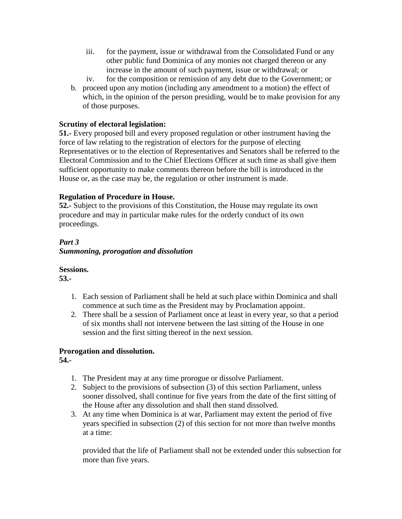- iii. for the payment, issue or withdrawal from the Consolidated Fund or any other public fund Dominica of any monies not charged thereon or any increase in the amount of such payment, issue or withdrawal; or
- iv. for the composition or remission of any debt due to the Government; or
- b. proceed upon any motion (including any amendment to a motion) the effect of which, in the opinion of the person presiding, would be to make provision for any of those purposes.

## **Scrutiny of electoral legislation:**

**51.-** Every proposed bill and every proposed regulation or other instrument having the force of law relating to the registration of electors for the purpose of electing Representatives or to the election of Representatives and Senators shall be referred to the Electoral Commission and to the Chief Elections Officer at such time as shall give them sufficient opportunity to make comments thereon before the bill is introduced in the House or, as the case may be, the regulation or other instrument is made.

## **Regulation of Procedure in House.**

**52.-** Subject to the provisions of this Constitution, the House may regulate its own procedure and may in particular make rules for the orderly conduct of its own proceedings.

## *Part 3 Summoning, prorogation and dissolution*

## **Sessions.**

**53.-**

- 1. Each session of Parliament shall be held at such place within Dominica and shall commence at such time as the President may by Proclamation appoint.
- 2. There shall be a session of Parliament once at least in every year, so that a period of six months shall not intervene between the last sitting of the House in one session and the first sitting thereof in the next session.

## **Prorogation and dissolution.**

**54.-**

- 1. The President may at any time prorogue or dissolve Parliament.
- 2. Subject to the provisions of subsection (3) of this section Parliament, unless sooner dissolved, shall continue for five years from the date of the first sitting of the House after any dissolution and shall then stand dissolved.
- 3. At any time when Dominica is at war, Parliament may extent the period of five years specified in subsection (2) of this section for not more than twelve months at a time:

provided that the life of Parliament shall not be extended under this subsection for more than five years.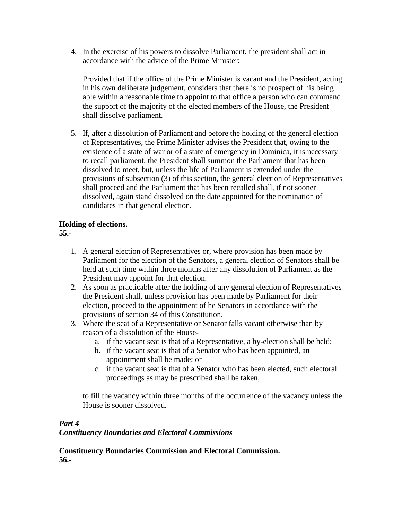4. In the exercise of his powers to dissolve Parliament, the president shall act in accordance with the advice of the Prime Minister:

Provided that if the office of the Prime Minister is vacant and the President, acting in his own deliberate judgement, considers that there is no prospect of his being able within a reasonable time to appoint to that office a person who can command the support of the majority of the elected members of the House, the President shall dissolve parliament.

5. If, after a dissolution of Parliament and before the holding of the general election of Representatives, the Prime Minister advises the President that, owing to the existence of a state of war or of a state of emergency in Dominica, it is necessary to recall parliament, the President shall summon the Parliament that has been dissolved to meet, but, unless the life of Parliament is extended under the provisions of subsection (3) of this section, the general election of Representatives shall proceed and the Parliament that has been recalled shall, if not sooner dissolved, again stand dissolved on the date appointed for the nomination of candidates in that general election.

### **Holding of elections.**

**55.-**

- 1. A general election of Representatives or, where provision has been made by Parliament for the election of the Senators, a general election of Senators shall be held at such time within three months after any dissolution of Parliament as the President may appoint for that election.
- 2. As soon as practicable after the holding of any general election of Representatives the President shall, unless provision has been made by Parliament for their election, proceed to the appointment of he Senators in accordance with the provisions of section 34 of this Constitution.
- 3. Where the seat of a Representative or Senator falls vacant otherwise than by reason of a dissolution of the House
	- a. if the vacant seat is that of a Representative, a by-election shall be held;
	- b. if the vacant seat is that of a Senator who has been appointed, an appointment shall be made; or
	- c. if the vacant seat is that of a Senator who has been elected, such electoral proceedings as may be prescribed shall be taken,

to fill the vacancy within three months of the occurrence of the vacancy unless the House is sooner dissolved.

## *Part 4*

*Constituency Boundaries and Electoral Commissions*

#### **Constituency Boundaries Commission and Electoral Commission. 56.-**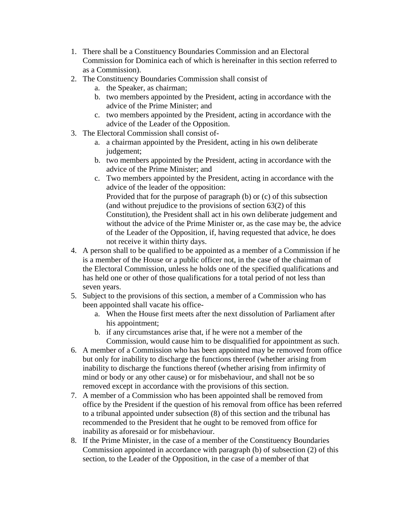- 1. There shall be a Constituency Boundaries Commission and an Electoral Commission for Dominica each of which is hereinafter in this section referred to as a Commission).
- 2. The Constituency Boundaries Commission shall consist of
	- a. the Speaker, as chairman;
	- b. two members appointed by the President, acting in accordance with the advice of the Prime Minister; and
	- c. two members appointed by the President, acting in accordance with the advice of the Leader of the Opposition.
- 3. The Electoral Commission shall consist of
	- a. a chairman appointed by the President, acting in his own deliberate judgement;
	- b. two members appointed by the President, acting in accordance with the advice of the Prime Minister; and
	- c. Two members appointed by the President, acting in accordance with the advice of the leader of the opposition: Provided that for the purpose of paragraph (b) or (c) of this subsection (and without prejudice to the provisions of section 63(2) of this Constitution), the President shall act in his own deliberate judgement and without the advice of the Prime Minister or, as the case may be, the advice of the Leader of the Opposition, if, having requested that advice, he does not receive it within thirty days.
- 4. A person shall to be qualified to be appointed as a member of a Commission if he is a member of the House or a public officer not, in the case of the chairman of the Electoral Commission, unless he holds one of the specified qualifications and has held one or other of those qualifications for a total period of not less than seven years.
- 5. Subject to the provisions of this section, a member of a Commission who has been appointed shall vacate his office
	- a. When the House first meets after the next dissolution of Parliament after his appointment;
	- b. if any circumstances arise that, if he were not a member of the Commission, would cause him to be disqualified for appointment as such.
- 6. A member of a Commission who has been appointed may be removed from office but only for inability to discharge the functions thereof (whether arising from inability to discharge the functions thereof (whether arising from infirmity of mind or body or any other cause) or for misbehaviour, and shall not be so removed except in accordance with the provisions of this section.
- 7. A member of a Commission who has been appointed shall be removed from office by the President if the question of his removal from office has been referred to a tribunal appointed under subsection (8) of this section and the tribunal has recommended to the President that he ought to be removed from office for inability as aforesaid or for misbehaviour.
- 8. If the Prime Minister, in the case of a member of the Constituency Boundaries Commission appointed in accordance with paragraph (b) of subsection (2) of this section, to the Leader of the Opposition, in the case of a member of that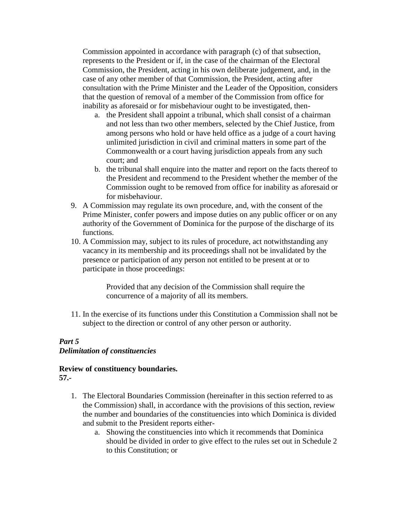Commission appointed in accordance with paragraph (c) of that subsection, represents to the President or if, in the case of the chairman of the Electoral Commission, the President, acting in his own deliberate judgement, and, in the case of any other member of that Commission, the President, acting after consultation with the Prime Minister and the Leader of the Opposition, considers that the question of removal of a member of the Commission from office for inability as aforesaid or for misbehaviour ought to be investigated, then-

- a. the President shall appoint a tribunal, which shall consist of a chairman and not less than two other members, selected by the Chief Justice, from among persons who hold or have held office as a judge of a court having unlimited jurisdiction in civil and criminal matters in some part of the Commonwealth or a court having jurisdiction appeals from any such court; and
- b. the tribunal shall enquire into the matter and report on the facts thereof to the President and recommend to the President whether the member of the Commission ought to be removed from office for inability as aforesaid or for misbehaviour.
- 9. A Commission may regulate its own procedure, and, with the consent of the Prime Minister, confer powers and impose duties on any public officer or on any authority of the Government of Dominica for the purpose of the discharge of its functions.
- 10. A Commission may, subject to its rules of procedure, act notwithstanding any vacancy in its membership and its proceedings shall not be invalidated by the presence or participation of any person not entitled to be present at or to participate in those proceedings:

Provided that any decision of the Commission shall require the concurrence of a majority of all its members.

11. In the exercise of its functions under this Constitution a Commission shall not be subject to the direction or control of any other person or authority.

#### *Part 5 Delimitation of constituencies*

## **Review of constituency boundaries.**

- 1. The Electoral Boundaries Commission (hereinafter in this section referred to as the Commission) shall, in accordance with the provisions of this section, review the number and boundaries of the constituencies into which Dominica is divided and submit to the President reports either
	- a. Showing the constituencies into which it recommends that Dominica should be divided in order to give effect to the rules set out in Schedule 2 to this Constitution; or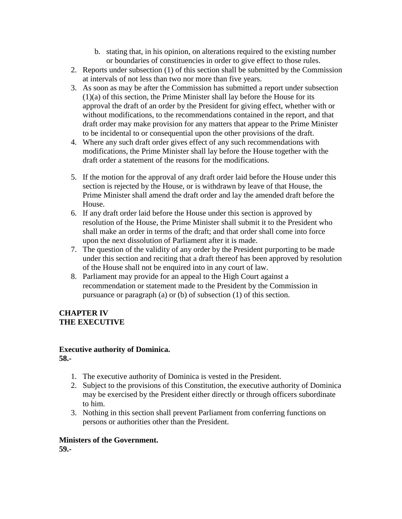- b. stating that, in his opinion, on alterations required to the existing number or boundaries of constituencies in order to give effect to those rules.
- 2. Reports under subsection (1) of this section shall be submitted by the Commission at intervals of not less than two nor more than five years.
- 3. As soon as may be after the Commission has submitted a report under subsection (1)(a) of this section, the Prime Minister shall lay before the House for its approval the draft of an order by the President for giving effect, whether with or without modifications, to the recommendations contained in the report, and that draft order may make provision for any matters that appear to the Prime Minister to be incidental to or consequential upon the other provisions of the draft.
- 4. Where any such draft order gives effect of any such recommendations with modifications, the Prime Minister shall lay before the House together with the draft order a statement of the reasons for the modifications.
- 5. If the motion for the approval of any draft order laid before the House under this section is rejected by the House, or is withdrawn by leave of that House, the Prime Minister shall amend the draft order and lay the amended draft before the House.
- 6. If any draft order laid before the House under this section is approved by resolution of the House, the Prime Minister shall submit it to the President who shall make an order in terms of the draft; and that order shall come into force upon the next dissolution of Parliament after it is made.
- 7. The question of the validity of any order by the President purporting to be made under this section and reciting that a draft thereof has been approved by resolution of the House shall not be enquired into in any court of law.
- 8. Parliament may provide for an appeal to the High Court against a recommendation or statement made to the President by the Commission in pursuance or paragraph (a) or (b) of subsection (1) of this section.

## **CHAPTER IV THE EXECUTIVE**

#### **Executive authority of Dominica. 58.-**

- 1. The executive authority of Dominica is vested in the President.
- 2. Subject to the provisions of this Constitution, the executive authority of Dominica may be exercised by the President either directly or through officers subordinate to him.
- 3. Nothing in this section shall prevent Parliament from conferring functions on persons or authorities other than the President.

## **Ministers of the Government.**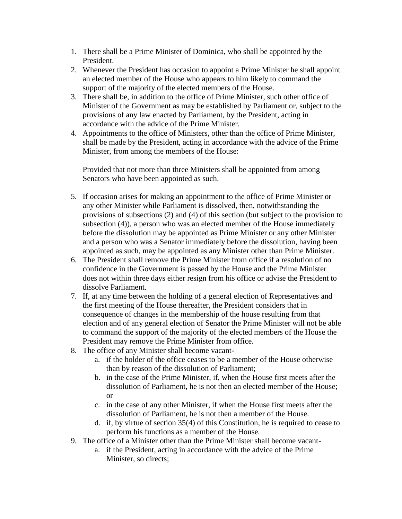- 1. There shall be a Prime Minister of Dominica, who shall be appointed by the President.
- 2. Whenever the President has occasion to appoint a Prime Minister he shall appoint an elected member of the House who appears to him likely to command the support of the majority of the elected members of the House.
- 3. There shall be, in addition to the office of Prime Minister, such other office of Minister of the Government as may be established by Parliament or, subject to the provisions of any law enacted by Parliament, by the President, acting in accordance with the advice of the Prime Minister.
- 4. Appointments to the office of Ministers, other than the office of Prime Minister, shall be made by the President, acting in accordance with the advice of the Prime Minister, from among the members of the House:

Provided that not more than three Ministers shall be appointed from among Senators who have been appointed as such.

- 5. If occasion arises for making an appointment to the office of Prime Minister or any other Minister while Parliament is dissolved, then, notwithstanding the provisions of subsections (2) and (4) of this section (but subject to the provision to subsection (4)), a person who was an elected member of the House immediately before the dissolution may be appointed as Prime Minister or any other Minister and a person who was a Senator immediately before the dissolution, having been appointed as such, may be appointed as any Minister other than Prime Minister.
- 6. The President shall remove the Prime Minister from office if a resolution of no confidence in the Government is passed by the House and the Prime Minister does not within three days either resign from his office or advise the President to dissolve Parliament.
- 7. If, at any time between the holding of a general election of Representatives and the first meeting of the House thereafter, the President considers that in consequence of changes in the membership of the house resulting from that election and of any general election of Senator the Prime Minister will not be able to command the support of the majority of the elected members of the House the President may remove the Prime Minister from office.
- 8. The office of any Minister shall become vacant
	- a. if the holder of the office ceases to be a member of the House otherwise than by reason of the dissolution of Parliament;
	- b. in the case of the Prime Minister, if, when the House first meets after the dissolution of Parliament, he is not then an elected member of the House; or
	- c. in the case of any other Minister, if when the House first meets after the dissolution of Parliament, he is not then a member of the House.
	- d. if, by virtue of section 35(4) of this Constitution, he is required to cease to perform his functions as a member of the House.
- 9. The office of a Minister other than the Prime Minister shall become vacant
	- a. if the President, acting in accordance with the advice of the Prime Minister, so directs;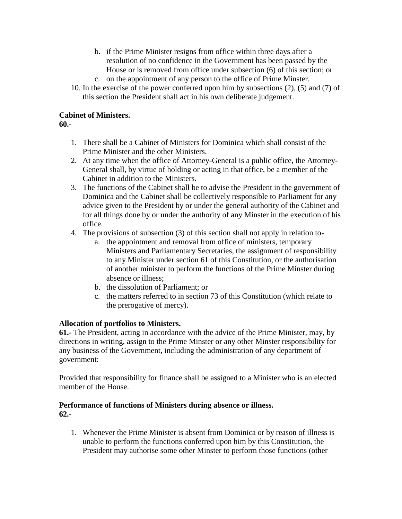- b. if the Prime Minister resigns from office within three days after a resolution of no confidence in the Government has been passed by the House or is removed from office under subsection (6) of this section; or
- c. on the appointment of any person to the office of Prime Minster.
- 10. In the exercise of the power conferred upon him by subsections (2), (5) and (7) of this section the President shall act in his own deliberate judgement.

#### **Cabinet of Ministers.**

#### **60.-**

- 1. There shall be a Cabinet of Ministers for Dominica which shall consist of the Prime Minister and the other Ministers.
- 2. At any time when the office of Attorney-General is a public office, the Attorney-General shall, by virtue of holding or acting in that office, be a member of the Cabinet in addition to the Ministers.
- 3. The functions of the Cabinet shall be to advise the President in the government of Dominica and the Cabinet shall be collectively responsible to Parliament for any advice given to the President by or under the general authority of the Cabinet and for all things done by or under the authority of any Minster in the execution of his office.
- 4. The provisions of subsection (3) of this section shall not apply in relation to
	- a. the appointment and removal from office of ministers, temporary Ministers and Parliamentary Secretaries, the assignment of responsibility to any Minister under section 61 of this Constitution, or the authorisation of another minister to perform the functions of the Prime Minster during absence or illness;
	- b. the dissolution of Parliament; or
	- c. the matters referred to in section 73 of this Constitution (which relate to the prerogative of mercy).

#### **Allocation of portfolios to Ministers.**

**61.-** The President, acting in accordance with the advice of the Prime Minister, may, by directions in writing, assign to the Prime Minster or any other Minster responsibility for any business of the Government, including the administration of any department of government:

Provided that responsibility for finance shall be assigned to a Minister who is an elected member of the House.

#### **Performance of functions of Ministers during absence or illness. 62.-**

1. Whenever the Prime Minister is absent from Dominica or by reason of illness is unable to perform the functions conferred upon him by this Constitution, the President may authorise some other Minster to perform those functions (other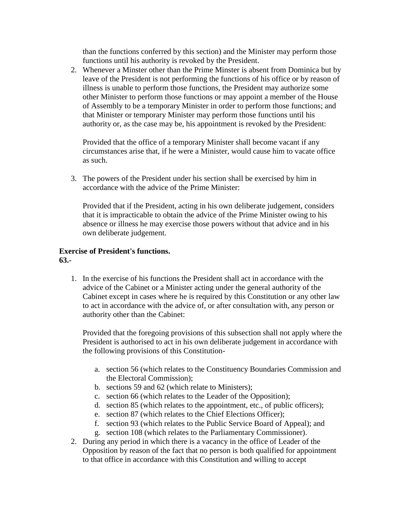than the functions conferred by this section) and the Minister may perform those functions until his authority is revoked by the President.

2. Whenever a Minster other than the Prime Minster is absent from Dominica but by leave of the President is not performing the functions of his office or by reason of illness is unable to perform those functions, the President may authorize some other Minister to perform those functions or may appoint a member of the House of Assembly to be a temporary Minister in order to perform those functions; and that Minister or temporary Minister may perform those functions until his authority or, as the case may be, his appointment is revoked by the President:

Provided that the office of a temporary Minister shall become vacant if any circumstances arise that, if he were a Minister, would cause him to vacate office as such.

3. The powers of the President under his section shall be exercised by him in accordance with the advice of the Prime Minister:

Provided that if the President, acting in his own deliberate judgement, considers that it is impracticable to obtain the advice of the Prime Minister owing to his absence or illness he may exercise those powers without that advice and in his own deliberate judgement.

#### **Exercise of President's functions.**

**63.-**

1. In the exercise of his functions the President shall act in accordance with the advice of the Cabinet or a Minister acting under the general authority of the Cabinet except in cases where he is required by this Constitution or any other law to act in accordance with the advice of, or after consultation with, any person or authority other than the Cabinet:

Provided that the foregoing provisions of this subsection shall not apply where the President is authorised to act in his own deliberate judgement in accordance with the following provisions of this Constitution-

- a. section 56 (which relates to the Constituency Boundaries Commission and the Electoral Commission);
- b. sections 59 and 62 (which relate to Ministers);
- c. section 66 (which relates to the Leader of the Opposition);
- d. section 85 (which relates to the appointment, etc., of public officers);
- e. section 87 (which relates to the Chief Elections Officer);
- f. section 93 (which relates to the Public Service Board of Appeal); and
- g. section 108 (which relates to the Parliamentary Commissioner).
- 2. During any period in which there is a vacancy in the office of Leader of the Opposition by reason of the fact that no person is both qualified for appointment to that office in accordance with this Constitution and willing to accept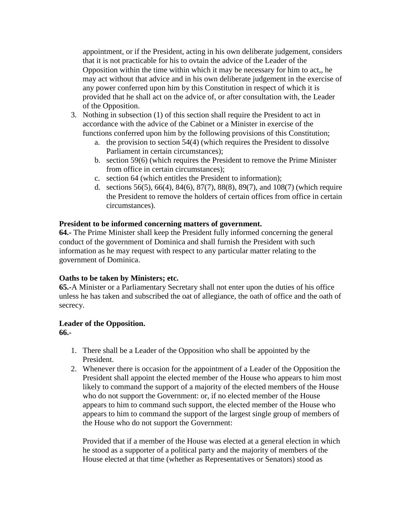appointment, or if the President, acting in his own deliberate judgement, considers that it is not practicable for his to ovtain the advice of the Leader of the Opposition within the time within which it may be necessary for him to act,, he may act without that advice and in his own deliberate judgement in the exercise of any power conferred upon him by this Constitution in respect of which it is provided that he shall act on the advice of, or after consultation with, the Leader of the Opposition.

- 3. Nothing in subsection (1) of this section shall require the President to act in accordance with the advice of the Cabinet or a Minister in exercise of the functions conferred upon him by the following provisions of this Constitution;
	- a. the provision to section 54(4) (which requires the President to dissolve Parliament in certain circumstances);
	- b. section 59(6) (which requires the President to remove the Prime Minister from office in certain circumstances);
	- c. section 64 (which entitles the President to information);
	- d. sections 56(5), 66(4), 84(6), 87(7), 88(8), 89(7), and 108(7) (which require the President to remove the holders of certain offices from office in certain circumstances).

#### **President to be informed concerning matters of government.**

**64.-** The Prime Minister shall keep the President fully informed concerning the general conduct of the government of Dominica and shall furnish the President with such information as he may request with respect to any particular matter relating to the government of Dominica.

#### **Oaths to be taken by Ministers; etc.**

**65.-**A Minister or a Parliamentary Secretary shall not enter upon the duties of his office unless he has taken and subscribed the oat of allegiance, the oath of office and the oath of secrecy.

#### **Leader of the Opposition.**

**66.-**

- 1. There shall be a Leader of the Opposition who shall be appointed by the President.
- 2. Whenever there is occasion for the appointment of a Leader of the Opposition the President shall appoint the elected member of the House who appears to him most likely to command the support of a majority of the elected members of the House who do not support the Government: or, if no elected member of the House appears to him to command such support, the elected member of the House who appears to him to command the support of the largest single group of members of the House who do not support the Government:

Provided that if a member of the House was elected at a general election in which he stood as a supporter of a political party and the majority of members of the House elected at that time (whether as Representatives or Senators) stood as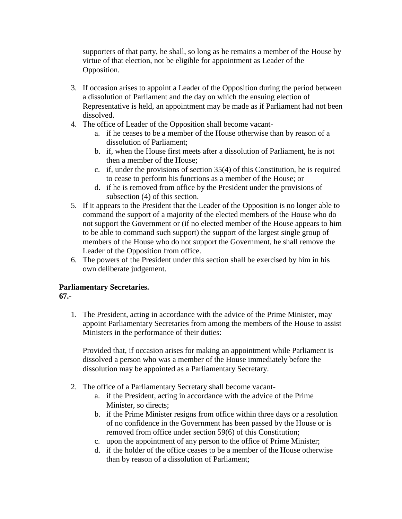supporters of that party, he shall, so long as he remains a member of the House by virtue of that election, not be eligible for appointment as Leader of the Opposition.

- 3. If occasion arises to appoint a Leader of the Opposition during the period between a dissolution of Parliament and the day on which the ensuing election of Representative is held, an appointment may be made as if Parliament had not been dissolved.
- 4. The office of Leader of the Opposition shall become vacant
	- a. if he ceases to be a member of the House otherwise than by reason of a dissolution of Parliament;
	- b. if, when the House first meets after a dissolution of Parliament, he is not then a member of the House;
	- c. if, under the provisions of section 35(4) of this Constitution, he is required to cease to perform his functions as a member of the House; or
	- d. if he is removed from office by the President under the provisions of subsection (4) of this section.
- 5. If it appears to the President that the Leader of the Opposition is no longer able to command the support of a majority of the elected members of the House who do not support the Government or (if no elected member of the House appears to him to be able to command such support) the support of the largest single group of members of the House who do not support the Government, he shall remove the Leader of the Opposition from office.
- 6. The powers of the President under this section shall be exercised by him in his own deliberate judgement.

## **Parliamentary Secretaries.**

#### **67.-**

1. The President, acting in accordance with the advice of the Prime Minister, may appoint Parliamentary Secretaries from among the members of the House to assist Ministers in the performance of their duties:

Provided that, if occasion arises for making an appointment while Parliament is dissolved a person who was a member of the House immediately before the dissolution may be appointed as a Parliamentary Secretary.

- 2. The office of a Parliamentary Secretary shall become vacant
	- a. if the President, acting in accordance with the advice of the Prime Minister, so directs;
	- b. if the Prime Minister resigns from office within three days or a resolution of no confidence in the Government has been passed by the House or is removed from office under section 59(6) of this Constitution;
	- c. upon the appointment of any person to the office of Prime Minister;
	- d. if the holder of the office ceases to be a member of the House otherwise than by reason of a dissolution of Parliament;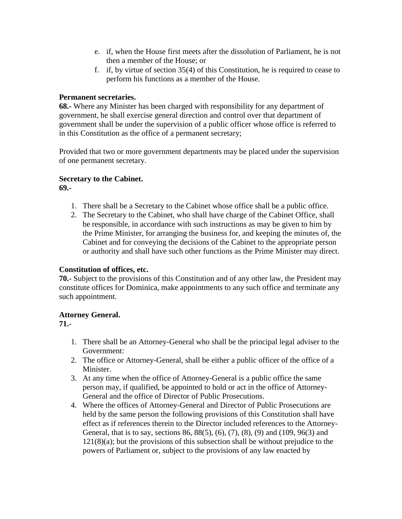- e. if, when the House first meets after the dissolution of Parliament, he is not then a member of the House; or
- f. if, by virtue of section 35(4) of this Constitution, he is required to cease to perform his functions as a member of the House.

#### **Permanent secretaries.**

**68.-** Where any Minister has been charged with responsibility for any department of government, he shall exercise general direction and control over that department of government shall be under the supervision of a public officer whose office is referred to in this Constitution as the office of a permanent secretary;

Provided that two or more government departments may be placed under the supervision of one permanent secretary.

#### **Secretary to the Cabinet.**

**69.-**

- 1. There shall be a Secretary to the Cabinet whose office shall be a public office.
- 2. The Secretary to the Cabinet, who shall have charge of the Cabinet Office, shall be responsible, in accordance with such instructions as may be given to him by the Prime Minister, for arranging the business for, and keeping the minutes of, the Cabinet and for conveying the decisions of the Cabinet to the appropriate person or authority and shall have such other functions as the Prime Minister may direct.

#### **Constitution of offices, etc.**

**70.-** Subject to the provisions of this Constitution and of any other law, the President may constitute offices for Dominica, make appointments to any such office and terminate any such appointment.

#### **Attorney General.**

- 1. There shall be an Attorney-General who shall be the principal legal adviser to the Government:
- 2. The office or Attorney-General, shall be either a public officer of the office of a Minister.
- 3. At any time when the office of Attorney-General is a public office the same person may, if qualified, be appointed to hold or act in the office of Attorney-General and the office of Director of Public Prosecutions.
- 4. Where the offices of Attorney-General and Director of Public Prosecutions are held by the same person the following provisions of this Constitution shall have effect as if references therein to the Director included references to the Attorney-General, that is to say, sections 86, 88(5), (6), (7), (8), (9) and (109, 96(3) and 121(8)(a); but the provisions of this subsection shall be without prejudice to the powers of Parliament or, subject to the provisions of any law enacted by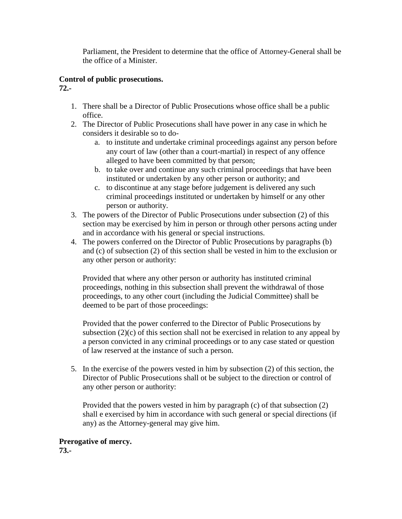Parliament, the President to determine that the office of Attorney-General shall be the office of a Minister.

## **Control of public prosecutions.**

**72.-**

- 1. There shall be a Director of Public Prosecutions whose office shall be a public office.
- 2. The Director of Public Prosecutions shall have power in any case in which he considers it desirable so to do
	- a. to institute and undertake criminal proceedings against any person before any court of law (other than a court-martial) in respect of any offence alleged to have been committed by that person;
	- b. to take over and continue any such criminal proceedings that have been instituted or undertaken by any other person or authority; and
	- c. to discontinue at any stage before judgement is delivered any such criminal proceedings instituted or undertaken by himself or any other person or authority.
- 3. The powers of the Director of Public Prosecutions under subsection (2) of this section may be exercised by him in person or through other persons acting under and in accordance with his general or special instructions.
- 4. The powers conferred on the Director of Public Prosecutions by paragraphs (b) and (c) of subsection (2) of this section shall be vested in him to the exclusion or any other person or authority:

Provided that where any other person or authority has instituted criminal proceedings, nothing in this subsection shall prevent the withdrawal of those proceedings, to any other court (including the Judicial Committee) shall be deemed to be part of those proceedings:

Provided that the power conferred to the Director of Public Prosecutions by subsection  $(2)(c)$  of this section shall not be exercised in relation to any appeal by a person convicted in any criminal proceedings or to any case stated or question of law reserved at the instance of such a person.

5. In the exercise of the powers vested in him by subsection (2) of this section, the Director of Public Prosecutions shall ot be subject to the direction or control of any other person or authority:

Provided that the powers vested in him by paragraph (c) of that subsection (2) shall e exercised by him in accordance with such general or special directions (if any) as the Attorney-general may give him.

## **Prerogative of mercy.**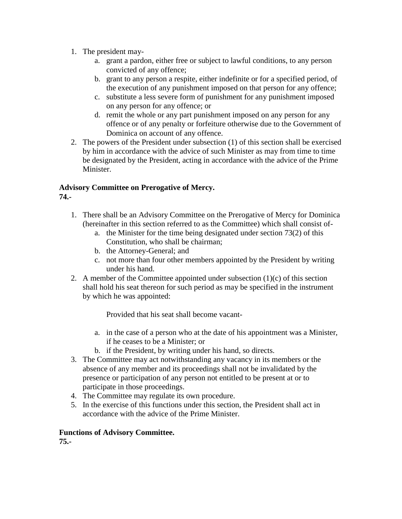- 1. The president may
	- a. grant a pardon, either free or subject to lawful conditions, to any person convicted of any offence;
	- b. grant to any person a respite, either indefinite or for a specified period, of the execution of any punishment imposed on that person for any offence;
	- c. substitute a less severe form of punishment for any punishment imposed on any person for any offence; or
	- d. remit the whole or any part punishment imposed on any person for any offence or of any penalty or forfeiture otherwise due to the Government of Dominica on account of any offence.
- 2. The powers of the President under subsection (1) of this section shall be exercised by him in accordance with the advice of such Minister as may from time to time be designated by the President, acting in accordance with the advice of the Prime Minister.

## **Advisory Committee on Prerogative of Mercy.**

**74.-**

- 1. There shall be an Advisory Committee on the Prerogative of Mercy for Dominica (hereinafter in this section referred to as the Committee) which shall consist of
	- a. the Minister for the time being designated under section 73(2) of this Constitution, who shall be chairman;
	- b. the Attorney-General; and
	- c. not more than four other members appointed by the President by writing under his hand.
- 2. A member of the Committee appointed under subsection  $(1)(c)$  of this section shall hold his seat thereon for such period as may be specified in the instrument by which he was appointed:

Provided that his seat shall become vacant-

- a. in the case of a person who at the date of his appointment was a Minister, if he ceases to be a Minister; or
- b. if the President, by writing under his hand, so directs.
- 3. The Committee may act notwithstanding any vacancy in its members or the absence of any member and its proceedings shall not be invalidated by the presence or participation of any person not entitled to be present at or to participate in those proceedings.
- 4. The Committee may regulate its own procedure.
- 5. In the exercise of this functions under this section, the President shall act in accordance with the advice of the Prime Minister.

#### **Functions of Advisory Committee.**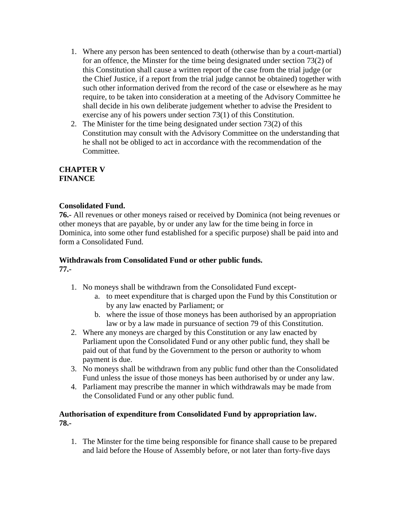- 1. Where any person has been sentenced to death (otherwise than by a court-martial) for an offence, the Minster for the time being designated under section 73(2) of this Constitution shall cause a written report of the case from the trial judge (or the Chief Justice, if a report from the trial judge cannot be obtained) together with such other information derived from the record of the case or elsewhere as he may require, to be taken into consideration at a meeting of the Advisory Committee he shall decide in his own deliberate judgement whether to advise the President to exercise any of his powers under section 73(1) of this Constitution.
- 2. The Minister for the time being designated under section 73(2) of this Constitution may consult with the Advisory Committee on the understanding that he shall not be obliged to act in accordance with the recommendation of the Committee.

#### **CHAPTER V FINANCE**

### **Consolidated Fund.**

**76.-** All revenues or other moneys raised or received by Dominica (not being revenues or other moneys that are payable, by or under any law for the time being in force in Dominica, into some other fund established for a specific purpose) shall be paid into and form a Consolidated Fund.

#### **Withdrawals from Consolidated Fund or other public funds. 77.-**

- 1. No moneys shall be withdrawn from the Consolidated Fund except
	- a. to meet expenditure that is charged upon the Fund by this Constitution or by any law enacted by Parliament; or
	- b. where the issue of those moneys has been authorised by an appropriation law or by a law made in pursuance of section 79 of this Constitution.
- 2. Where any moneys are charged by this Constitution or any law enacted by Parliament upon the Consolidated Fund or any other public fund, they shall be paid out of that fund by the Government to the person or authority to whom payment is due.
- 3. No moneys shall be withdrawn from any public fund other than the Consolidated Fund unless the issue of those moneys has been authorised by or under any law.
- 4. Parliament may prescribe the manner in which withdrawals may be made from the Consolidated Fund or any other public fund.

#### **Authorisation of expenditure from Consolidated Fund by appropriation law. 78.-**

1. The Minster for the time being responsible for finance shall cause to be prepared and laid before the House of Assembly before, or not later than forty-five days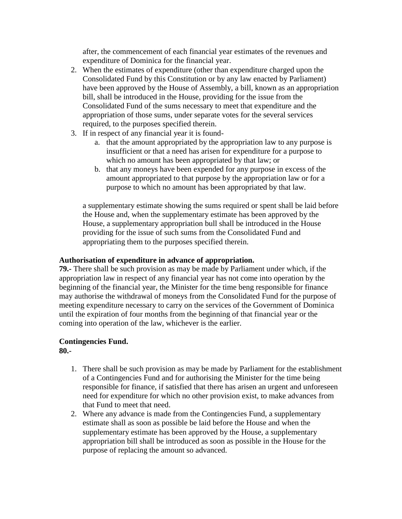after, the commencement of each financial year estimates of the revenues and expenditure of Dominica for the financial year.

- 2. When the estimates of expenditure (other than expenditure charged upon the Consolidated Fund by this Constitution or by any law enacted by Parliament) have been approved by the House of Assembly, a bill, known as an appropriation bill, shall be introduced in the House, providing for the issue from the Consolidated Fund of the sums necessary to meet that expenditure and the appropriation of those sums, under separate votes for the several services required, to the purposes specified therein.
- 3. If in respect of any financial year it is found
	- a. that the amount appropriated by the appropriation law to any purpose is insufficient or that a need has arisen for expenditure for a purpose to which no amount has been appropriated by that law; or
	- b. that any moneys have been expended for any purpose in excess of the amount appropriated to that purpose by the appropriation law or for a purpose to which no amount has been appropriated by that law.

a supplementary estimate showing the sums required or spent shall be laid before the House and, when the supplementary estimate has been approved by the House, a supplementary appropriation bull shall be introduced in the House providing for the issue of such sums from the Consolidated Fund and appropriating them to the purposes specified therein.

#### **Authorisation of expenditure in advance of appropriation.**

**79.-** There shall be such provision as may be made by Parliament under which, if the appropriation law in respect of any financial year has not come into operation by the beginning of the financial year, the Minister for the time beng responsible for finance may authorise the withdrawal of moneys from the Consolidated Fund for the purpose of meeting expenditure necessary to carry on the services of the Government of Dominica until the expiration of four months from the beginning of that financial year or the coming into operation of the law, whichever is the earlier.

#### **Contingencies Fund.**

- 1. There shall be such provision as may be made by Parliament for the establishment of a Contingencies Fund and for authorising the Minister for the time being responsible for finance, if satisfied that there has arisen an urgent and unforeseen need for expenditure for which no other provision exist, to make advances from that Fund to meet that need.
- 2. Where any advance is made from the Contingencies Fund, a supplementary estimate shall as soon as possible be laid before the House and when the supplementary estimate has been approved by the House, a supplementary appropriation bill shall be introduced as soon as possible in the House for the purpose of replacing the amount so advanced.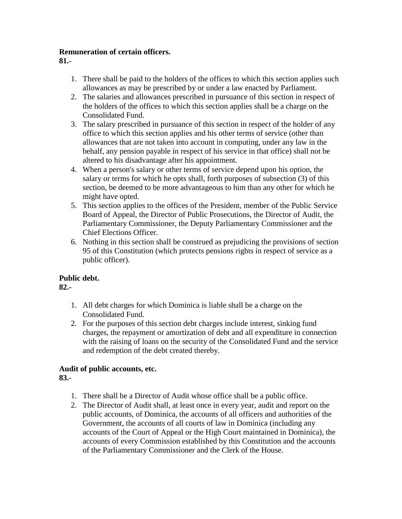#### **Remuneration of certain officers.**

**81.-**

- 1. There shall be paid to the holders of the offices to which this section applies such allowances as may be prescribed by or under a law enacted by Parliament.
- 2. The salaries and allowances prescribed in pursuance of this section in respect of the holders of the offices to which this section applies shall be a charge on the Consolidated Fund.
- 3. The salary prescribed in pursuance of this section in respect of the holder of any office to which this section applies and his other terms of service (other than allowances that are not taken into account in computing, under any law in the behalf, any pension payable in respect of his service in that office) shall not be altered to his disadvantage after his appointment.
- 4. When a person's salary or other terms of service depend upon his option, the salary or terms for which he opts shall, forth purposes of subsection (3) of this section, be deemed to be more advantageous to him than any other for which he might have opted.
- 5. This section applies to the offices of the President, member of the Public Service Board of Appeal, the Director of Public Prosecutions, the Director of Audit, the Parliamentary Commissioner, the Deputy Parliamentary Commissioner and the Chief Elections Officer.
- 6. Nothing in this section shall be construed as prejudicing the provisions of section 95 of this Constitution (which protects pensions rights in respect of service as a public officer).

## **Public debt.**

**82.-**

- 1. All debt charges for which Dominica is liable shall be a charge on the Consolidated Fund.
- 2. For the purposes of this section debt charges include interest, sinking fund charges, the repayment or amortization of debt and all expenditure in connection with the raising of loans on the security of the Consolidated Fund and the service and redemption of the debt created thereby.

#### **Audit of public accounts, etc. 83.-**

- 1. There shall be a Director of Audit whose office shall be a public office.
- 2. The Director of Audit shall, at least once in every year, audit and report on the public accounts, of Dominica, the accounts of all officers and authorities of the Government, the accounts of all courts of law in Dominica (including any accounts of the Court of Appeal or the High Court maintained in Dominica), the accounts of every Commission established by this Constitution and the accounts of the Parliamentary Commissioner and the Clerk of the House.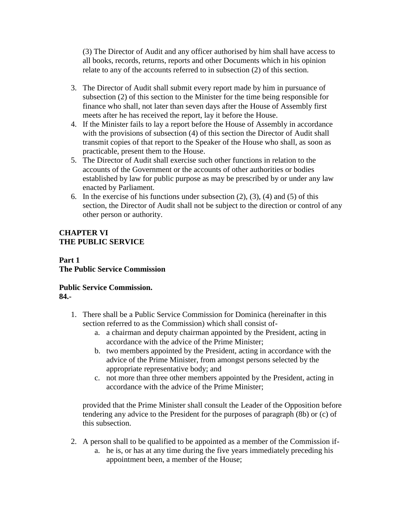(3) The Director of Audit and any officer authorised by him shall have access to all books, records, returns, reports and other Documents which in his opinion relate to any of the accounts referred to in subsection (2) of this section.

- 3. The Director of Audit shall submit every report made by him in pursuance of subsection (2) of this section to the Minister for the time being responsible for finance who shall, not later than seven days after the House of Assembly first meets after he has received the report, lay it before the House.
- 4. If the Minister fails to lay a report before the House of Assembly in accordance with the provisions of subsection (4) of this section the Director of Audit shall transmit copies of that report to the Speaker of the House who shall, as soon as practicable, present them to the House.
- 5. The Director of Audit shall exercise such other functions in relation to the accounts of the Government or the accounts of other authorities or bodies established by law for public purpose as may be prescribed by or under any law enacted by Parliament.
- 6. In the exercise of his functions under subsection  $(2)$ ,  $(3)$ ,  $(4)$  and  $(5)$  of this section, the Director of Audit shall not be subject to the direction or control of any other person or authority.

#### **CHAPTER VI THE PUBLIC SERVICE**

### **Part 1 The Public Service Commission**

#### **Public Service Commission. 84.-**

- 1. There shall be a Public Service Commission for Dominica (hereinafter in this section referred to as the Commission) which shall consist of
	- a. a chairman and deputy chairman appointed by the President, acting in accordance with the advice of the Prime Minister;
	- b. two members appointed by the President, acting in accordance with the advice of the Prime Minister, from amongst persons selected by the appropriate representative body; and
	- c. not more than three other members appointed by the President, acting in accordance with the advice of the Prime Minister;

provided that the Prime Minister shall consult the Leader of the Opposition before tendering any advice to the President for the purposes of paragraph (8b) or (c) of this subsection.

- 2. A person shall to be qualified to be appointed as a member of the Commission if
	- a. he is, or has at any time during the five years immediately preceding his appointment been, a member of the House;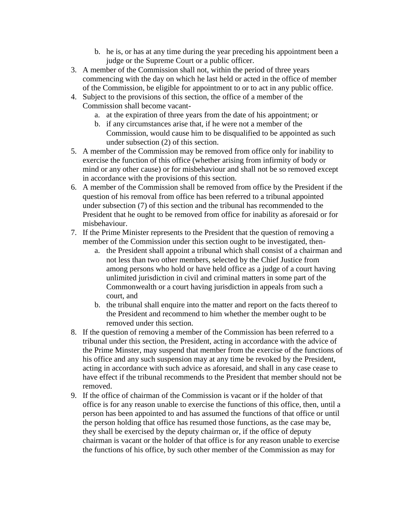- b. he is, or has at any time during the year preceding his appointment been a judge or the Supreme Court or a public officer.
- 3. A member of the Commission shall not, within the period of three years commencing with the day on which he last held or acted in the office of member of the Commission, be eligible for appointment to or to act in any public office.
- 4. Subject to the provisions of this section, the office of a member of the Commission shall become vacant
	- a. at the expiration of three years from the date of his appointment; or
	- b. if any circumstances arise that, if he were not a member of the Commission, would cause him to be disqualified to be appointed as such under subsection (2) of this section.
- 5. A member of the Commission may be removed from office only for inability to exercise the function of this office (whether arising from infirmity of body or mind or any other cause) or for misbehaviour and shall not be so removed except in accordance with the provisions of this section.
- 6. A member of the Commission shall be removed from office by the President if the question of his removal from office has been referred to a tribunal appointed under subsection (7) of this section and the tribunal has recommended to the President that he ought to be removed from office for inability as aforesaid or for misbehaviour.
- 7. If the Prime Minister represents to the President that the question of removing a member of the Commission under this section ought to be investigated, then
	- a. the President shall appoint a tribunal which shall consist of a chairman and not less than two other members, selected by the Chief Justice from among persons who hold or have held office as a judge of a court having unlimited jurisdiction in civil and criminal matters in some part of the Commonwealth or a court having jurisdiction in appeals from such a court, and
	- b. the tribunal shall enquire into the matter and report on the facts thereof to the President and recommend to him whether the member ought to be removed under this section.
- 8. If the question of removing a member of the Commission has been referred to a tribunal under this section, the President, acting in accordance with the advice of the Prime Minster, may suspend that member from the exercise of the functions of his office and any such suspension may at any time be revoked by the President, acting in accordance with such advice as aforesaid, and shall in any case cease to have effect if the tribunal recommends to the President that member should not be removed.
- 9. If the office of chairman of the Commission is vacant or if the holder of that office is for any reason unable to exercise the functions of this office, then, until a person has been appointed to and has assumed the functions of that office or until the person holding that office has resumed those functions, as the case may be, they shall be exercised by the deputy chairman or, if the office of deputy chairman is vacant or the holder of that office is for any reason unable to exercise the functions of his office, by such other member of the Commission as may for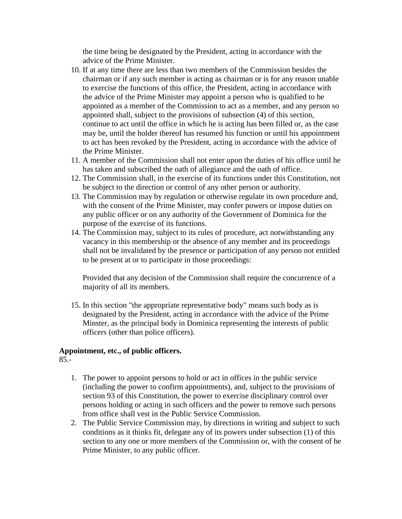the time being be designated by the President, acting in accordance with the advice of the Prime Minister.

- 10. If at any time there are less than two members of the Commission besides the chairman or if any such member is acting as chairman or is for any reason unable to exercise the functions of this office, the President, acting in accordance with the advice of the Prime Minister may appoint a person who is qualified to be appointed as a member of the Commission to act as a member, and any person so appointed shall, subject to the provisions of subsection (4) of this section, continue to act until the office in which he is acting has been filled or, as the case may be, until the holder thereof has resumed his function or until his appointment to act has been revoked by the President, acting in accordance with the advice of the Prime Minister.
- 11. A member of the Commission shall not enter upon the duties of his office until he has taken and subscribed the oath of allegiance and the oath of office.
- 12. The Commission shall, in the exercise of its functions under this Constitution, not be subject to the direction or control of any other person or authority.
- 13. The Commission may by regulation or otherwise regulate its own procedure and, with the consent of the Prime Minister, may confer powers or impose duties on any public officer or on any authority of the Government of Dominica for the purpose of the exercise of its functions.
- 14. The Commission may, subject to its rules of procedure, act notwithstanding any vacancy in this membership or the absence of any member and its proceedings shall not be invalidated by the presence or participation of any person not entitled to be present at or to participate in those proceedings:

Provided that any decision of the Commission shall require the concurrence of a majority of all its members.

15. In this section "the appropriate representative body" means such body as is designated by the President, acting in accordance with the advice of the Prime Minster, as the principal body in Dominica representing the interests of public officers (other than police officers).

#### **Appointment, etc., of public officers.**

- 1. The power to appoint persons to hold or act in offices in the public service (including the power to confirm appointments), and, subject to the provisions of section 93 of this Constitution, the power to exercise disciplinary control over persons holding or acting in such officers and the power to remove such persons from office shall vest in the Public Service Commission.
- 2. The Public Service Commission may, by directions in writing and subject to such conditions as it thinks fit, delegate any of its powers under subsection (1) of this section to any one or more members of the Commission or, with the consent of he Prime Minister, to any public officer.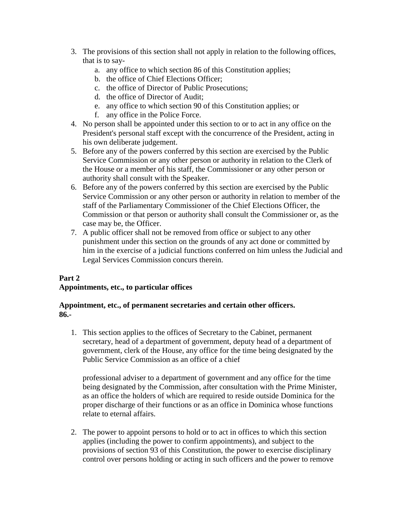- 3. The provisions of this section shall not apply in relation to the following offices, that is to say
	- a. any office to which section 86 of this Constitution applies;
	- b. the office of Chief Elections Officer;
	- c. the office of Director of Public Prosecutions;
	- d. the office of Director of Audit;
	- e. any office to which section 90 of this Constitution applies; or
	- f. any office in the Police Force.
- 4. No person shall be appointed under this section to or to act in any office on the President's personal staff except with the concurrence of the President, acting in his own deliberate judgement.
- 5. Before any of the powers conferred by this section are exercised by the Public Service Commission or any other person or authority in relation to the Clerk of the House or a member of his staff, the Commissioner or any other person or authority shall consult with the Speaker.
- 6. Before any of the powers conferred by this section are exercised by the Public Service Commission or any other person or authority in relation to member of the staff of the Parliamentary Commissioner of the Chief Elections Officer, the Commission or that person or authority shall consult the Commissioner or, as the case may be, the Officer.
- 7. A public officer shall not be removed from office or subject to any other punishment under this section on the grounds of any act done or committed by him in the exercise of a judicial functions conferred on him unless the Judicial and Legal Services Commission concurs therein.

## **Part 2**

## **Appointments, etc., to particular offices**

### **Appointment, etc., of permanent secretaries and certain other officers. 86.-**

1. This section applies to the offices of Secretary to the Cabinet, permanent secretary, head of a department of government, deputy head of a department of government, clerk of the House, any office for the time being designated by the Public Service Commission as an office of a chief

professional adviser to a department of government and any office for the time being designated by the Commission, after consultation with the Prime Minister, as an office the holders of which are required to reside outside Dominica for the proper discharge of their functions or as an office in Dominica whose functions relate to eternal affairs.

2. The power to appoint persons to hold or to act in offices to which this section applies (including the power to confirm appointments), and subject to the provisions of section 93 of this Constitution, the power to exercise disciplinary control over persons holding or acting in such officers and the power to remove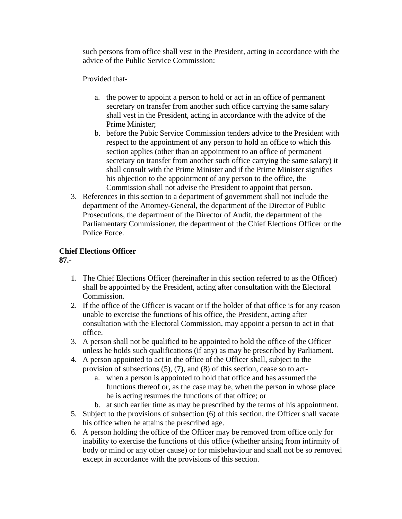such persons from office shall vest in the President, acting in accordance with the advice of the Public Service Commission:

Provided that-

- a. the power to appoint a person to hold or act in an office of permanent secretary on transfer from another such office carrying the same salary shall vest in the President, acting in accordance with the advice of the Prime Minister;
- b. before the Pubic Service Commission tenders advice to the President with respect to the appointment of any person to hold an office to which this section applies (other than an appointment to an office of permanent secretary on transfer from another such office carrying the same salary) it shall consult with the Prime Minister and if the Prime Minister signifies his objection to the appointment of any person to the office, the Commission shall not advise the President to appoint that person.
- 3. References in this section to a department of government shall not include the department of the Attorney-General, the department of the Director of Public Prosecutions, the department of the Director of Audit, the department of the Parliamentary Commissioner, the department of the Chief Elections Officer or the Police Force.

## **Chief Elections Officer**

- 1. The Chief Elections Officer (hereinafter in this section referred to as the Officer) shall be appointed by the President, acting after consultation with the Electoral Commission.
- 2. If the office of the Officer is vacant or if the holder of that office is for any reason unable to exercise the functions of his office, the President, acting after consultation with the Electoral Commission, may appoint a person to act in that office.
- 3. A person shall not be qualified to be appointed to hold the office of the Officer unless he holds such qualifications (if any) as may be prescribed by Parliament.
- 4. A person appointed to act in the office of the Officer shall, subject to the provision of subsections  $(5)$ ,  $(7)$ , and  $(8)$  of this section, cease so to act
	- a. when a person is appointed to hold that office and has assumed the functions thereof or, as the case may be, when the person in whose place he is acting resumes the functions of that office; or
	- b. at such earlier time as may be prescribed by the terms of his appointment.
- 5. Subject to the provisions of subsection (6) of this section, the Officer shall vacate his office when he attains the prescribed age.
- 6. A person holding the office of the Officer may be removed from office only for inability to exercise the functions of this office (whether arising from infirmity of body or mind or any other cause) or for misbehaviour and shall not be so removed except in accordance with the provisions of this section.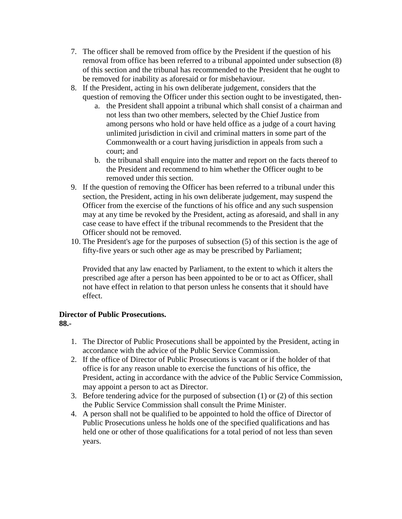- 7. The officer shall be removed from office by the President if the question of his removal from office has been referred to a tribunal appointed under subsection (8) of this section and the tribunal has recommended to the President that he ought to be removed for inability as aforesaid or for misbehaviour.
- 8. If the President, acting in his own deliberate judgement, considers that the question of removing the Officer under this section ought to be investigated, then
	- a. the President shall appoint a tribunal which shall consist of a chairman and not less than two other members, selected by the Chief Justice from among persons who hold or have held office as a judge of a court having unlimited jurisdiction in civil and criminal matters in some part of the Commonwealth or a court having jurisdiction in appeals from such a court; and
	- b. the tribunal shall enquire into the matter and report on the facts thereof to the President and recommend to him whether the Officer ought to be removed under this section.
- 9. If the question of removing the Officer has been referred to a tribunal under this section, the President, acting in his own deliberate judgement, may suspend the Officer from the exercise of the functions of his office and any such suspension may at any time be revoked by the President, acting as aforesaid, and shall in any case cease to have effect if the tribunal recommends to the President that the Officer should not be removed.
- 10. The President's age for the purposes of subsection (5) of this section is the age of fifty-five years or such other age as may be prescribed by Parliament;

Provided that any law enacted by Parliament, to the extent to which it alters the prescribed age after a person has been appointed to be or to act as Officer, shall not have effect in relation to that person unless he consents that it should have effect.

## **Director of Public Prosecutions.**

- **88.-**
	- 1. The Director of Public Prosecutions shall be appointed by the President, acting in accordance with the advice of the Public Service Commission.
	- 2. If the office of Director of Public Prosecutions is vacant or if the holder of that office is for any reason unable to exercise the functions of his office, the President, acting in accordance with the advice of the Public Service Commission, may appoint a person to act as Director.
	- 3. Before tendering advice for the purposed of subsection (1) or (2) of this section the Public Service Commission shall consult the Prime Minister.
	- 4. A person shall not be qualified to be appointed to hold the office of Director of Public Prosecutions unless he holds one of the specified qualifications and has held one or other of those qualifications for a total period of not less than seven years.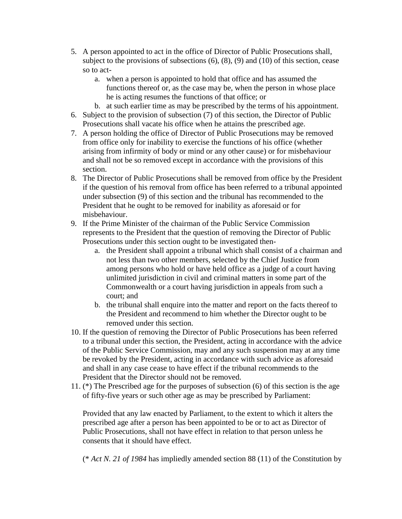- 5. A person appointed to act in the office of Director of Public Prosecutions shall, subject to the provisions of subsections  $(6)$ ,  $(8)$ ,  $(9)$  and  $(10)$  of this section, cease so to act
	- a. when a person is appointed to hold that office and has assumed the functions thereof or, as the case may be, when the person in whose place he is acting resumes the functions of that office; or
	- b. at such earlier time as may be prescribed by the terms of his appointment.
- 6. Subject to the provision of subsection (7) of this section, the Director of Public Prosecutions shall vacate his office when he attains the prescribed age.
- 7. A person holding the office of Director of Public Prosecutions may be removed from office only for inability to exercise the functions of his office (whether arising from infirmity of body or mind or any other cause) or for misbehaviour and shall not be so removed except in accordance with the provisions of this section.
- 8. The Director of Public Prosecutions shall be removed from office by the President if the question of his removal from office has been referred to a tribunal appointed under subsection (9) of this section and the tribunal has recommended to the President that he ought to be removed for inability as aforesaid or for misbehaviour.
- 9. If the Prime Minister of the chairman of the Public Service Commission represents to the President that the question of removing the Director of Public Prosecutions under this section ought to be investigated then
	- a. the President shall appoint a tribunal which shall consist of a chairman and not less than two other members, selected by the Chief Justice from among persons who hold or have held office as a judge of a court having unlimited jurisdiction in civil and criminal matters in some part of the Commonwealth or a court having jurisdiction in appeals from such a court; and
	- b. the tribunal shall enquire into the matter and report on the facts thereof to the President and recommend to him whether the Director ought to be removed under this section.
- 10. If the question of removing the Director of Public Prosecutions has been referred to a tribunal under this section, the President, acting in accordance with the advice of the Public Service Commission, may and any such suspension may at any time be revoked by the President, acting in accordance with such advice as aforesaid and shall in any case cease to have effect if the tribunal recommends to the President that the Director should not be removed.
- 11. (\*) The Prescribed age for the purposes of subsection (6) of this section is the age of fifty-five years or such other age as may be prescribed by Parliament:

Provided that any law enacted by Parliament, to the extent to which it alters the prescribed age after a person has been appointed to be or to act as Director of Public Prosecutions, shall not have effect in relation to that person unless he consents that it should have effect.

(\* *Act N. 21 of 1984* has impliedly amended section 88 (11) of the Constitution by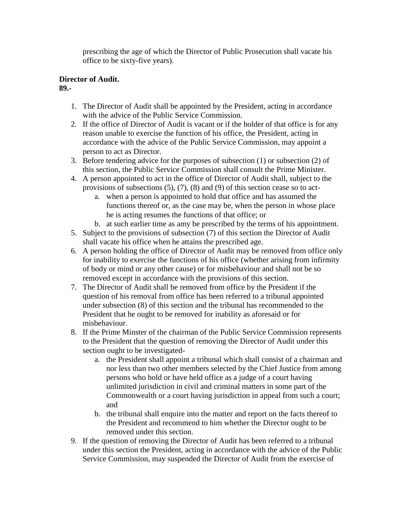prescribing the age of which the Director of Public Prosecution shall vacate his office to be sixty-five years).

## **Director of Audit.**

- 1. The Director of Audit shall be appointed by the President, acting in accordance with the advice of the Public Service Commission.
- 2. If the office of Director of Audit is vacant or if the holder of that office is for any reason unable to exercise the function of his office, the President, acting in accordance with the advice of the Public Service Commission, may appoint a person to act as Director.
- 3. Before tendering advice for the purposes of subsection (1) or subsection (2) of this section, the Public Service Commission shall consult the Prime Minister.
- 4. A person appointed to act in the office of Director of Audit shall, subject to the provisions of subsections (5), (7), (8) and (9) of this section cease so to act
	- a. when a person is appointed to hold that office and has assumed the functions thereof or, as the case may be, when the person in whose place he is acting resumes the functions of that office; or
	- b. at such earlier time as amy be prescribed by the terms of his appointment.
- 5. Subject to the provisions of subsection (7) of this section the Director of Audit shall vacate his office when he attains the prescribed age.
- 6. A person holding the office of Director of Audit may be removed from office only for inability to exercise the functions of his office (whether arising from infirmity of body or mind or any other cause) or for misbehaviour and shall not be so removed except in accordance with the provisions of this section.
- 7. The Director of Audit shall be removed from office by the President if the question of his removal from office has been referred to a tribunal appointed under subsection (8) of this section and the tribunal has recommended to the President that he ought to be removed for inability as aforesaid or for misbehaviour.
- 8. If the Prime Minster of the chairman of the Public Service Commission represents to the President that the question of removing the Director of Audit under this section ought to be investigated
	- a. the President shall appoint a tribunal which shall consist of a chairman and nor less than two other members selected by the Chief Justice from among persons who hold or have held office as a judge of a court having unlimited jurisdiction in civil and criminal matters in some part of the Commonwealth or a court having jurisdiction in appeal from such a court; and
	- b. the tribunal shall enquire into the matter and report on the facts thereof to the President and recommend to him whether the Director ought to be removed under this section.
- 9. If the question of removing the Director of Audit has been referred to a tribunal under this section the President, acting in accordance with the advice of the Public Service Commission, may suspended the Director of Audit from the exercise of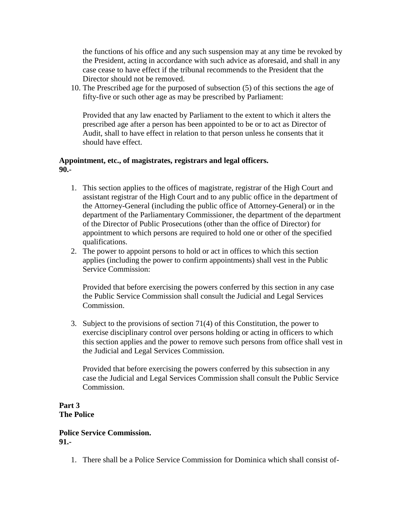the functions of his office and any such suspension may at any time be revoked by the President, acting in accordance with such advice as aforesaid, and shall in any case cease to have effect if the tribunal recommends to the President that the Director should not be removed.

10. The Prescribed age for the purposed of subsection (5) of this sections the age of fifty-five or such other age as may be prescribed by Parliament:

Provided that any law enacted by Parliament to the extent to which it alters the prescribed age after a person has been appointed to be or to act as Director of Audit, shall to have effect in relation to that person unless he consents that it should have effect.

#### **Appointment, etc., of magistrates, registrars and legal officers. 90.-**

- 1. This section applies to the offices of magistrate, registrar of the High Court and assistant registrar of the High Court and to any public office in the department of the Attorney-General (including the public office of Attorney-General) or in the department of the Parliamentary Commissioner, the department of the department of the Director of Public Prosecutions (other than the office of Director) for appointment to which persons are required to hold one or other of the specified qualifications.
- 2. The power to appoint persons to hold or act in offices to which this section applies (including the power to confirm appointments) shall vest in the Public Service Commission:

Provided that before exercising the powers conferred by this section in any case the Public Service Commission shall consult the Judicial and Legal Services Commission.

3. Subject to the provisions of section 71(4) of this Constitution, the power to exercise disciplinary control over persons holding or acting in officers to which this section applies and the power to remove such persons from office shall vest in the Judicial and Legal Services Commission.

Provided that before exercising the powers conferred by this subsection in any case the Judicial and Legal Services Commission shall consult the Public Service Commission.

### **Part 3 The Police**

#### **Police Service Commission. 91.-**

1. There shall be a Police Service Commission for Dominica which shall consist of-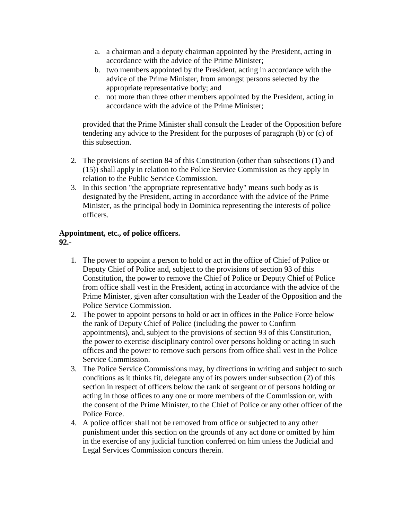- a. a chairman and a deputy chairman appointed by the President, acting in accordance with the advice of the Prime Minister;
- b. two members appointed by the President, acting in accordance with the advice of the Prime Minister, from amongst persons selected by the appropriate representative body; and
- c. not more than three other members appointed by the President, acting in accordance with the advice of the Prime Minister;

provided that the Prime Minister shall consult the Leader of the Opposition before tendering any advice to the President for the purposes of paragraph (b) or (c) of this subsection.

- 2. The provisions of section 84 of this Constitution (other than subsections (1) and (15)) shall apply in relation to the Police Service Commission as they apply in relation to the Public Service Commission.
- 3. In this section "the appropriate representative body" means such body as is designated by the President, acting in accordance with the advice of the Prime Minister, as the principal body in Dominica representing the interests of police officers.

#### **Appointment, etc., of police officers.**

- 1. The power to appoint a person to hold or act in the office of Chief of Police or Deputy Chief of Police and, subject to the provisions of section 93 of this Constitution, the power to remove the Chief of Police or Deputy Chief of Police from office shall vest in the President, acting in accordance with the advice of the Prime Minister, given after consultation with the Leader of the Opposition and the Police Service Commission.
- 2. The power to appoint persons to hold or act in offices in the Police Force below the rank of Deputy Chief of Police (including the power to Confirm appointments), and, subject to the provisions of section 93 of this Constitution, the power to exercise disciplinary control over persons holding or acting in such offices and the power to remove such persons from office shall vest in the Police Service Commission.
- 3. The Police Service Commissions may, by directions in writing and subject to such conditions as it thinks fit, delegate any of its powers under subsection (2) of this section in respect of officers below the rank of sergeant or of persons holding or acting in those offices to any one or more members of the Commission or, with the consent of the Prime Minister, to the Chief of Police or any other officer of the Police Force.
- 4. A police officer shall not be removed from office or subjected to any other punishment under this section on the grounds of any act done or omitted by him in the exercise of any judicial function conferred on him unless the Judicial and Legal Services Commission concurs therein.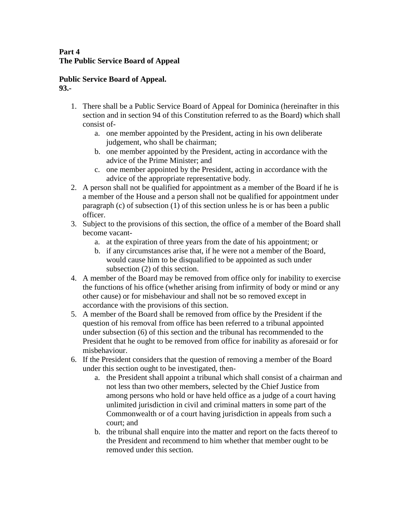### **Part 4 The Public Service Board of Appeal**

#### **Public Service Board of Appeal. 93.-**

- 1. There shall be a Public Service Board of Appeal for Dominica (hereinafter in this section and in section 94 of this Constitution referred to as the Board) which shall consist of
	- a. one member appointed by the President, acting in his own deliberate judgement, who shall be chairman;
	- b. one member appointed by the President, acting in accordance with the advice of the Prime Minister; and
	- c. one member appointed by the President, acting in accordance with the advice of the appropriate representative body.
- 2. A person shall not be qualified for appointment as a member of the Board if he is a member of the House and a person shall not be qualified for appointment under paragraph (c) of subsection (1) of this section unless he is or has been a public officer.
- 3. Subject to the provisions of this section, the office of a member of the Board shall become vacant
	- a. at the expiration of three years from the date of his appointment; or
	- b. if any circumstances arise that, if he were not a member of the Board, would cause him to be disqualified to be appointed as such under subsection (2) of this section.
- 4. A member of the Board may be removed from office only for inability to exercise the functions of his office (whether arising from infirmity of body or mind or any other cause) or for misbehaviour and shall not be so removed except in accordance with the provisions of this section.
- 5. A member of the Board shall be removed from office by the President if the question of his removal from office has been referred to a tribunal appointed under subsection (6) of this section and the tribunal has recommended to the President that he ought to be removed from office for inability as aforesaid or for misbehaviour.
- 6. If the President considers that the question of removing a member of the Board under this section ought to be investigated, then
	- a. the President shall appoint a tribunal which shall consist of a chairman and not less than two other members, selected by the Chief Justice from among persons who hold or have held office as a judge of a court having unlimited jurisdiction in civil and criminal matters in some part of the Commonwealth or of a court having jurisdiction in appeals from such a court; and
	- b. the tribunal shall enquire into the matter and report on the facts thereof to the President and recommend to him whether that member ought to be removed under this section.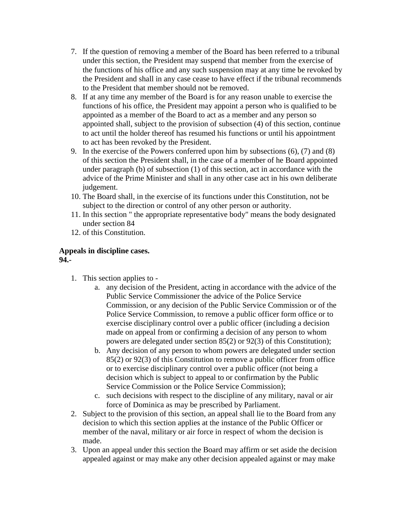- 7. If the question of removing a member of the Board has been referred to a tribunal under this section, the President may suspend that member from the exercise of the functions of his office and any such suspension may at any time be revoked by the President and shall in any case cease to have effect if the tribunal recommends to the President that member should not be removed.
- 8. If at any time any member of the Board is for any reason unable to exercise the functions of his office, the President may appoint a person who is qualified to be appointed as a member of the Board to act as a member and any person so appointed shall, subject to the provision of subsection (4) of this section, continue to act until the holder thereof has resumed his functions or until his appointment to act has been revoked by the President.
- 9. In the exercise of the Powers conferred upon him by subsections (6), (7) and (8) of this section the President shall, in the case of a member of he Board appointed under paragraph (b) of subsection (1) of this section, act in accordance with the advice of the Prime Minister and shall in any other case act in his own deliberate judgement.
- 10. The Board shall, in the exercise of its functions under this Constitution, not be subject to the direction or control of any other person or authority.
- 11. In this section " the appropriate representative body" means the body designated under section 84
- 12. of this Constitution.

#### **Appeals in discipline cases. 94.-**

- 1. This section applies to
	- a. any decision of the President, acting in accordance with the advice of the Public Service Commissioner the advice of the Police Service Commission, or any decision of the Public Service Commission or of the Police Service Commission, to remove a public officer form office or to exercise disciplinary control over a public officer (including a decision made on appeal from or confirming a decision of any person to whom powers are delegated under section 85(2) or 92(3) of this Constitution);
	- b. Any decision of any person to whom powers are delegated under section 85(2) or 92(3) of this Constitution to remove a public officer from office or to exercise disciplinary control over a public officer (not being a decision which is subject to appeal to or confirmation by the Public Service Commission or the Police Service Commission);
	- c. such decisions with respect to the discipline of any military, naval or air force of Dominica as may be prescribed by Parliament.
- 2. Subject to the provision of this section, an appeal shall lie to the Board from any decision to which this section applies at the instance of the Public Officer or member of the naval, military or air force in respect of whom the decision is made.
- 3. Upon an appeal under this section the Board may affirm or set aside the decision appealed against or may make any other decision appealed against or may make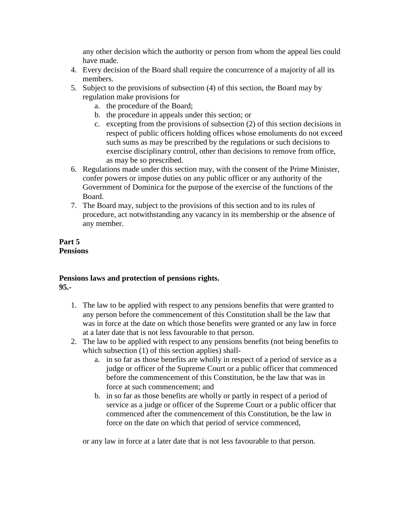any other decision which the authority or person from whom the appeal lies could have made.

- 4. Every decision of the Board shall require the concurrence of a majority of all its members.
- 5. Subject to the provisions of subsection (4) of this section, the Board may by regulation make provisions for
	- a. the procedure of the Board;
	- b. the procedure in appeals under this section; or
	- c. excepting from the provisions of subsection (2) of this section decisions in respect of public officers holding offices whose emoluments do not exceed such sums as may be prescribed by the regulations or such decisions to exercise disciplinary control, other than decisions to remove from office, as may be so prescribed.
- 6. Regulations made under this section may, with the consent of the Prime Minister, confer powers or impose duties on any public officer or any authority of the Government of Dominica for the purpose of the exercise of the functions of the Board.
- 7. The Board may, subject to the provisions of this section and to its rules of procedure, act notwithstanding any vacancy in its membership or the absence of any member.

#### **Part 5 Pensions**

#### **Pensions laws and protection of pensions rights. 95.-**

- 1. The law to be applied with respect to any pensions benefits that were granted to any person before the commencement of this Constitution shall be the law that was in force at the date on which those benefits were granted or any law in force at a later date that is not less favourable to that person.
- 2. The law to be applied with respect to any pensions benefits (not being benefits to which subsection (1) of this section applies) shall
	- a. in so far as those benefits are wholly in respect of a period of service as a judge or officer of the Supreme Court or a public officer that commenced before the commencement of this Constitution, be the law that was in force at such commencement; and
	- b. in so far as those benefits are wholly or partly in respect of a period of service as a judge or officer of the Supreme Court or a public officer that commenced after the commencement of this Constitution, be the law in force on the date on which that period of service commenced,

or any law in force at a later date that is not less favourable to that person.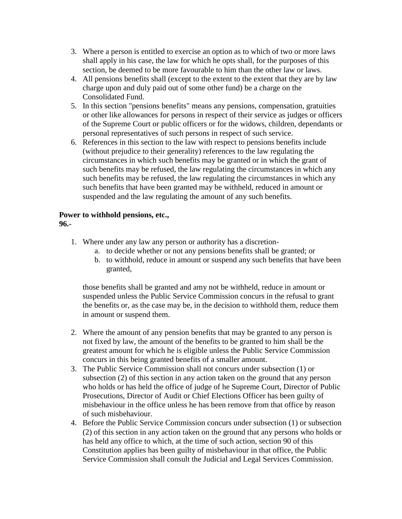- 3. Where a person is entitled to exercise an option as to which of two or more laws shall apply in his case, the law for which he opts shall, for the purposes of this section, be deemed to be more favourable to him than the other law or laws.
- 4. All pensions benefits shall (except to the extent to the extent that they are by law charge upon and duly paid out of some other fund) be a charge on the Consolidated Fund.
- 5. In this section "pensions benefits" means any pensions, compensation, gratuities or other like allowances for persons in respect of their service as judges or officers of the Supreme Court or public officers or for the widows, children, dependants or personal representatives of such persons in respect of such service.
- 6. References in this section to the law with respect to pensions benefits include (without prejudice to their generality) references to the law regulating the circumstances in which such benefits may be granted or in which the grant of such benefits may be refused, the law regulating the circumstances in which any such benefits may be refused, the law regulating the circumstances in which any such benefits that have been granted may be withheld, reduced in amount or suspended and the law regulating the amount of any such benefits.

## **Power to withhold pensions, etc.,**

#### **96.-**

- 1. Where under any law any person or authority has a discretion
	- a. to decide whether or not any pensions benefits shall be granted; or
	- b. to withhold, reduce in amount or suspend any such benefits that have been granted,

those benefits shall be granted and amy not be withheld, reduce in amount or suspended unless the Public Service Commission concurs in the refusal to grant the benefits or, as the case may be, in the decision to withhold them, reduce them in amount or suspend them.

- 2. Where the amount of any pension benefits that may be granted to any person is not fixed by law, the amount of the benefits to be granted to him shall be the greatest amount for which he is eligible unless the Public Service Commission concurs in this being granted benefits of a smaller amount.
- 3. The Public Service Commission shall not concurs under subsection (1) or subsection (2) of this section in any action taken on the ground that any person who holds or has held the office of judge of he Supreme Court, Director of Public Prosecutions, Director of Audit or Chief Elections Officer has been guilty of misbehaviour in the office unless he has been remove from that office by reason of such misbehaviour.
- 4. Before the Public Service Commission concurs under subsection (1) or subsection (2) of this section in any action taken on the ground that any persons who holds or has held any office to which, at the time of such action, section 90 of this Constitution applies has been guilty of misbehaviour in that office, the Public Service Commission shall consult the Judicial and Legal Services Commission.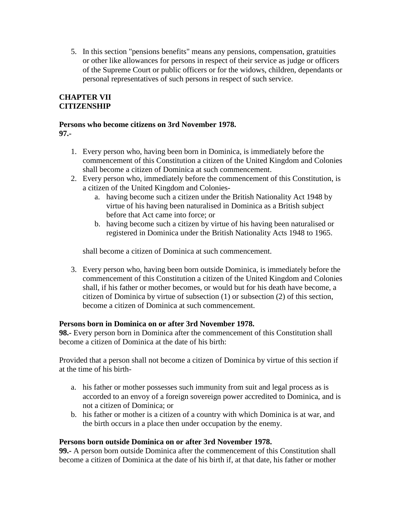5. In this section "pensions benefits" means any pensions, compensation, gratuities or other like allowances for persons in respect of their service as judge or officers of the Supreme Court or public officers or for the widows, children, dependants or personal representatives of such persons in respect of such service.

## **CHAPTER VII CITIZENSHIP**

#### **Persons who become citizens on 3rd November 1978. 97.-**

- 1. Every person who, having been born in Dominica, is immediately before the commencement of this Constitution a citizen of the United Kingdom and Colonies shall become a citizen of Dominica at such commencement.
- 2. Every person who, immediately before the commencement of this Constitution, is a citizen of the United Kingdom and Colonies
	- a. having become such a citizen under the British Nationality Act 1948 by virtue of his having been naturalised in Dominica as a British subject before that Act came into force; or
	- b. having become such a citizen by virtue of his having been naturalised or registered in Dominica under the British Nationality Acts 1948 to 1965.

shall become a citizen of Dominica at such commencement.

3. Every person who, having been born outside Dominica, is immediately before the commencement of this Constitution a citizen of the United Kingdom and Colonies shall, if his father or mother becomes, or would but for his death have become, a citizen of Dominica by virtue of subsection (1) or subsection (2) of this section, become a citizen of Dominica at such commencement.

#### **Persons born in Dominica on or after 3rd November 1978.**

**98.-** Every person born in Dominica after the commencement of this Constitution shall become a citizen of Dominica at the date of his birth:

Provided that a person shall not become a citizen of Dominica by virtue of this section if at the time of his birth-

- a. his father or mother possesses such immunity from suit and legal process as is accorded to an envoy of a foreign sovereign power accredited to Dominica, and is not a citizen of Dominica; or
- b. his father or mother is a citizen of a country with which Dominica is at war, and the birth occurs in a place then under occupation by the enemy.

#### **Persons born outside Dominica on or after 3rd November 1978.**

**99.-** A person born outside Dominica after the commencement of this Constitution shall become a citizen of Dominica at the date of his birth if, at that date, his father or mother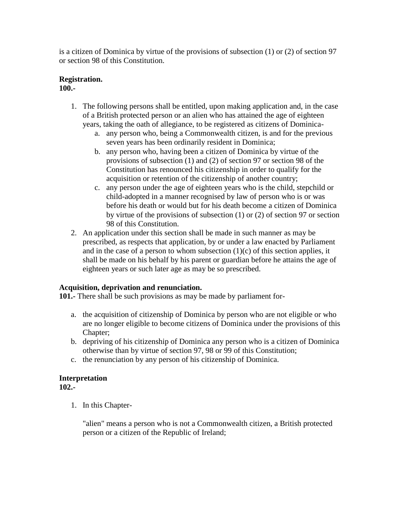is a citizen of Dominica by virtue of the provisions of subsection (1) or (2) of section 97 or section 98 of this Constitution.

#### **Registration. 100.-**

- 1. The following persons shall be entitled, upon making application and, in the case of a British protected person or an alien who has attained the age of eighteen years, taking the oath of allegiance, to be registered as citizens of Dominica
	- a. any person who, being a Commonwealth citizen, is and for the previous seven years has been ordinarily resident in Dominica;
	- b. any person who, having been a citizen of Dominica by virtue of the provisions of subsection (1) and (2) of section 97 or section 98 of the Constitution has renounced his citizenship in order to qualify for the acquisition or retention of the citizenship of another country;
	- c. any person under the age of eighteen years who is the child, stepchild or child-adopted in a manner recognised by law of person who is or was before his death or would but for his death become a citizen of Dominica by virtue of the provisions of subsection (1) or (2) of section 97 or section 98 of this Constitution.
- 2. An application under this section shall be made in such manner as may be prescribed, as respects that application, by or under a law enacted by Parliament and in the case of a person to whom subsection  $(1)(c)$  of this section applies, it shall be made on his behalf by his parent or guardian before he attains the age of eighteen years or such later age as may be so prescribed.

## **Acquisition, deprivation and renunciation.**

**101.-** There shall be such provisions as may be made by parliament for-

- a. the acquisition of citizenship of Dominica by person who are not eligible or who are no longer eligible to become citizens of Dominica under the provisions of this Chapter;
- b. depriving of his citizenship of Dominica any person who is a citizen of Dominica otherwise than by virtue of section 97, 98 or 99 of this Constitution;
- c. the renunciation by any person of his citizenship of Dominica.

# **Interpretation**

**102.-**

1. In this Chapter-

"alien" means a person who is not a Commonwealth citizen, a British protected person or a citizen of the Republic of Ireland;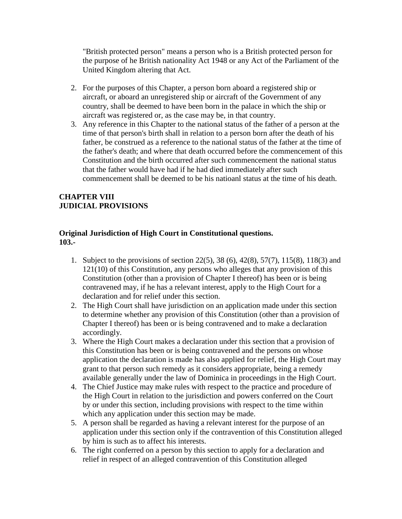"British protected person" means a person who is a British protected person for the purpose of he British nationality Act 1948 or any Act of the Parliament of the United Kingdom altering that Act.

- 2. For the purposes of this Chapter, a person born aboard a registered ship or aircraft, or aboard an unregistered ship or aircraft of the Government of any country, shall be deemed to have been born in the palace in which the ship or aircraft was registered or, as the case may be, in that country.
- 3. Any reference in this Chapter to the national status of the father of a person at the time of that person's birth shall in relation to a person born after the death of his father, be construed as a reference to the national status of the father at the time of the father's death; and where that death occurred before the commencement of this Constitution and the birth occurred after such commencement the national status that the father would have had if he had died immediately after such commencement shall be deemed to be his natioanl status at the time of his death.

### **CHAPTER VIII JUDICIAL PROVISIONS**

#### **Original Jurisdiction of High Court in Constitutional questions. 103.-**

- 1. Subject to the provisions of section 22(5), 38 (6), 42(8), 57(7), 115(8), 118(3) and 121(10) of this Constitution, any persons who alleges that any provision of this Constitution (other than a provision of Chapter I thereof) has been or is being contravened may, if he has a relevant interest, apply to the High Court for a declaration and for relief under this section.
- 2. The High Court shall have jurisdiction on an application made under this section to determine whether any provision of this Constitution (other than a provision of Chapter I thereof) has been or is being contravened and to make a declaration accordingly.
- 3. Where the High Court makes a declaration under this section that a provision of this Constitution has been or is being contravened and the persons on whose application the declaration is made has also applied for relief, the High Court may grant to that person such remedy as it considers appropriate, being a remedy available generally under the law of Dominica in proceedings in the High Court.
- 4. The Chief Justice may make rules with respect to the practice and procedure of the High Court in relation to the jurisdiction and powers conferred on the Court by or under this section, including provisions with respect to the time within which any application under this section may be made.
- 5. A person shall be regarded as having a relevant interest for the purpose of an application under this section only if the contravention of this Constitution alleged by him is such as to affect his interests.
- 6. The right conferred on a person by this section to apply for a declaration and relief in respect of an alleged contravention of this Constitution alleged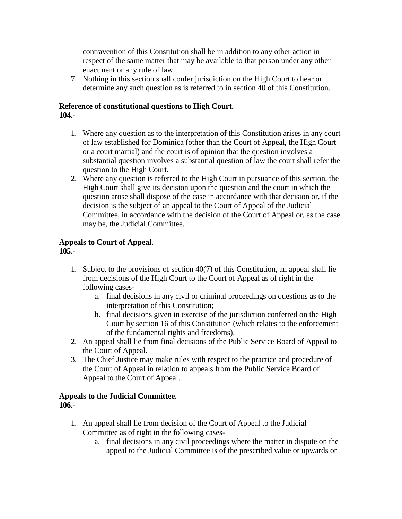contravention of this Constitution shall be in addition to any other action in respect of the same matter that may be available to that person under any other enactment or any rule of law.

7. Nothing in this section shall confer jurisdiction on the High Court to hear or determine any such question as is referred to in section 40 of this Constitution.

### **Reference of constitutional questions to High Court. 104.-**

- 1. Where any question as to the interpretation of this Constitution arises in any court of law established for Dominica (other than the Court of Appeal, the High Court or a court martial) and the court is of opinion that the question involves a substantial question involves a substantial question of law the court shall refer the question to the High Court.
- 2. Where any question is referred to the High Court in pursuance of this section, the High Court shall give its decision upon the question and the court in which the question arose shall dispose of the case in accordance with that decision or, if the decision is the subject of an appeal to the Court of Appeal of the Judicial Committee, in accordance with the decision of the Court of Appeal or, as the case may be, the Judicial Committee.

#### **Appeals to Court of Appeal. 105.-**

- 1. Subject to the provisions of section 40(7) of this Constitution, an appeal shall lie from decisions of the High Court to the Court of Appeal as of right in the following cases
	- a. final decisions in any civil or criminal proceedings on questions as to the interpretation of this Constitution;
	- b. final decisions given in exercise of the jurisdiction conferred on the High Court by section 16 of this Constitution (which relates to the enforcement of the fundamental rights and freedoms).
- 2. An appeal shall lie from final decisions of the Public Service Board of Appeal to the Court of Appeal.
- 3. The Chief Justice may make rules with respect to the practice and procedure of the Court of Appeal in relation to appeals from the Public Service Board of Appeal to the Court of Appeal.

## **Appeals to the Judicial Committee.**

- 1. An appeal shall lie from decision of the Court of Appeal to the Judicial Committee as of right in the following cases
	- a. final decisions in any civil proceedings where the matter in dispute on the appeal to the Judicial Committee is of the prescribed value or upwards or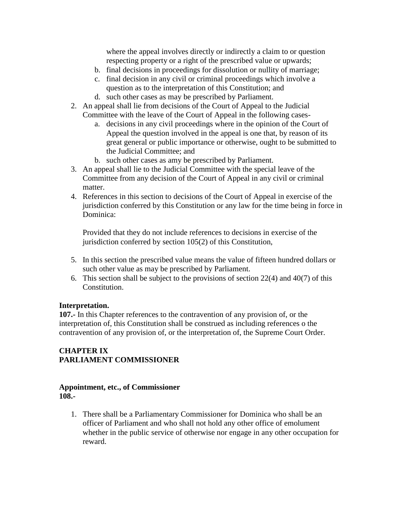where the appeal involves directly or indirectly a claim to or question respecting property or a right of the prescribed value or upwards;

- b. final decisions in proceedings for dissolution or nullity of marriage;
- c. final decision in any civil or criminal proceedings which involve a question as to the interpretation of this Constitution; and
- d. such other cases as may be prescribed by Parliament.
- 2. An appeal shall lie from decisions of the Court of Appeal to the Judicial Committee with the leave of the Court of Appeal in the following cases
	- a. decisions in any civil proceedings where in the opinion of the Court of Appeal the question involved in the appeal is one that, by reason of its great general or public importance or otherwise, ought to be submitted to the Judicial Committee; and
	- b. such other cases as amy be prescribed by Parliament.
- 3. An appeal shall lie to the Judicial Committee with the special leave of the Committee from any decision of the Court of Appeal in any civil or criminal matter.
- 4. References in this section to decisions of the Court of Appeal in exercise of the jurisdiction conferred by this Constitution or any law for the time being in force in Dominica:

Provided that they do not include references to decisions in exercise of the jurisdiction conferred by section 105(2) of this Constitution,

- 5. In this section the prescribed value means the value of fifteen hundred dollars or such other value as may be prescribed by Parliament.
- 6. This section shall be subject to the provisions of section  $22(4)$  and  $40(7)$  of this Constitution.

#### **Interpretation.**

**107.-** In this Chapter references to the contravention of any provision of, or the interpretation of, this Constitution shall be construed as including references o the contravention of any provision of, or the interpretation of, the Supreme Court Order.

#### **CHAPTER IX PARLIAMENT COMMISSIONER**

#### **Appointment, etc., of Commissioner 108.-**

1. There shall be a Parliamentary Commissioner for Dominica who shall be an officer of Parliament and who shall not hold any other office of emolument whether in the public service of otherwise nor engage in any other occupation for reward.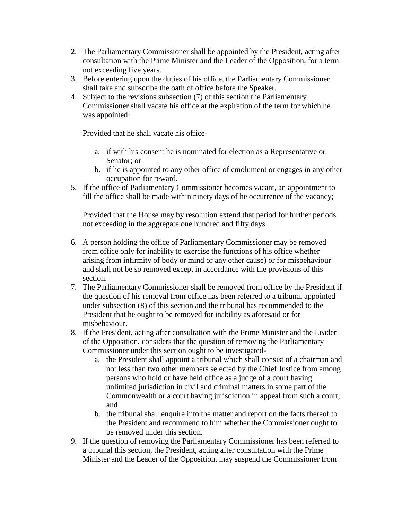- 2. The Parliamentary Commissioner shall be appointed by the President, acting after consultation with the Prime Minister and the Leader of the Opposition, for a term not exceeding five years.
- 3. Before entering upon the duties of his office, the Parliamentary Commissioner shall take and subscribe the oath of office before the Speaker.
- 4. Subject to the revisions subsection (7) of this section the Parliamentary Commissioner shall vacate his office at the expiration of the term for which he was appointed:

Provided that he shall vacate his office-

- a. if with his consent he is nominated for election as a Representative or Senator; or
- b. if he is appointed to any other office of emolument or engages in any other occupation for reward.
- 5. If the office of Parliamentary Commissioner becomes vacant, an appointment to fill the office shall be made within ninety days of he occurrence of the vacancy;

Provided that the House may by resolution extend that period for further periods not exceeding in the aggregate one hundred and fifty days.

- 6. A person holding the office of Parliamentary Commissioner may be removed from office only for inability to exercise the functions of his office whether arising from infirmity of body or mind or any other cause) or for misbehaviour and shall not be so removed except in accordance with the provisions of this section.
- 7. The Parliamentary Commissioner shall be removed from office by the President if the question of his removal from office has been referred to a tribunal appointed under subsection (8) of this section and the tribunal has recommended to the President that he ought to be removed for inability as aforesaid or for misbehaviour.
- 8. If the President, acting after consultation with the Prime Minister and the Leader of the Opposition, considers that the question of removing the Parliamentary Commissioner under this section ought to be investigated
	- a. the President shall appoint a tribunal which shall consist of a chairman and not less than two other members selected by the Chief Justice from among persons who hold or have held office as a judge of a court having unlimited jurisdiction in civil and criminal matters in some part of the Commonwealth or a court having jurisdiction in appeal from such a court; and
	- b. the tribunal shall enquire into the matter and report on the facts thereof to the President and recommend to him whether the Commissioner ought to be removed under this section.
- 9. If the question of removing the Parliamentary Commissioner has been referred to a tribunal this section, the President, acting after consultation with the Prime Minister and the Leader of the Opposition, may suspend the Commissioner from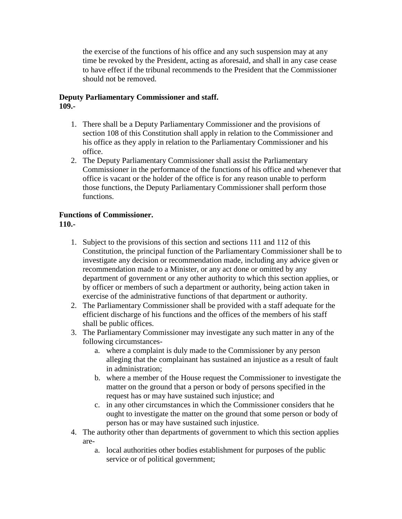the exercise of the functions of his office and any such suspension may at any time be revoked by the President, acting as aforesaid, and shall in any case cease to have effect if the tribunal recommends to the President that the Commissioner should not be removed.

#### **Deputy Parliamentary Commissioner and staff. 109.-**

- 1. There shall be a Deputy Parliamentary Commissioner and the provisions of section 108 of this Constitution shall apply in relation to the Commissioner and his office as they apply in relation to the Parliamentary Commissioner and his office.
- 2. The Deputy Parliamentary Commissioner shall assist the Parliamentary Commissioner in the performance of the functions of his office and whenever that office is vacant or the holder of the office is for any reason unable to perform those functions, the Deputy Parliamentary Commissioner shall perform those functions.

## **Functions of Commissioner.**

- 1. Subject to the provisions of this section and sections 111 and 112 of this Constitution, the principal function of the Parliamentary Commissioner shall be to investigate any decision or recommendation made, including any advice given or recommendation made to a Minister, or any act done or omitted by any department of government or any other authority to which this section applies, or by officer or members of such a department or authority, being action taken in exercise of the administrative functions of that department or authority.
- 2. The Parliamentary Commissioner shall be provided with a staff adequate for the efficient discharge of his functions and the offices of the members of his staff shall be public offices.
- 3. The Parliamentary Commissioner may investigate any such matter in any of the following circumstances
	- a. where a complaint is duly made to the Commissioner by any person alleging that the complainant has sustained an injustice as a result of fault in administration;
	- b. where a member of the House request the Commissioner to investigate the matter on the ground that a person or body of persons specified in the request has or may have sustained such injustice; and
	- c. in any other circumstances in which the Commissioner considers that he ought to investigate the matter on the ground that some person or body of person has or may have sustained such injustice.
- 4. The authority other than departments of government to which this section applies are
	- a. local authorities other bodies establishment for purposes of the public service or of political government;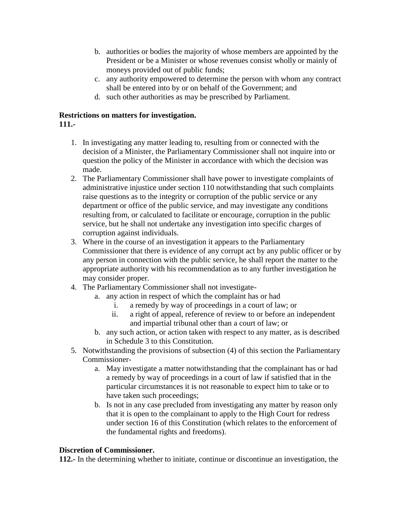- b. authorities or bodies the majority of whose members are appointed by the President or be a Minister or whose revenues consist wholly or mainly of moneys provided out of public funds;
- c. any authority empowered to determine the person with whom any contract shall be entered into by or on behalf of the Government; and
- d. such other authorities as may be prescribed by Parliament.

#### **Restrictions on matters for investigation. 111.-**

- 1. In investigating any matter leading to, resulting from or connected with the decision of a Minister, the Parliamentary Commissioner shall not inquire into or question the policy of the Minister in accordance with which the decision was made.
- 2. The Parliamentary Commissioner shall have power to investigate complaints of administrative injustice under section 110 notwithstanding that such complaints raise questions as to the integrity or corruption of the public service or any department or office of the public service, and may investigate any conditions resulting from, or calculated to facilitate or encourage, corruption in the public service, but he shall not undertake any investigation into specific charges of corruption against individuals.
- 3. Where in the course of an investigation it appears to the Parliamentary Commissioner that there is evidence of any corrupt act by any public officer or by any person in connection with the public service, he shall report the matter to the appropriate authority with his recommendation as to any further investigation he may consider proper.
- 4. The Parliamentary Commissioner shall not investigate
	- a. any action in respect of which the complaint has or had
		- i. a remedy by way of proceedings in a court of law; or
		- ii. a right of appeal, reference of review to or before an independent and impartial tribunal other than a court of law; or
	- b. any such action, or action taken with respect to any matter, as is described in Schedule 3 to this Constitution.
- 5. Notwithstanding the provisions of subsection (4) of this section the Parliamentary Commissioner
	- a. May investigate a matter notwithstanding that the complainant has or had a remedy by way of proceedings in a court of law if satisfied that in the particular circumstances it is not reasonable to expect him to take or to have taken such proceedings;
	- b. Is not in any case precluded from investigating any matter by reason only that it is open to the complainant to apply to the High Court for redress under section 16 of this Constitution (which relates to the enforcement of the fundamental rights and freedoms).

#### **Discretion of Commissioner.**

**112.-** In the determining whether to initiate, continue or discontinue an investigation, the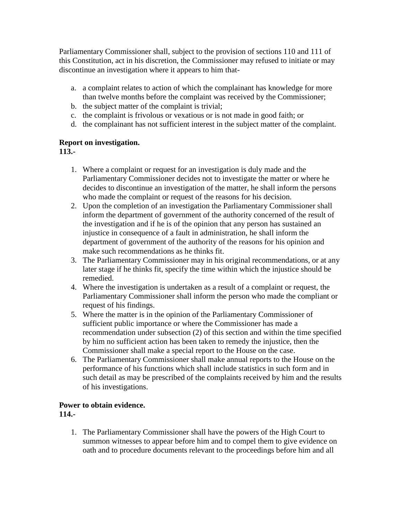Parliamentary Commissioner shall, subject to the provision of sections 110 and 111 of this Constitution, act in his discretion, the Commissioner may refused to initiate or may discontinue an investigation where it appears to him that-

- a. a complaint relates to action of which the complainant has knowledge for more than twelve months before the complaint was received by the Commissioner;
- b. the subject matter of the complaint is trivial;
- c. the complaint is frivolous or vexatious or is not made in good faith; or
- d. the complainant has not sufficient interest in the subject matter of the complaint.

# **Report on investigation.**

**113.-**

- 1. Where a complaint or request for an investigation is duly made and the Parliamentary Commissioner decides not to investigate the matter or where he decides to discontinue an investigation of the matter, he shall inform the persons who made the complaint or request of the reasons for his decision.
- 2. Upon the completion of an investigation the Parliamentary Commissioner shall inform the department of government of the authority concerned of the result of the investigation and if he is of the opinion that any person has sustained an injustice in consequence of a fault in administration, he shall inform the department of government of the authority of the reasons for his opinion and make such recommendations as he thinks fit.
- 3. The Parliamentary Commissioner may in his original recommendations, or at any later stage if he thinks fit, specify the time within which the injustice should be remedied.
- 4. Where the investigation is undertaken as a result of a complaint or request, the Parliamentary Commissioner shall inform the person who made the compliant or request of his findings.
- 5. Where the matter is in the opinion of the Parliamentary Commissioner of sufficient public importance or where the Commissioner has made a recommendation under subsection (2) of this section and within the time specified by him no sufficient action has been taken to remedy the injustice, then the Commissioner shall make a special report to the House on the case.
- 6. The Parliamentary Commissioner shall make annual reports to the House on the performance of his functions which shall include statistics in such form and in such detail as may be prescribed of the complaints received by him and the results of his investigations.

# **Power to obtain evidence.**

**114.-**

1. The Parliamentary Commissioner shall have the powers of the High Court to summon witnesses to appear before him and to compel them to give evidence on oath and to procedure documents relevant to the proceedings before him and all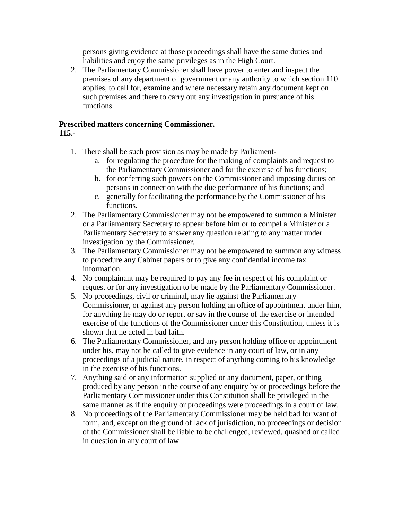persons giving evidence at those proceedings shall have the same duties and liabilities and enjoy the same privileges as in the High Court.

2. The Parliamentary Commissioner shall have power to enter and inspect the premises of any department of government or any authority to which section 110 applies, to call for, examine and where necessary retain any document kept on such premises and there to carry out any investigation in pursuance of his functions.

### **Prescribed matters concerning Commissioner. 115.-**

- 1. There shall be such provision as may be made by Parliament
	- a. for regulating the procedure for the making of complaints and request to the Parliamentary Commissioner and for the exercise of his functions;
	- b. for conferring such powers on the Commissioner and imposing duties on persons in connection with the due performance of his functions; and
	- c. generally for facilitating the performance by the Commissioner of his functions.
- 2. The Parliamentary Commissioner may not be empowered to summon a Minister or a Parliamentary Secretary to appear before him or to compel a Minister or a Parliamentary Secretary to answer any question relating to any matter under investigation by the Commissioner.
- 3. The Parliamentary Commissioner may not be empowered to summon any witness to procedure any Cabinet papers or to give any confidential income tax information.
- 4. No complainant may be required to pay any fee in respect of his complaint or request or for any investigation to be made by the Parliamentary Commissioner.
- 5. No proceedings, civil or criminal, may lie against the Parliamentary Commissioner, or against any person holding an office of appointment under him, for anything he may do or report or say in the course of the exercise or intended exercise of the functions of the Commissioner under this Constitution, unless it is shown that he acted in bad faith.
- 6. The Parliamentary Commissioner, and any person holding office or appointment under his, may not be called to give evidence in any court of law, or in any proceedings of a judicial nature, in respect of anything coming to his knowledge in the exercise of his functions.
- 7. Anything said or any information supplied or any document, paper, or thing produced by any person in the course of any enquiry by or proceedings before the Parliamentary Commissioner under this Constitution shall be privileged in the same manner as if the enquiry or proceedings were proceedings in a court of law.
- 8. No proceedings of the Parliamentary Commissioner may be held bad for want of form, and, except on the ground of lack of jurisdiction, no proceedings or decision of the Commissioner shall be liable to be challenged, reviewed, quashed or called in question in any court of law.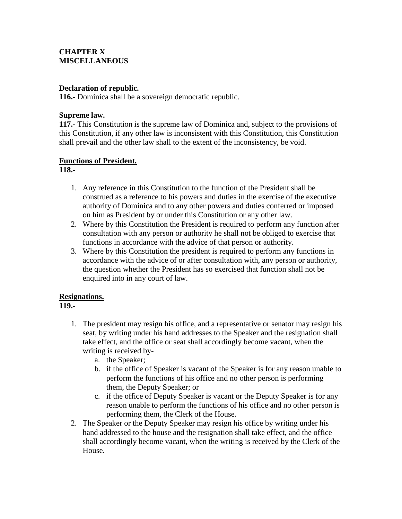# **CHAPTER X MISCELLANEOUS**

# **Declaration of republic.**

**116.-** Dominica shall be a sovereign democratic republic.

### **Supreme law.**

**117.-** This Constitution is the supreme law of Dominica and, subject to the provisions of this Constitution, if any other law is inconsistent with this Constitution, this Constitution shall prevail and the other law shall to the extent of the inconsistency, be void.

# **[Functions of President.](http://dominicacompanies.com/dominica/constitution/contents.html)**

**118.-**

- 1. Any reference in this Constitution to the function of the President shall be construed as a reference to his powers and duties in the exercise of the executive authority of Dominica and to any other powers and duties conferred or imposed on him as President by or under this Constitution or any other law.
- 2. Where by this Constitution the President is required to perform any function after consultation with any person or authority he shall not be obliged to exercise that functions in accordance with the advice of that person or authority.
- 3. Where by this Constitution the president is required to perform any functions in accordance with the advice of or after consultation with, any person or authority, the question whether the President has so exercised that function shall not be enquired into in any court of law.

# **[Resignations.](http://dominicacompanies.com/dominica/constitution/contents.html)**

# **119.-**

- 1. The president may resign his office, and a representative or senator may resign his seat, by writing under his hand addresses to the Speaker and the resignation shall take effect, and the office or seat shall accordingly become vacant, when the writing is received by
	- a. the Speaker;
	- b. if the office of Speaker is vacant of the Speaker is for any reason unable to perform the functions of his office and no other person is performing them, the Deputy Speaker; or
	- c. if the office of Deputy Speaker is vacant or the Deputy Speaker is for any reason unable to perform the functions of his office and no other person is performing them, the Clerk of the House.
- 2. The Speaker or the Deputy Speaker may resign his office by writing under his hand addressed to the house and the resignation shall take effect, and the office shall accordingly become vacant, when the writing is received by the Clerk of the House.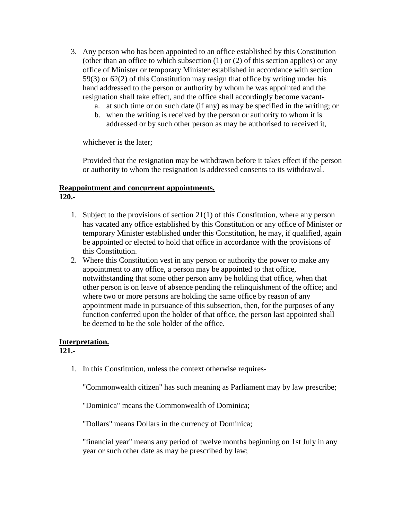- 3. Any person who has been appointed to an office established by this Constitution (other than an office to which subsection (1) or (2) of this section applies) or any office of Minister or temporary Minister established in accordance with section 59(3) or 62(2) of this Constitution may resign that office by writing under his hand addressed to the person or authority by whom he was appointed and the resignation shall take effect, and the office shall accordingly become vacant
	- a. at such time or on such date (if any) as may be specified in the writing; or
	- b. when the writing is received by the person or authority to whom it is addressed or by such other person as may be authorised to received it,

whichever is the later;

Provided that the resignation may be withdrawn before it takes effect if the person or authority to whom the resignation is addressed consents to its withdrawal.

#### **[Reappointment and concurrent appointments.](http://dominicacompanies.com/dominica/constitution/contents.html) 120.-**

- 1. Subject to the provisions of section 21(1) of this Constitution, where any person has vacated any office established by this Constitution or any office of Minister or temporary Minister established under this Constitution, he may, if qualified, again be appointed or elected to hold that office in accordance with the provisions of this Constitution.
- 2. Where this Constitution vest in any person or authority the power to make any appointment to any office, a person may be appointed to that office, notwithstanding that some other person amy be holding that office, when that other person is on leave of absence pending the relinquishment of the office; and where two or more persons are holding the same office by reason of any appointment made in pursuance of this subsection, then, for the purposes of any function conferred upon the holder of that office, the person last appointed shall be deemed to be the sole holder of the office.

#### **[Interpretation.](http://dominicacompanies.com/dominica/constitution/contents.html) 121.-**

1. In this Constitution, unless the context otherwise requires-

"Commonwealth citizen" has such meaning as Parliament may by law prescribe;

"Dominica" means the Commonwealth of Dominica;

"Dollars" means Dollars in the currency of Dominica;

"financial year" means any period of twelve months beginning on 1st July in any year or such other date as may be prescribed by law;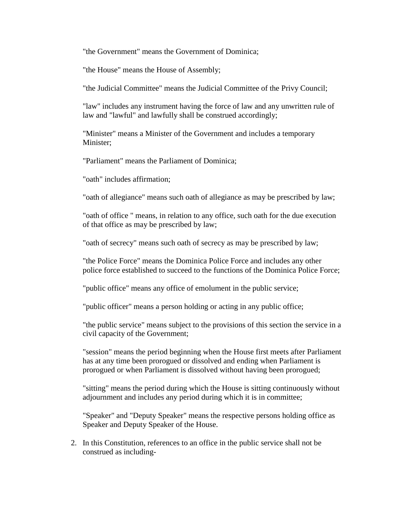"the Government" means the Government of Dominica;

"the House" means the House of Assembly;

"the Judicial Committee" means the Judicial Committee of the Privy Council;

"law" includes any instrument having the force of law and any unwritten rule of law and "lawful" and lawfully shall be construed accordingly;

"Minister" means a Minister of the Government and includes a temporary Minister;

"Parliament" means the Parliament of Dominica;

"oath" includes affirmation;

"oath of allegiance" means such oath of allegiance as may be prescribed by law;

"oath of office " means, in relation to any office, such oath for the due execution of that office as may be prescribed by law;

"oath of secrecy" means such oath of secrecy as may be prescribed by law;

"the Police Force" means the Dominica Police Force and includes any other police force established to succeed to the functions of the Dominica Police Force;

"public office" means any office of emolument in the public service;

"public officer" means a person holding or acting in any public office;

"the public service" means subject to the provisions of this section the service in a civil capacity of the Government;

"session" means the period beginning when the House first meets after Parliament has at any time been prorogued or dissolved and ending when Parliament is prorogued or when Parliament is dissolved without having been prorogued;

"sitting" means the period during which the House is sitting continuously without adjournment and includes any period during which it is in committee;

"Speaker" and "Deputy Speaker" means the respective persons holding office as Speaker and Deputy Speaker of the House.

2. In this Constitution, references to an office in the public service shall not be construed as including-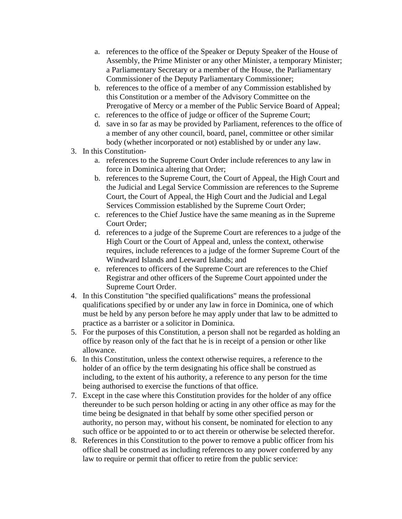- a. references to the office of the Speaker or Deputy Speaker of the House of Assembly, the Prime Minister or any other Minister, a temporary Minister; a Parliamentary Secretary or a member of the House, the Parliamentary Commissioner of the Deputy Parliamentary Commissioner;
- b. references to the office of a member of any Commission established by this Constitution or a member of the Advisory Committee on the Prerogative of Mercy or a member of the Public Service Board of Appeal;
- c. references to the office of judge or officer of the Supreme Court;
- d. save in so far as may be provided by Parliament, references to the office of a member of any other council, board, panel, committee or other similar body (whether incorporated or not) established by or under any law.
- 3. In this Constitution
	- a. references to the Supreme Court Order include references to any law in force in Dominica altering that Order;
	- b. references to the Supreme Court, the Court of Appeal, the High Court and the Judicial and Legal Service Commission are references to the Supreme Court, the Court of Appeal, the High Court and the Judicial and Legal Services Commission established by the Supreme Court Order;
	- c. references to the Chief Justice have the same meaning as in the Supreme Court Order;
	- d. references to a judge of the Supreme Court are references to a judge of the High Court or the Court of Appeal and, unless the context, otherwise requires, include references to a judge of the former Supreme Court of the Windward Islands and Leeward Islands; and
	- e. references to officers of the Supreme Court are references to the Chief Registrar and other officers of the Supreme Court appointed under the Supreme Court Order.
- 4. In this Constitution "the specified qualifications" means the professional qualifications specified by or under any law in force in Dominica, one of which must be held by any person before he may apply under that law to be admitted to practice as a barrister or a solicitor in Dominica.
- 5. For the purposes of this Constitution, a person shall not be regarded as holding an office by reason only of the fact that he is in receipt of a pension or other like allowance.
- 6. In this Constitution, unless the context otherwise requires, a reference to the holder of an office by the term designating his office shall be construed as including, to the extent of his authority, a reference to any person for the time being authorised to exercise the functions of that office.
- 7. Except in the case where this Constitution provides for the holder of any office thereunder to be such person holding or acting in any other office as may for the time being be designated in that behalf by some other specified person or authority, no person may, without his consent, be nominated for election to any such office or be appointed to or to act therein or otherwise be selected therefor.
- 8. References in this Constitution to the power to remove a public officer from his office shall be construed as including references to any power conferred by any law to require or permit that officer to retire from the public service: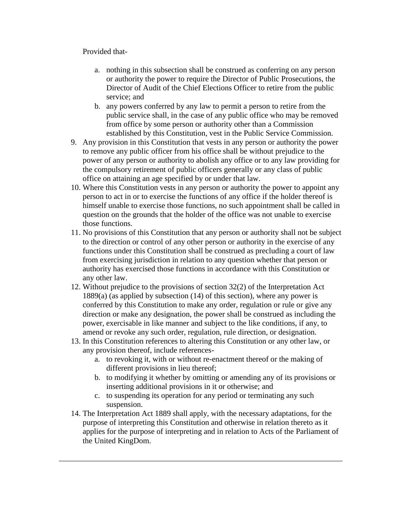Provided that-

- a. nothing in this subsection shall be construed as conferring on any person or authority the power to require the Director of Public Prosecutions, the Director of Audit of the Chief Elections Officer to retire from the public service; and
- b. any powers conferred by any law to permit a person to retire from the public service shall, in the case of any public office who may be removed from office by some person or authority other than a Commission established by this Constitution, vest in the Public Service Commission.
- 9. Any provision in this Constitution that vests in any person or authority the power to remove any public officer from his office shall be without prejudice to the power of any person or authority to abolish any office or to any law providing for the compulsory retirement of public officers generally or any class of public office on attaining an age specified by or under that law.
- 10. Where this Constitution vests in any person or authority the power to appoint any person to act in or to exercise the functions of any office if the holder thereof is himself unable to exercise those functions, no such appointment shall be called in question on the grounds that the holder of the office was not unable to exercise those functions.
- 11. No provisions of this Constitution that any person or authority shall not be subject to the direction or control of any other person or authority in the exercise of any functions under this Constitution shall be construed as precluding a court of law from exercising jurisdiction in relation to any question whether that person or authority has exercised those functions in accordance with this Constitution or any other law.
- 12. Without prejudice to the provisions of section 32(2) of the Interpretation Act 1889(a) (as applied by subsection (14) of this section), where any power is conferred by this Constitution to make any order, regulation or rule or give any direction or make any designation, the power shall be construed as including the power, exercisable in like manner and subject to the like conditions, if any, to amend or revoke any such order, regulation, rule direction, or designation.
- 13. In this Constitution references to altering this Constitution or any other law, or any provision thereof, include references
	- a. to revoking it, with or without re-enactment thereof or the making of different provisions in lieu thereof;
	- b. to modifying it whether by omitting or amending any of its provisions or inserting additional provisions in it or otherwise; and
	- c. to suspending its operation for any period or terminating any such suspension.
- 14. The Interpretation Act 1889 shall apply, with the necessary adaptations, for the purpose of interpreting this Constitution and otherwise in relation thereto as it applies for the purpose of interpreting and in relation to Acts of the Parliament of the United KingDom.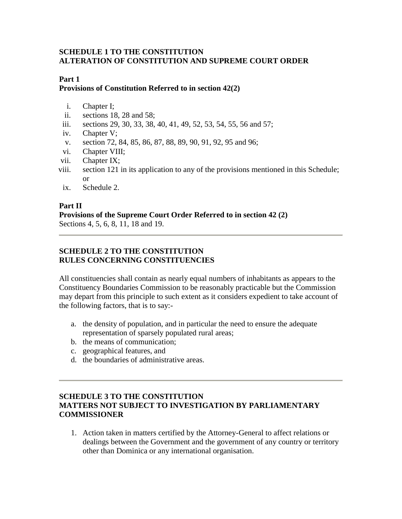#### **SCHEDULE 1 TO THE CONSTITUTION ALTERATION OF CONSTITUTION AND SUPREME COURT ORDER**

#### **Part 1 Provisions of Constitution Referred to in section 42(2)**

- i. Chapter I;
- ii. sections 18, 28 and 58;
- iii. sections 29, 30, 33, 38, 40, 41, 49, 52, 53, 54, 55, 56 and 57;
- iv. Chapter V;
- v. section 72, 84, 85, 86, 87, 88, 89, 90, 91, 92, 95 and 96;
- vi. Chapter VIII;
- vii. Chapter IX;
- viii. section 121 in its application to any of the provisions mentioned in this Schedule; or
- ix. Schedule 2.

#### **Part II**

#### **Provisions of the Supreme Court Order Referred to in section 42 (2)**

Sections 4, 5, 6, 8, 11, 18 and 19.

### **SCHEDULE 2 TO THE CONSTITUTION RULES CONCERNING CONSTITUENCIES**

All constituencies shall contain as nearly equal numbers of inhabitants as appears to the Constituency Boundaries Commission to be reasonably practicable but the Commission may depart from this principle to such extent as it considers expedient to take account of the following factors, that is to say:-

- a. the density of population, and in particular the need to ensure the adequate representation of sparsely populated rural areas;
- b. the means of communication;
- c. geographical features, and
- d. the boundaries of administrative areas.

# **SCHEDULE 3 TO THE CONSTITUTION MATTERS NOT SUBJECT TO INVESTIGATION BY PARLIAMENTARY COMMISSIONER**

1. Action taken in matters certified by the Attorney-General to affect relations or dealings between the Government and the government of any country or territory other than Dominica or any international organisation.